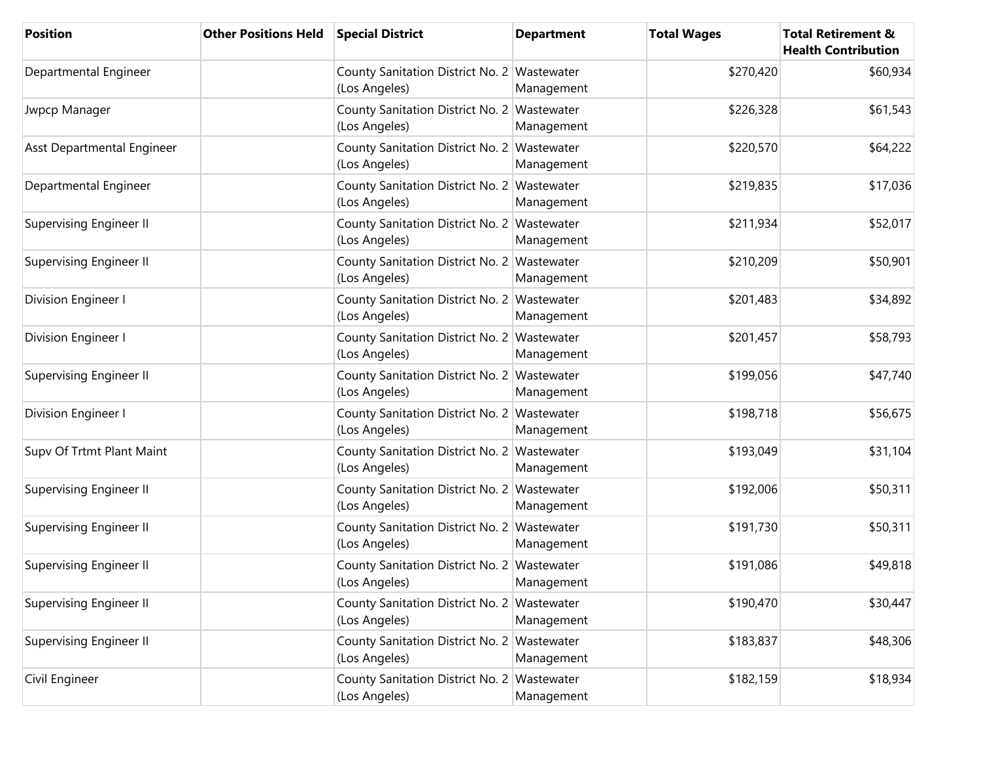| <b>Position</b>                | <b>Other Positions Held</b> | <b>Special District</b>                                      | <b>Department</b> | <b>Total Wages</b> | <b>Total Retirement &amp;</b><br><b>Health Contribution</b> |
|--------------------------------|-----------------------------|--------------------------------------------------------------|-------------------|--------------------|-------------------------------------------------------------|
| Departmental Engineer          |                             | County Sanitation District No. 2 Wastewater<br>(Los Angeles) | Management        | \$270,420          | \$60,934                                                    |
| Jwpcp Manager                  |                             | County Sanitation District No. 2 Wastewater<br>(Los Angeles) | Management        | \$226,328          | \$61,543                                                    |
| Asst Departmental Engineer     |                             | County Sanitation District No. 2 Wastewater<br>(Los Angeles) | Management        | \$220,570          | \$64,222                                                    |
| Departmental Engineer          |                             | County Sanitation District No. 2 Wastewater<br>(Los Angeles) | Management        | \$219,835          | \$17,036                                                    |
| <b>Supervising Engineer II</b> |                             | County Sanitation District No. 2 Wastewater<br>(Los Angeles) | Management        | \$211,934          | \$52,017                                                    |
| Supervising Engineer II        |                             | County Sanitation District No. 2 Wastewater<br>(Los Angeles) | Management        | \$210,209          | \$50,901                                                    |
| Division Engineer I            |                             | County Sanitation District No. 2 Wastewater<br>(Los Angeles) | Management        | \$201,483          | \$34,892                                                    |
| Division Engineer I            |                             | County Sanitation District No. 2 Wastewater<br>(Los Angeles) | Management        | \$201,457          | \$58,793                                                    |
| Supervising Engineer II        |                             | County Sanitation District No. 2 Wastewater<br>(Los Angeles) | Management        | \$199,056          | \$47,740                                                    |
| Division Engineer I            |                             | County Sanitation District No. 2 Wastewater<br>(Los Angeles) | Management        | \$198,718          | \$56,675                                                    |
| Supv Of Trtmt Plant Maint      |                             | County Sanitation District No. 2 Wastewater<br>(Los Angeles) | Management        | \$193,049          | \$31,104                                                    |
| <b>Supervising Engineer II</b> |                             | County Sanitation District No. 2 Wastewater<br>(Los Angeles) | Management        | \$192,006          | \$50,311                                                    |
| <b>Supervising Engineer II</b> |                             | County Sanitation District No. 2 Wastewater<br>(Los Angeles) | Management        | \$191,730          | \$50,311                                                    |
| <b>Supervising Engineer II</b> |                             | County Sanitation District No. 2 Wastewater<br>(Los Angeles) | Management        | \$191,086          | \$49,818                                                    |
| <b>Supervising Engineer II</b> |                             | County Sanitation District No. 2 Wastewater<br>(Los Angeles) | Management        | \$190,470          | \$30,447                                                    |
| <b>Supervising Engineer II</b> |                             | County Sanitation District No. 2 Wastewater<br>(Los Angeles) | Management        | \$183,837          | \$48,306                                                    |
| Civil Engineer                 |                             | County Sanitation District No. 2 Wastewater<br>(Los Angeles) | Management        | \$182,159          | \$18,934                                                    |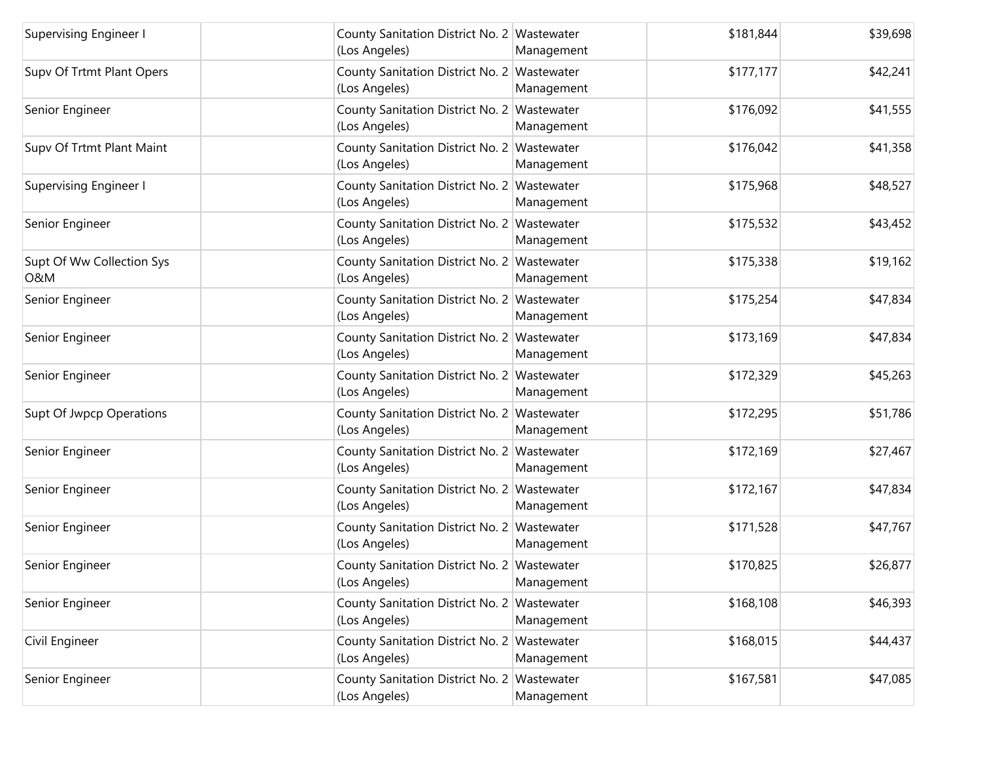| Supervising Engineer I                      | County Sanitation District No. 2 Wastewater<br>(Los Angeles) | Management | \$181,844 | \$39,698 |
|---------------------------------------------|--------------------------------------------------------------|------------|-----------|----------|
| Supv Of Trtmt Plant Opers                   | County Sanitation District No. 2 Wastewater<br>(Los Angeles) | Management | \$177,177 | \$42,241 |
| Senior Engineer                             | County Sanitation District No. 2 Wastewater<br>(Los Angeles) | Management | \$176,092 | \$41,555 |
| Supv Of Trtmt Plant Maint                   | County Sanitation District No. 2 Wastewater<br>(Los Angeles) | Management | \$176,042 | \$41,358 |
| <b>Supervising Engineer I</b>               | County Sanitation District No. 2 Wastewater<br>(Los Angeles) | Management | \$175,968 | \$48,527 |
| Senior Engineer                             | County Sanitation District No. 2 Wastewater<br>(Los Angeles) | Management | \$175,532 | \$43,452 |
| Supt Of Ww Collection Sys<br><b>O&amp;M</b> | County Sanitation District No. 2 Wastewater<br>(Los Angeles) | Management | \$175,338 | \$19,162 |
| Senior Engineer                             | County Sanitation District No. 2 Wastewater<br>(Los Angeles) | Management | \$175,254 | \$47,834 |
| Senior Engineer                             | County Sanitation District No. 2 Wastewater<br>(Los Angeles) | Management | \$173,169 | \$47,834 |
| Senior Engineer                             | County Sanitation District No. 2 Wastewater<br>(Los Angeles) | Management | \$172,329 | \$45,263 |
| Supt Of Jwpcp Operations                    | County Sanitation District No. 2 Wastewater<br>(Los Angeles) | Management | \$172,295 | \$51,786 |
| Senior Engineer                             | County Sanitation District No. 2 Wastewater<br>(Los Angeles) | Management | \$172,169 | \$27,467 |
| Senior Engineer                             | County Sanitation District No. 2 Wastewater<br>(Los Angeles) | Management | \$172,167 | \$47,834 |
| Senior Engineer                             | County Sanitation District No. 2 Wastewater<br>(Los Angeles) | Management | \$171,528 | \$47,767 |
| Senior Engineer                             | County Sanitation District No. 2 Wastewater<br>(Los Angeles) | Management | \$170,825 | \$26,877 |
| Senior Engineer                             | County Sanitation District No. 2 Wastewater<br>(Los Angeles) | Management | \$168,108 | \$46,393 |
| Civil Engineer                              | County Sanitation District No. 2 Wastewater<br>(Los Angeles) | Management | \$168,015 | \$44,437 |
| Senior Engineer                             | County Sanitation District No. 2 Wastewater<br>(Los Angeles) | Management | \$167,581 | \$47,085 |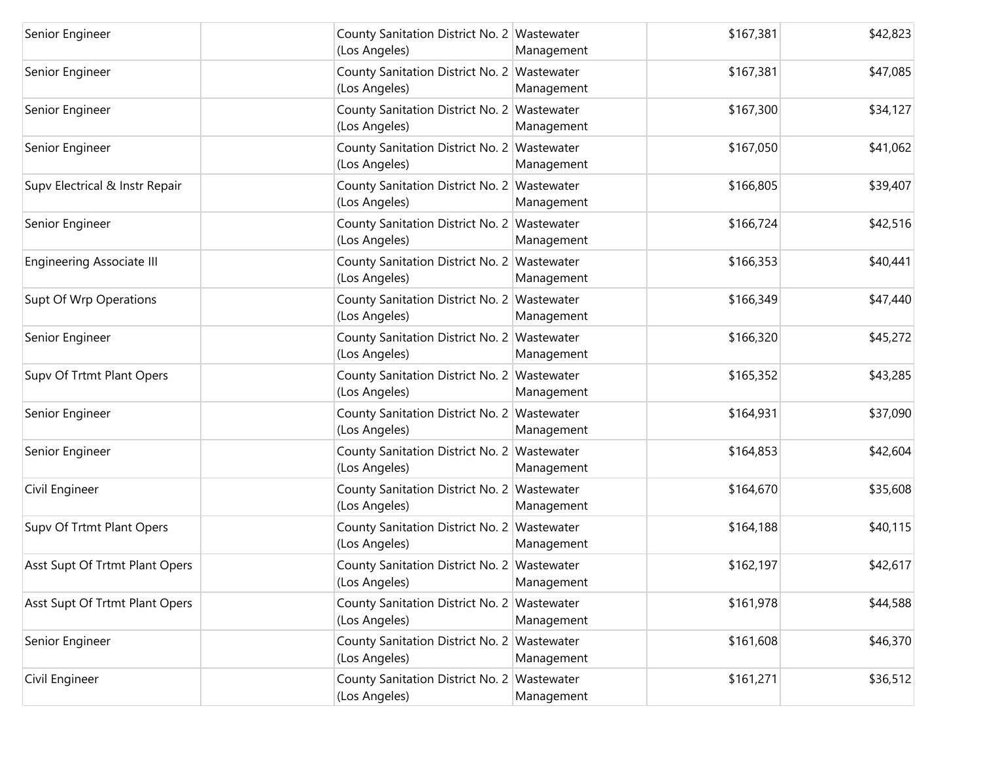| Senior Engineer                  | County Sanitation District No. 2 Wastewater<br>(Los Angeles) | Management | \$167,381 | \$42,823 |
|----------------------------------|--------------------------------------------------------------|------------|-----------|----------|
| Senior Engineer                  | County Sanitation District No. 2 Wastewater<br>(Los Angeles) | Management | \$167,381 | \$47,085 |
| Senior Engineer                  | County Sanitation District No. 2 Wastewater<br>(Los Angeles) | Management | \$167,300 | \$34,127 |
| Senior Engineer                  | County Sanitation District No. 2 Wastewater<br>(Los Angeles) | Management | \$167,050 | \$41,062 |
| Supv Electrical & Instr Repair   | County Sanitation District No. 2 Wastewater<br>(Los Angeles) | Management | \$166,805 | \$39,407 |
| Senior Engineer                  | County Sanitation District No. 2 Wastewater<br>(Los Angeles) | Management | \$166,724 | \$42,516 |
| <b>Engineering Associate III</b> | County Sanitation District No. 2 Wastewater<br>(Los Angeles) | Management | \$166,353 | \$40,441 |
| Supt Of Wrp Operations           | County Sanitation District No. 2 Wastewater<br>(Los Angeles) | Management | \$166,349 | \$47,440 |
| Senior Engineer                  | County Sanitation District No. 2 Wastewater<br>(Los Angeles) | Management | \$166,320 | \$45,272 |
| Supv Of Trtmt Plant Opers        | County Sanitation District No. 2 Wastewater<br>(Los Angeles) | Management | \$165,352 | \$43,285 |
| Senior Engineer                  | County Sanitation District No. 2 Wastewater<br>(Los Angeles) | Management | \$164,931 | \$37,090 |
| Senior Engineer                  | County Sanitation District No. 2 Wastewater<br>(Los Angeles) | Management | \$164,853 | \$42,604 |
| Civil Engineer                   | County Sanitation District No. 2 Wastewater<br>(Los Angeles) | Management | \$164,670 | \$35,608 |
| Supv Of Trtmt Plant Opers        | County Sanitation District No. 2 Wastewater<br>(Los Angeles) | Management | \$164,188 | \$40,115 |
| Asst Supt Of Trtmt Plant Opers   | County Sanitation District No. 2 Wastewater<br>(Los Angeles) | Management | \$162,197 | \$42,617 |
| Asst Supt Of Trtmt Plant Opers   | County Sanitation District No. 2 Wastewater<br>(Los Angeles) | Management | \$161,978 | \$44,588 |
| Senior Engineer                  | County Sanitation District No. 2 Wastewater<br>(Los Angeles) | Management | \$161,608 | \$46,370 |
| Civil Engineer                   | County Sanitation District No. 2 Wastewater<br>(Los Angeles) | Management | \$161,271 | \$36,512 |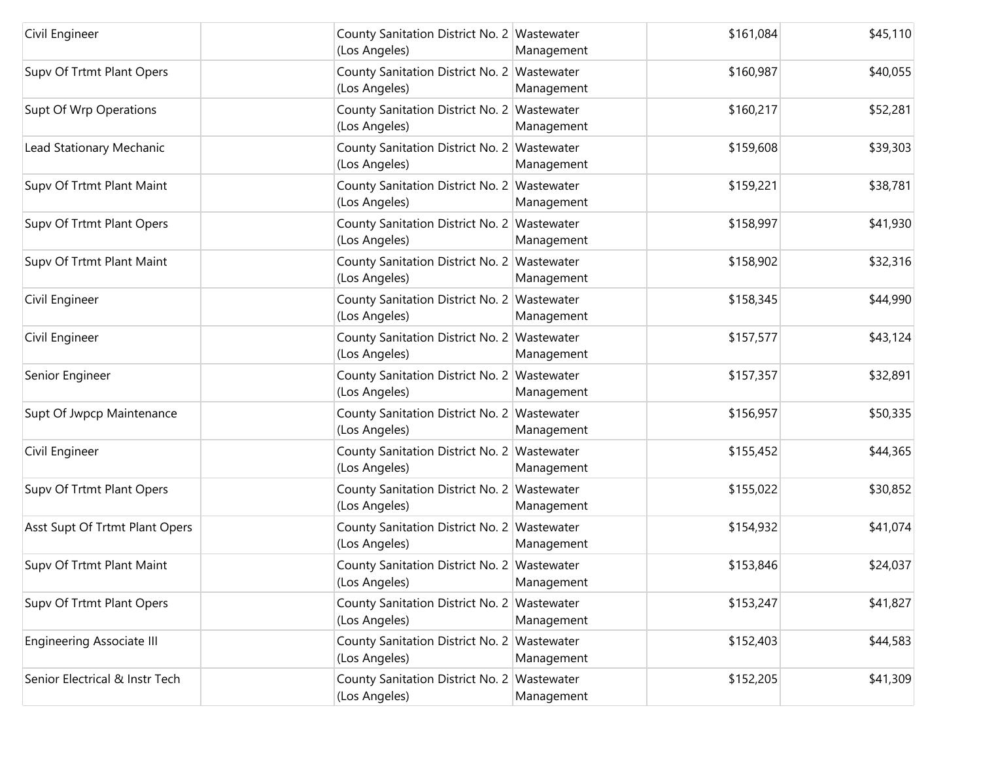| Civil Engineer                   | County Sanitation District No. 2 Wastewater<br>(Los Angeles) | Management | \$161,084 | \$45,110 |
|----------------------------------|--------------------------------------------------------------|------------|-----------|----------|
| Supv Of Trtmt Plant Opers        | County Sanitation District No. 2 Wastewater<br>(Los Angeles) | Management | \$160,987 | \$40,055 |
| Supt Of Wrp Operations           | County Sanitation District No. 2 Wastewater<br>(Los Angeles) | Management | \$160,217 | \$52,281 |
| Lead Stationary Mechanic         | County Sanitation District No. 2 Wastewater<br>(Los Angeles) | Management | \$159,608 | \$39,303 |
| Supv Of Trtmt Plant Maint        | County Sanitation District No. 2 Wastewater<br>(Los Angeles) | Management | \$159,221 | \$38,781 |
| Supv Of Trtmt Plant Opers        | County Sanitation District No. 2 Wastewater<br>(Los Angeles) | Management | \$158,997 | \$41,930 |
| Supv Of Trtmt Plant Maint        | County Sanitation District No. 2 Wastewater<br>(Los Angeles) | Management | \$158,902 | \$32,316 |
| Civil Engineer                   | County Sanitation District No. 2 Wastewater<br>(Los Angeles) | Management | \$158,345 | \$44,990 |
| Civil Engineer                   | County Sanitation District No. 2 Wastewater<br>(Los Angeles) | Management | \$157,577 | \$43,124 |
| Senior Engineer                  | County Sanitation District No. 2 Wastewater<br>(Los Angeles) | Management | \$157,357 | \$32,891 |
| Supt Of Jwpcp Maintenance        | County Sanitation District No. 2 Wastewater<br>(Los Angeles) | Management | \$156,957 | \$50,335 |
| Civil Engineer                   | County Sanitation District No. 2 Wastewater<br>(Los Angeles) | Management | \$155,452 | \$44,365 |
| Supv Of Trtmt Plant Opers        | County Sanitation District No. 2 Wastewater<br>(Los Angeles) | Management | \$155,022 | \$30,852 |
| Asst Supt Of Trtmt Plant Opers   | County Sanitation District No. 2 Wastewater<br>(Los Angeles) | Management | \$154,932 | \$41,074 |
| Supv Of Trtmt Plant Maint        | County Sanitation District No. 2 Wastewater<br>(Los Angeles) | Management | \$153,846 | \$24,037 |
| Supv Of Trtmt Plant Opers        | County Sanitation District No. 2 Wastewater<br>(Los Angeles) | Management | \$153,247 | \$41,827 |
| <b>Engineering Associate III</b> | County Sanitation District No. 2 Wastewater<br>(Los Angeles) | Management | \$152,403 | \$44,583 |
| Senior Electrical & Instr Tech   | County Sanitation District No. 2 Wastewater<br>(Los Angeles) | Management | \$152,205 | \$41,309 |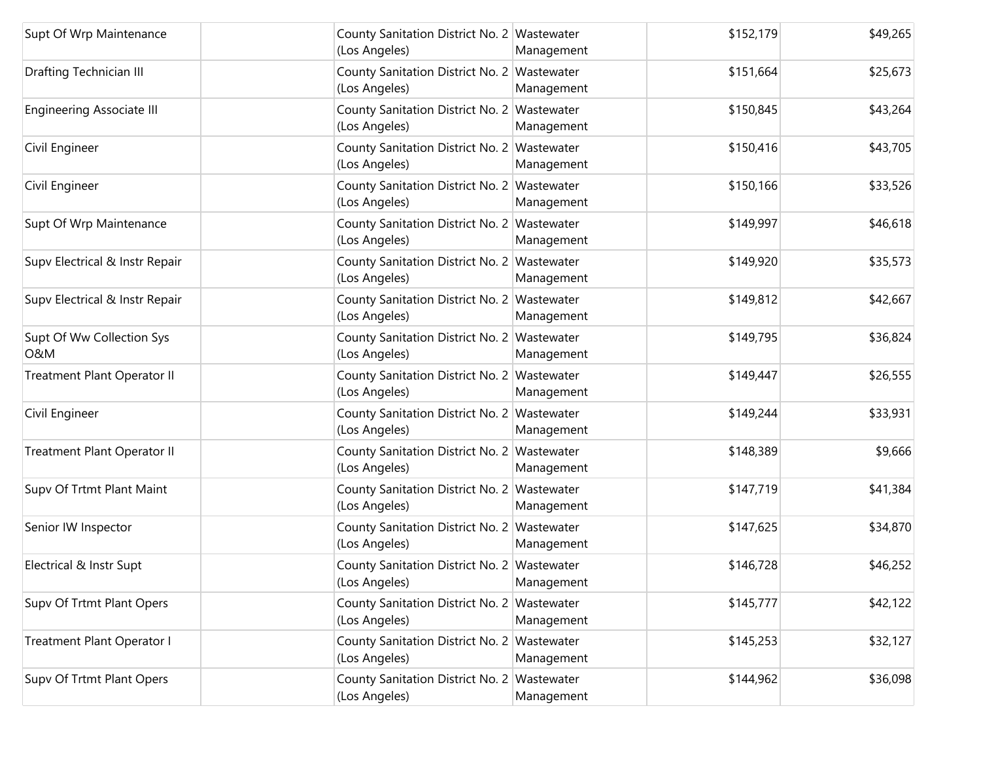| Supt Of Wrp Maintenance                     | County Sanitation District No. 2 Wastewater<br>(Los Angeles) | Management | \$152,179 | \$49,265 |
|---------------------------------------------|--------------------------------------------------------------|------------|-----------|----------|
| Drafting Technician III                     | County Sanitation District No. 2 Wastewater<br>(Los Angeles) | Management | \$151,664 | \$25,673 |
| <b>Engineering Associate III</b>            | County Sanitation District No. 2 Wastewater<br>(Los Angeles) | Management | \$150,845 | \$43,264 |
| Civil Engineer                              | County Sanitation District No. 2 Wastewater<br>(Los Angeles) | Management | \$150,416 | \$43,705 |
| Civil Engineer                              | County Sanitation District No. 2 Wastewater<br>(Los Angeles) | Management | \$150,166 | \$33,526 |
| Supt Of Wrp Maintenance                     | County Sanitation District No. 2 Wastewater<br>(Los Angeles) | Management | \$149,997 | \$46,618 |
| Supv Electrical & Instr Repair              | County Sanitation District No. 2 Wastewater<br>(Los Angeles) | Management | \$149,920 | \$35,573 |
| Supv Electrical & Instr Repair              | County Sanitation District No. 2 Wastewater<br>(Los Angeles) | Management | \$149,812 | \$42,667 |
| Supt Of Ww Collection Sys<br><b>O&amp;M</b> | County Sanitation District No. 2 Wastewater<br>(Los Angeles) | Management | \$149,795 | \$36,824 |
| Treatment Plant Operator II                 | County Sanitation District No. 2 Wastewater<br>(Los Angeles) | Management | \$149,447 | \$26,555 |
| Civil Engineer                              | County Sanitation District No. 2 Wastewater<br>(Los Angeles) | Management | \$149,244 | \$33,931 |
| Treatment Plant Operator II                 | County Sanitation District No. 2 Wastewater<br>(Los Angeles) | Management | \$148,389 | \$9,666  |
| Supv Of Trtmt Plant Maint                   | County Sanitation District No. 2 Wastewater<br>(Los Angeles) | Management | \$147,719 | \$41,384 |
| Senior IW Inspector                         | County Sanitation District No. 2 Wastewater<br>(Los Angeles) | Management | \$147,625 | \$34,870 |
| Electrical & Instr Supt                     | County Sanitation District No. 2 Wastewater<br>(Los Angeles) | Management | \$146,728 | \$46,252 |
| Supv Of Trtmt Plant Opers                   | County Sanitation District No. 2 Wastewater<br>(Los Angeles) | Management | \$145,777 | \$42,122 |
| Treatment Plant Operator I                  | County Sanitation District No. 2 Wastewater<br>(Los Angeles) | Management | \$145,253 | \$32,127 |
| Supv Of Trtmt Plant Opers                   | County Sanitation District No. 2 Wastewater<br>(Los Angeles) | Management | \$144,962 | \$36,098 |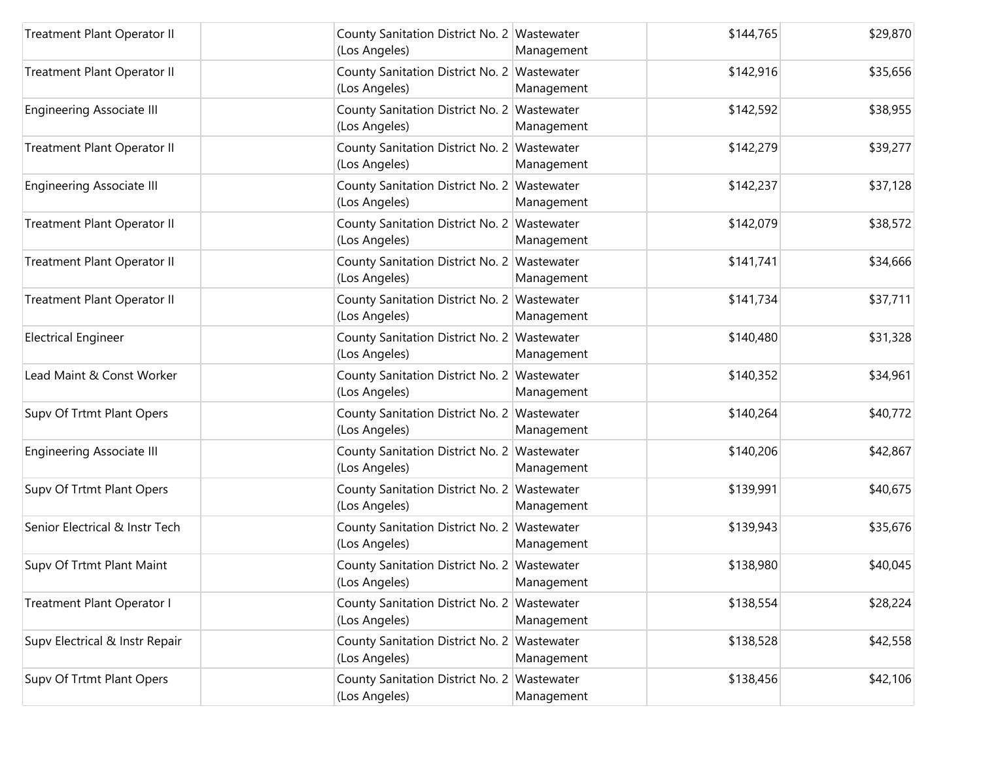| Treatment Plant Operator II      | County Sanitation District No. 2 Wastewater<br>(Los Angeles) | Management | \$144,765 | \$29,870 |
|----------------------------------|--------------------------------------------------------------|------------|-----------|----------|
| Treatment Plant Operator II      | County Sanitation District No. 2 Wastewater<br>(Los Angeles) | Management | \$142,916 | \$35,656 |
| <b>Engineering Associate III</b> | County Sanitation District No. 2 Wastewater<br>(Los Angeles) | Management | \$142,592 | \$38,955 |
| Treatment Plant Operator II      | County Sanitation District No. 2 Wastewater<br>(Los Angeles) | Management | \$142,279 | \$39,277 |
| <b>Engineering Associate III</b> | County Sanitation District No. 2 Wastewater<br>(Los Angeles) | Management | \$142,237 | \$37,128 |
| Treatment Plant Operator II      | County Sanitation District No. 2 Wastewater<br>(Los Angeles) | Management | \$142,079 | \$38,572 |
| Treatment Plant Operator II      | County Sanitation District No. 2 Wastewater<br>(Los Angeles) | Management | \$141,741 | \$34,666 |
| Treatment Plant Operator II      | County Sanitation District No. 2 Wastewater<br>(Los Angeles) | Management | \$141,734 | \$37,711 |
| <b>Electrical Engineer</b>       | County Sanitation District No. 2 Wastewater<br>(Los Angeles) | Management | \$140,480 | \$31,328 |
| Lead Maint & Const Worker        | County Sanitation District No. 2 Wastewater<br>(Los Angeles) | Management | \$140,352 | \$34,961 |
| Supv Of Trtmt Plant Opers        | County Sanitation District No. 2 Wastewater<br>(Los Angeles) | Management | \$140,264 | \$40,772 |
| <b>Engineering Associate III</b> | County Sanitation District No. 2 Wastewater<br>(Los Angeles) | Management | \$140,206 | \$42,867 |
| Supv Of Trtmt Plant Opers        | County Sanitation District No. 2 Wastewater<br>(Los Angeles) | Management | \$139,991 | \$40,675 |
| Senior Electrical & Instr Tech   | County Sanitation District No. 2 Wastewater<br>(Los Angeles) | Management | \$139,943 | \$35,676 |
| Supv Of Trtmt Plant Maint        | County Sanitation District No. 2 Wastewater<br>(Los Angeles) | Management | \$138,980 | \$40,045 |
| Treatment Plant Operator I       | County Sanitation District No. 2 Wastewater<br>(Los Angeles) | Management | \$138,554 | \$28,224 |
| Supv Electrical & Instr Repair   | County Sanitation District No. 2 Wastewater<br>(Los Angeles) | Management | \$138,528 | \$42,558 |
| Supv Of Trtmt Plant Opers        | County Sanitation District No. 2 Wastewater<br>(Los Angeles) | Management | \$138,456 | \$42,106 |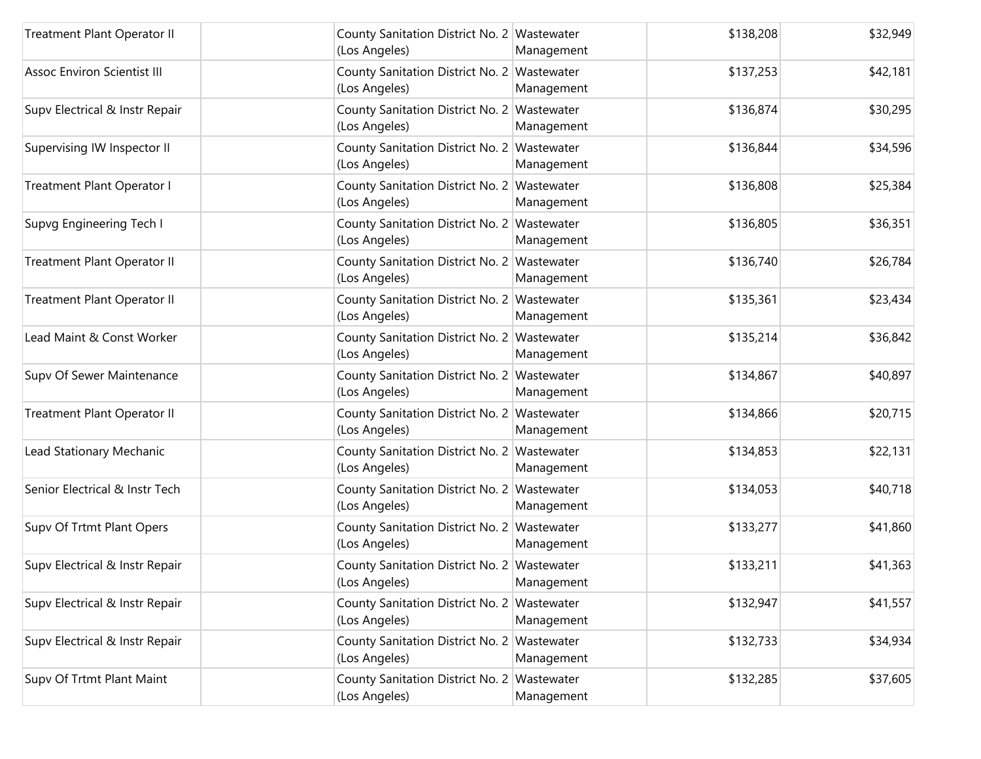| <b>Treatment Plant Operator II</b> | County Sanitation District No. 2 Wastewater<br>(Los Angeles) | Management | \$138,208 | \$32,949 |
|------------------------------------|--------------------------------------------------------------|------------|-----------|----------|
| <b>Assoc Environ Scientist III</b> | County Sanitation District No. 2 Wastewater<br>(Los Angeles) | Management | \$137,253 | \$42,181 |
| Supv Electrical & Instr Repair     | County Sanitation District No. 2 Wastewater<br>(Los Angeles) | Management | \$136,874 | \$30,295 |
| Supervising IW Inspector II        | County Sanitation District No. 2 Wastewater<br>(Los Angeles) | Management | \$136,844 | \$34,596 |
| Treatment Plant Operator I         | County Sanitation District No. 2 Wastewater<br>(Los Angeles) | Management | \$136,808 | \$25,384 |
| Supvg Engineering Tech I           | County Sanitation District No. 2 Wastewater<br>(Los Angeles) | Management | \$136,805 | \$36,351 |
| Treatment Plant Operator II        | County Sanitation District No. 2 Wastewater<br>(Los Angeles) | Management | \$136,740 | \$26,784 |
| Treatment Plant Operator II        | County Sanitation District No. 2 Wastewater<br>(Los Angeles) | Management | \$135,361 | \$23,434 |
| Lead Maint & Const Worker          | County Sanitation District No. 2 Wastewater<br>(Los Angeles) | Management | \$135,214 | \$36,842 |
| Supv Of Sewer Maintenance          | County Sanitation District No. 2 Wastewater<br>(Los Angeles) | Management | \$134,867 | \$40,897 |
| Treatment Plant Operator II        | County Sanitation District No. 2 Wastewater<br>(Los Angeles) | Management | \$134,866 | \$20,715 |
| Lead Stationary Mechanic           | County Sanitation District No. 2 Wastewater<br>(Los Angeles) | Management | \$134,853 | \$22,131 |
| Senior Electrical & Instr Tech     | County Sanitation District No. 2 Wastewater<br>(Los Angeles) | Management | \$134,053 | \$40,718 |
| Supv Of Trtmt Plant Opers          | County Sanitation District No. 2 Wastewater<br>(Los Angeles) | Management | \$133,277 | \$41,860 |
| Supv Electrical & Instr Repair     | County Sanitation District No. 2 Wastewater<br>(Los Angeles) | Management | \$133,211 | \$41,363 |
| Supv Electrical & Instr Repair     | County Sanitation District No. 2 Wastewater<br>(Los Angeles) | Management | \$132,947 | \$41,557 |
| Supv Electrical & Instr Repair     | County Sanitation District No. 2 Wastewater<br>(Los Angeles) | Management | \$132,733 | \$34,934 |
| Supv Of Trtmt Plant Maint          | County Sanitation District No. 2 Wastewater<br>(Los Angeles) | Management | \$132,285 | \$37,605 |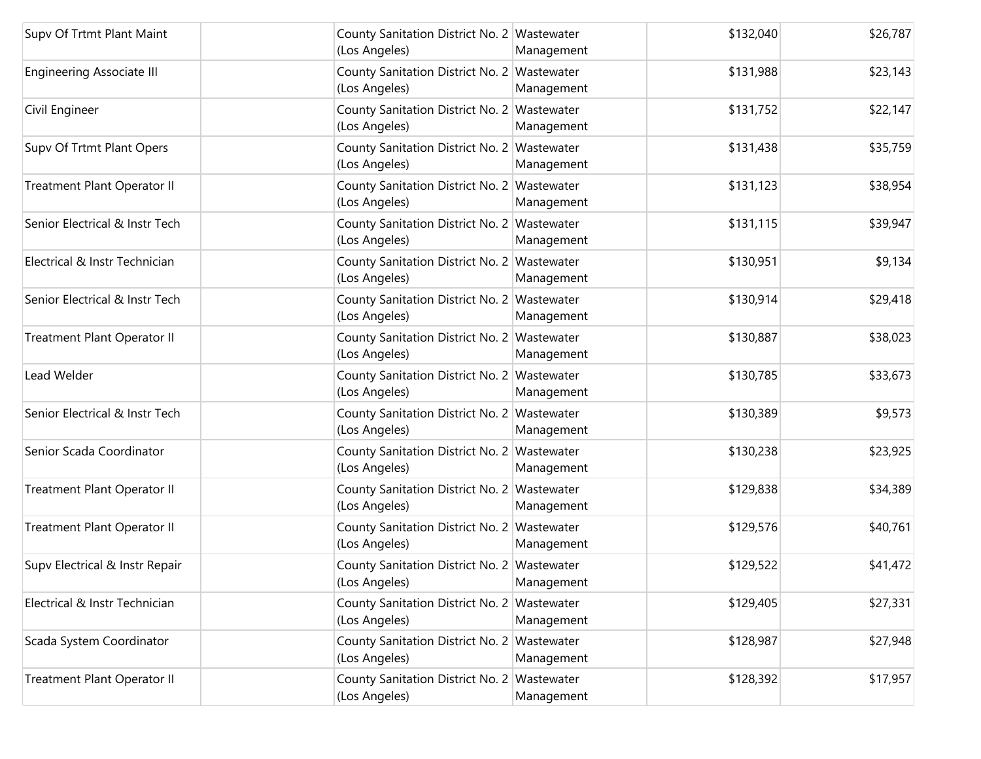| Supv Of Trtmt Plant Maint        | County Sanitation District No. 2 Wastewater<br>(Los Angeles) | Management | \$132,040 | \$26,787 |
|----------------------------------|--------------------------------------------------------------|------------|-----------|----------|
| <b>Engineering Associate III</b> | County Sanitation District No. 2 Wastewater<br>(Los Angeles) | Management | \$131,988 | \$23,143 |
| Civil Engineer                   | County Sanitation District No. 2 Wastewater<br>(Los Angeles) | Management | \$131,752 | \$22,147 |
| Supv Of Trtmt Plant Opers        | County Sanitation District No. 2 Wastewater<br>(Los Angeles) | Management | \$131,438 | \$35,759 |
| Treatment Plant Operator II      | County Sanitation District No. 2 Wastewater<br>(Los Angeles) | Management | \$131,123 | \$38,954 |
| Senior Electrical & Instr Tech   | County Sanitation District No. 2 Wastewater<br>(Los Angeles) | Management | \$131,115 | \$39,947 |
| Electrical & Instr Technician    | County Sanitation District No. 2 Wastewater<br>(Los Angeles) | Management | \$130,951 | \$9,134  |
| Senior Electrical & Instr Tech   | County Sanitation District No. 2 Wastewater<br>(Los Angeles) | Management | \$130,914 | \$29,418 |
| Treatment Plant Operator II      | County Sanitation District No. 2 Wastewater<br>(Los Angeles) | Management | \$130,887 | \$38,023 |
| Lead Welder                      | County Sanitation District No. 2 Wastewater<br>(Los Angeles) | Management | \$130,785 | \$33,673 |
| Senior Electrical & Instr Tech   | County Sanitation District No. 2 Wastewater<br>(Los Angeles) | Management | \$130,389 | \$9,573  |
| Senior Scada Coordinator         | County Sanitation District No. 2 Wastewater<br>(Los Angeles) | Management | \$130,238 | \$23,925 |
| Treatment Plant Operator II      | County Sanitation District No. 2 Wastewater<br>(Los Angeles) | Management | \$129,838 | \$34,389 |
| Treatment Plant Operator II      | County Sanitation District No. 2 Wastewater<br>(Los Angeles) | Management | \$129,576 | \$40,761 |
| Supv Electrical & Instr Repair   | County Sanitation District No. 2 Wastewater<br>(Los Angeles) | Management | \$129,522 | \$41,472 |
| Electrical & Instr Technician    | County Sanitation District No. 2 Wastewater<br>(Los Angeles) | Management | \$129,405 | \$27,331 |
| Scada System Coordinator         | County Sanitation District No. 2 Wastewater<br>(Los Angeles) | Management | \$128,987 | \$27,948 |
| Treatment Plant Operator II      | County Sanitation District No. 2 Wastewater<br>(Los Angeles) | Management | \$128,392 | \$17,957 |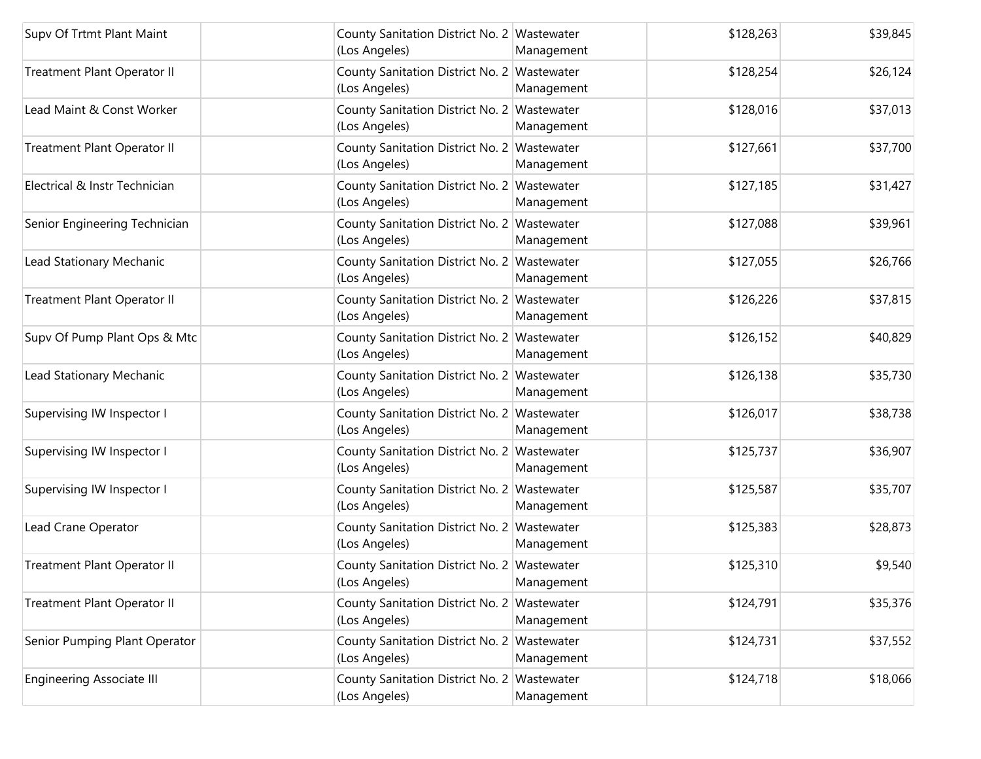| Supv Of Trtmt Plant Maint          | County Sanitation District No. 2 Wastewater<br>(Los Angeles) | Management | \$128,263 | \$39,845 |
|------------------------------------|--------------------------------------------------------------|------------|-----------|----------|
| Treatment Plant Operator II        | County Sanitation District No. 2 Wastewater<br>(Los Angeles) | Management | \$128,254 | \$26,124 |
| Lead Maint & Const Worker          | County Sanitation District No. 2 Wastewater<br>(Los Angeles) | Management | \$128,016 | \$37,013 |
| <b>Treatment Plant Operator II</b> | County Sanitation District No. 2 Wastewater<br>(Los Angeles) | Management | \$127,661 | \$37,700 |
| Electrical & Instr Technician      | County Sanitation District No. 2 Wastewater<br>(Los Angeles) | Management | \$127,185 | \$31,427 |
| Senior Engineering Technician      | County Sanitation District No. 2 Wastewater<br>(Los Angeles) | Management | \$127,088 | \$39,961 |
| Lead Stationary Mechanic           | County Sanitation District No. 2 Wastewater<br>(Los Angeles) | Management | \$127,055 | \$26,766 |
| <b>Treatment Plant Operator II</b> | County Sanitation District No. 2 Wastewater<br>(Los Angeles) | Management | \$126,226 | \$37,815 |
| Supv Of Pump Plant Ops & Mtc       | County Sanitation District No. 2 Wastewater<br>(Los Angeles) | Management | \$126,152 | \$40,829 |
| Lead Stationary Mechanic           | County Sanitation District No. 2 Wastewater<br>(Los Angeles) | Management | \$126,138 | \$35,730 |
| Supervising IW Inspector I         | County Sanitation District No. 2 Wastewater<br>(Los Angeles) | Management | \$126,017 | \$38,738 |
| Supervising IW Inspector I         | County Sanitation District No. 2 Wastewater<br>(Los Angeles) | Management | \$125,737 | \$36,907 |
| Supervising IW Inspector I         | County Sanitation District No. 2 Wastewater<br>(Los Angeles) | Management | \$125,587 | \$35,707 |
| Lead Crane Operator                | County Sanitation District No. 2 Wastewater<br>(Los Angeles) | Management | \$125,383 | \$28,873 |
| Treatment Plant Operator II        | County Sanitation District No. 2 Wastewater<br>(Los Angeles) | Management | \$125,310 | \$9,540  |
| Treatment Plant Operator II        | County Sanitation District No. 2 Wastewater<br>(Los Angeles) | Management | \$124,791 | \$35,376 |
| Senior Pumping Plant Operator      | County Sanitation District No. 2 Wastewater<br>(Los Angeles) | Management | \$124,731 | \$37,552 |
| <b>Engineering Associate III</b>   | County Sanitation District No. 2 Wastewater<br>(Los Angeles) | Management | \$124,718 | \$18,066 |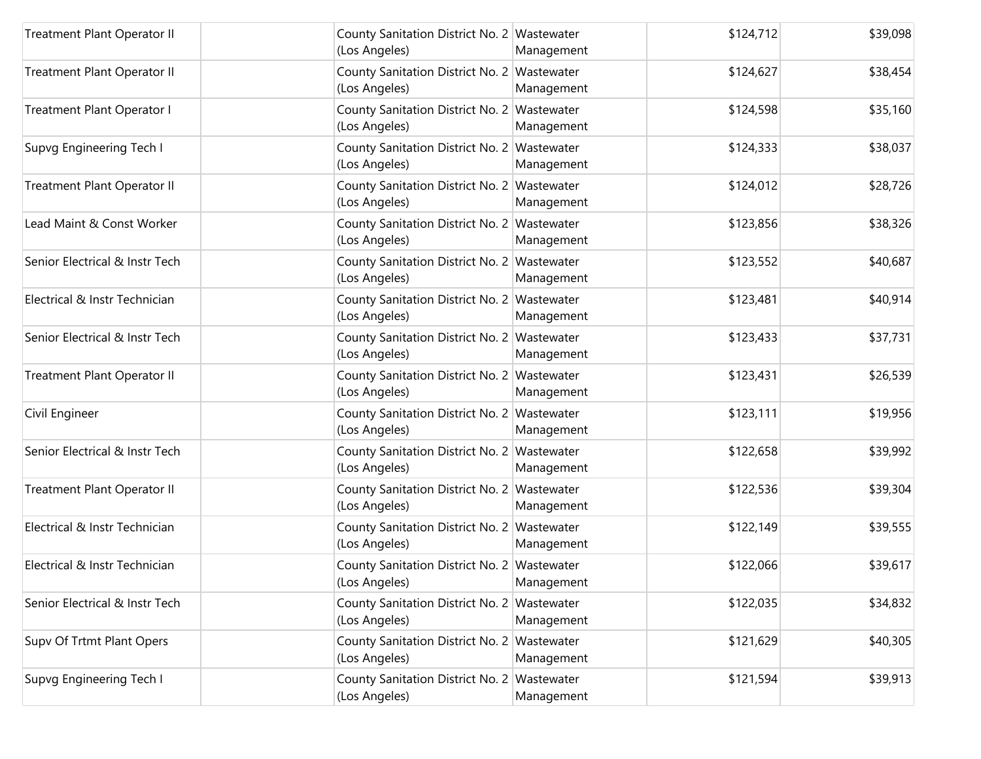| Treatment Plant Operator II    | County Sanitation District No. 2 Wastewater<br>(Los Angeles) | Management | \$124,712 | \$39,098 |
|--------------------------------|--------------------------------------------------------------|------------|-----------|----------|
| Treatment Plant Operator II    | County Sanitation District No. 2 Wastewater<br>(Los Angeles) | Management | \$124,627 | \$38,454 |
| Treatment Plant Operator I     | County Sanitation District No. 2 Wastewater<br>(Los Angeles) | Management | \$124,598 | \$35,160 |
| Supvg Engineering Tech I       | County Sanitation District No. 2 Wastewater<br>(Los Angeles) | Management | \$124,333 | \$38,037 |
| Treatment Plant Operator II    | County Sanitation District No. 2 Wastewater<br>(Los Angeles) | Management | \$124,012 | \$28,726 |
| Lead Maint & Const Worker      | County Sanitation District No. 2 Wastewater<br>(Los Angeles) | Management | \$123,856 | \$38,326 |
| Senior Electrical & Instr Tech | County Sanitation District No. 2 Wastewater<br>(Los Angeles) | Management | \$123,552 | \$40,687 |
| Electrical & Instr Technician  | County Sanitation District No. 2 Wastewater<br>(Los Angeles) | Management | \$123,481 | \$40,914 |
| Senior Electrical & Instr Tech | County Sanitation District No. 2 Wastewater<br>(Los Angeles) | Management | \$123,433 | \$37,731 |
| Treatment Plant Operator II    | County Sanitation District No. 2 Wastewater<br>(Los Angeles) | Management | \$123,431 | \$26,539 |
| Civil Engineer                 | County Sanitation District No. 2 Wastewater<br>(Los Angeles) | Management | \$123,111 | \$19,956 |
| Senior Electrical & Instr Tech | County Sanitation District No. 2 Wastewater<br>(Los Angeles) | Management | \$122,658 | \$39,992 |
| Treatment Plant Operator II    | County Sanitation District No. 2 Wastewater<br>(Los Angeles) | Management | \$122,536 | \$39,304 |
| Electrical & Instr Technician  | County Sanitation District No. 2 Wastewater<br>(Los Angeles) | Management | \$122,149 | \$39,555 |
| Electrical & Instr Technician  | County Sanitation District No. 2 Wastewater<br>(Los Angeles) | Management | \$122,066 | \$39,617 |
| Senior Electrical & Instr Tech | County Sanitation District No. 2 Wastewater<br>(Los Angeles) | Management | \$122,035 | \$34,832 |
| Supv Of Trtmt Plant Opers      | County Sanitation District No. 2 Wastewater<br>(Los Angeles) | Management | \$121,629 | \$40,305 |
| Supvg Engineering Tech I       | County Sanitation District No. 2 Wastewater<br>(Los Angeles) | Management | \$121,594 | \$39,913 |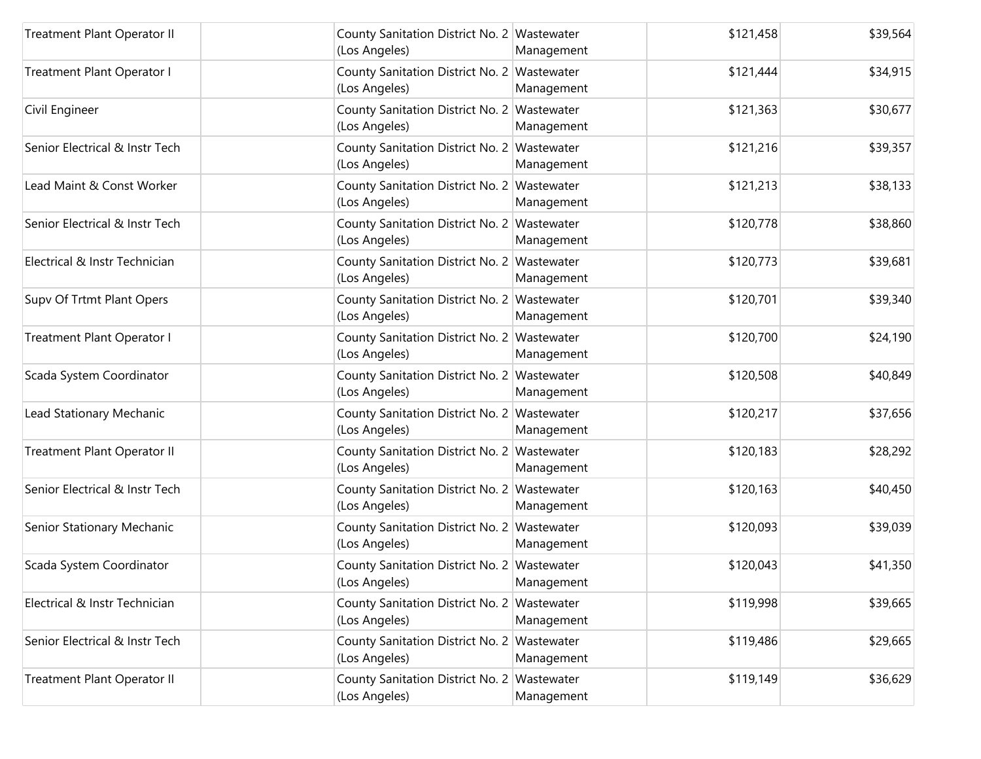| Treatment Plant Operator II    | County Sanitation District No. 2 Wastewater<br>(Los Angeles) | Management | \$121,458 | \$39,564 |
|--------------------------------|--------------------------------------------------------------|------------|-----------|----------|
| Treatment Plant Operator I     | County Sanitation District No. 2 Wastewater<br>(Los Angeles) | Management | \$121,444 | \$34,915 |
| Civil Engineer                 | County Sanitation District No. 2 Wastewater<br>(Los Angeles) | Management | \$121,363 | \$30,677 |
| Senior Electrical & Instr Tech | County Sanitation District No. 2 Wastewater<br>(Los Angeles) | Management | \$121,216 | \$39,357 |
| Lead Maint & Const Worker      | County Sanitation District No. 2 Wastewater<br>(Los Angeles) | Management | \$121,213 | \$38,133 |
| Senior Electrical & Instr Tech | County Sanitation District No. 2 Wastewater<br>(Los Angeles) | Management | \$120,778 | \$38,860 |
| Electrical & Instr Technician  | County Sanitation District No. 2 Wastewater<br>(Los Angeles) | Management | \$120,773 | \$39,681 |
| Supv Of Trtmt Plant Opers      | County Sanitation District No. 2 Wastewater<br>(Los Angeles) | Management | \$120,701 | \$39,340 |
| Treatment Plant Operator I     | County Sanitation District No. 2 Wastewater<br>(Los Angeles) | Management | \$120,700 | \$24,190 |
| Scada System Coordinator       | County Sanitation District No. 2 Wastewater<br>(Los Angeles) | Management | \$120,508 | \$40,849 |
| Lead Stationary Mechanic       | County Sanitation District No. 2 Wastewater<br>(Los Angeles) | Management | \$120,217 | \$37,656 |
| Treatment Plant Operator II    | County Sanitation District No. 2 Wastewater<br>(Los Angeles) | Management | \$120,183 | \$28,292 |
| Senior Electrical & Instr Tech | County Sanitation District No. 2 Wastewater<br>(Los Angeles) | Management | \$120,163 | \$40,450 |
| Senior Stationary Mechanic     | County Sanitation District No. 2 Wastewater<br>(Los Angeles) | Management | \$120,093 | \$39,039 |
| Scada System Coordinator       | County Sanitation District No. 2 Wastewater<br>(Los Angeles) | Management | \$120,043 | \$41,350 |
| Electrical & Instr Technician  | County Sanitation District No. 2 Wastewater<br>(Los Angeles) | Management | \$119,998 | \$39,665 |
| Senior Electrical & Instr Tech | County Sanitation District No. 2 Wastewater<br>(Los Angeles) | Management | \$119,486 | \$29,665 |
| Treatment Plant Operator II    | County Sanitation District No. 2 Wastewater<br>(Los Angeles) | Management | \$119,149 | \$36,629 |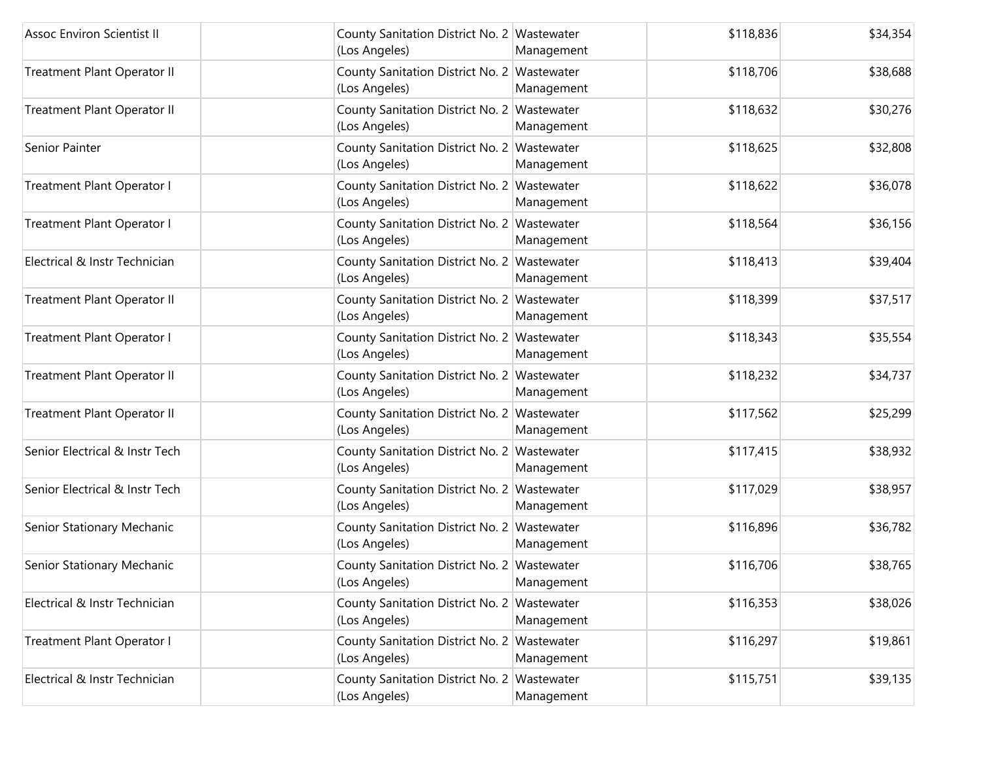| <b>Assoc Environ Scientist II</b> | County Sanitation District No. 2 Wastewater<br>(Los Angeles) | Management | \$118,836 | \$34,354 |
|-----------------------------------|--------------------------------------------------------------|------------|-----------|----------|
| Treatment Plant Operator II       | County Sanitation District No. 2 Wastewater<br>(Los Angeles) | Management | \$118,706 | \$38,688 |
| Treatment Plant Operator II       | County Sanitation District No. 2 Wastewater<br>(Los Angeles) | Management | \$118,632 | \$30,276 |
| Senior Painter                    | County Sanitation District No. 2 Wastewater<br>(Los Angeles) | Management | \$118,625 | \$32,808 |
| Treatment Plant Operator I        | County Sanitation District No. 2 Wastewater<br>(Los Angeles) | Management | \$118,622 | \$36,078 |
| Treatment Plant Operator I        | County Sanitation District No. 2 Wastewater<br>(Los Angeles) | Management | \$118,564 | \$36,156 |
| Electrical & Instr Technician     | County Sanitation District No. 2 Wastewater<br>(Los Angeles) | Management | \$118,413 | \$39,404 |
| Treatment Plant Operator II       | County Sanitation District No. 2 Wastewater<br>(Los Angeles) | Management | \$118,399 | \$37,517 |
| Treatment Plant Operator I        | County Sanitation District No. 2 Wastewater<br>(Los Angeles) | Management | \$118,343 | \$35,554 |
| Treatment Plant Operator II       | County Sanitation District No. 2 Wastewater<br>(Los Angeles) | Management | \$118,232 | \$34,737 |
| Treatment Plant Operator II       | County Sanitation District No. 2 Wastewater<br>(Los Angeles) | Management | \$117,562 | \$25,299 |
| Senior Electrical & Instr Tech    | County Sanitation District No. 2 Wastewater<br>(Los Angeles) | Management | \$117,415 | \$38,932 |
| Senior Electrical & Instr Tech    | County Sanitation District No. 2 Wastewater<br>(Los Angeles) | Management | \$117,029 | \$38,957 |
| Senior Stationary Mechanic        | County Sanitation District No. 2 Wastewater<br>(Los Angeles) | Management | \$116,896 | \$36,782 |
| Senior Stationary Mechanic        | County Sanitation District No. 2 Wastewater<br>(Los Angeles) | Management | \$116,706 | \$38,765 |
| Electrical & Instr Technician     | County Sanitation District No. 2 Wastewater<br>(Los Angeles) | Management | \$116,353 | \$38,026 |
| <b>Treatment Plant Operator I</b> | County Sanitation District No. 2 Wastewater<br>(Los Angeles) | Management | \$116,297 | \$19,861 |
| Electrical & Instr Technician     | County Sanitation District No. 2 Wastewater<br>(Los Angeles) | Management | \$115,751 | \$39,135 |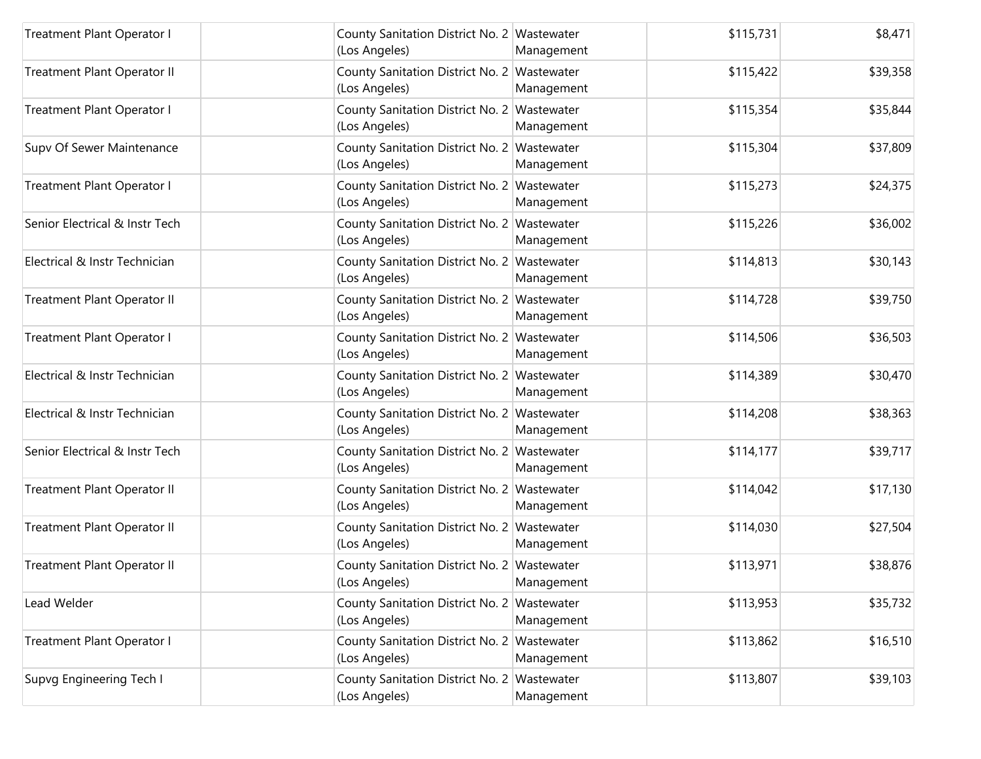| Treatment Plant Operator I     | County Sanitation District No. 2 Wastewater<br>(Los Angeles) | Management | \$115,731 | \$8,471  |
|--------------------------------|--------------------------------------------------------------|------------|-----------|----------|
| Treatment Plant Operator II    | County Sanitation District No. 2 Wastewater<br>(Los Angeles) | Management | \$115,422 | \$39,358 |
| Treatment Plant Operator I     | County Sanitation District No. 2 Wastewater<br>(Los Angeles) | Management | \$115,354 | \$35,844 |
| Supv Of Sewer Maintenance      | County Sanitation District No. 2 Wastewater<br>(Los Angeles) | Management | \$115,304 | \$37,809 |
| Treatment Plant Operator I     | County Sanitation District No. 2 Wastewater<br>(Los Angeles) | Management | \$115,273 | \$24,375 |
| Senior Electrical & Instr Tech | County Sanitation District No. 2 Wastewater<br>(Los Angeles) | Management | \$115,226 | \$36,002 |
| Electrical & Instr Technician  | County Sanitation District No. 2 Wastewater<br>(Los Angeles) | Management | \$114,813 | \$30,143 |
| Treatment Plant Operator II    | County Sanitation District No. 2 Wastewater<br>(Los Angeles) | Management | \$114,728 | \$39,750 |
| Treatment Plant Operator I     | County Sanitation District No. 2 Wastewater<br>(Los Angeles) | Management | \$114,506 | \$36,503 |
| Electrical & Instr Technician  | County Sanitation District No. 2 Wastewater<br>(Los Angeles) | Management | \$114,389 | \$30,470 |
| Electrical & Instr Technician  | County Sanitation District No. 2 Wastewater<br>(Los Angeles) | Management | \$114,208 | \$38,363 |
| Senior Electrical & Instr Tech | County Sanitation District No. 2 Wastewater<br>(Los Angeles) | Management | \$114,177 | \$39,717 |
| Treatment Plant Operator II    | County Sanitation District No. 2 Wastewater<br>(Los Angeles) | Management | \$114,042 | \$17,130 |
| Treatment Plant Operator II    | County Sanitation District No. 2 Wastewater<br>(Los Angeles) | Management | \$114,030 | \$27,504 |
| Treatment Plant Operator II    | County Sanitation District No. 2 Wastewater<br>(Los Angeles) | Management | \$113,971 | \$38,876 |
| Lead Welder                    | County Sanitation District No. 2 Wastewater<br>(Los Angeles) | Management | \$113,953 | \$35,732 |
| Treatment Plant Operator I     | County Sanitation District No. 2 Wastewater<br>(Los Angeles) | Management | \$113,862 | \$16,510 |
| Supvg Engineering Tech I       | County Sanitation District No. 2 Wastewater<br>(Los Angeles) | Management | \$113,807 | \$39,103 |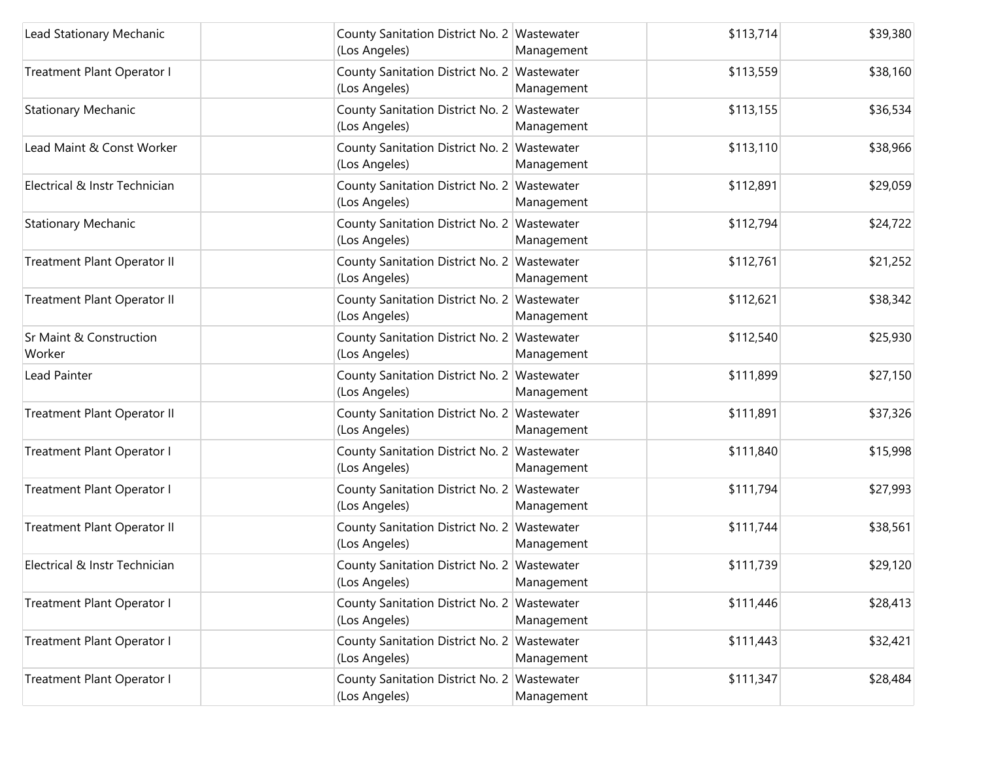| Lead Stationary Mechanic                     | County Sanitation District No. 2 Wastewater<br>(Los Angeles) | Management | \$113,714 | \$39,380 |
|----------------------------------------------|--------------------------------------------------------------|------------|-----------|----------|
| Treatment Plant Operator I                   | County Sanitation District No. 2 Wastewater<br>(Los Angeles) | Management | \$113,559 | \$38,160 |
| <b>Stationary Mechanic</b>                   | County Sanitation District No. 2 Wastewater<br>(Los Angeles) | Management | \$113,155 | \$36,534 |
| Lead Maint & Const Worker                    | County Sanitation District No. 2 Wastewater<br>(Los Angeles) | Management | \$113,110 | \$38,966 |
| Electrical & Instr Technician                | County Sanitation District No. 2 Wastewater<br>(Los Angeles) | Management | \$112,891 | \$29,059 |
| <b>Stationary Mechanic</b>                   | County Sanitation District No. 2 Wastewater<br>(Los Angeles) | Management | \$112,794 | \$24,722 |
| Treatment Plant Operator II                  | County Sanitation District No. 2 Wastewater<br>(Los Angeles) | Management | \$112,761 | \$21,252 |
| <b>Treatment Plant Operator II</b>           | County Sanitation District No. 2 Wastewater<br>(Los Angeles) | Management | \$112,621 | \$38,342 |
| <b>Sr Maint &amp; Construction</b><br>Worker | County Sanitation District No. 2 Wastewater<br>(Los Angeles) | Management | \$112,540 | \$25,930 |
| Lead Painter                                 | County Sanitation District No. 2 Wastewater<br>(Los Angeles) | Management | \$111,899 | \$27,150 |
| Treatment Plant Operator II                  | County Sanitation District No. 2 Wastewater<br>(Los Angeles) | Management | \$111,891 | \$37,326 |
| Treatment Plant Operator I                   | County Sanitation District No. 2 Wastewater<br>(Los Angeles) | Management | \$111,840 | \$15,998 |
| Treatment Plant Operator I                   | County Sanitation District No. 2 Wastewater<br>(Los Angeles) | Management | \$111,794 | \$27,993 |
| Treatment Plant Operator II                  | County Sanitation District No. 2 Wastewater<br>(Los Angeles) | Management | \$111,744 | \$38,561 |
| Electrical & Instr Technician                | County Sanitation District No. 2 Wastewater<br>(Los Angeles) | Management | \$111,739 | \$29,120 |
| Treatment Plant Operator I                   | County Sanitation District No. 2 Wastewater<br>(Los Angeles) | Management | \$111,446 | \$28,413 |
| Treatment Plant Operator I                   | County Sanitation District No. 2 Wastewater<br>(Los Angeles) | Management | \$111,443 | \$32,421 |
| Treatment Plant Operator I                   | County Sanitation District No. 2 Wastewater<br>(Los Angeles) | Management | \$111,347 | \$28,484 |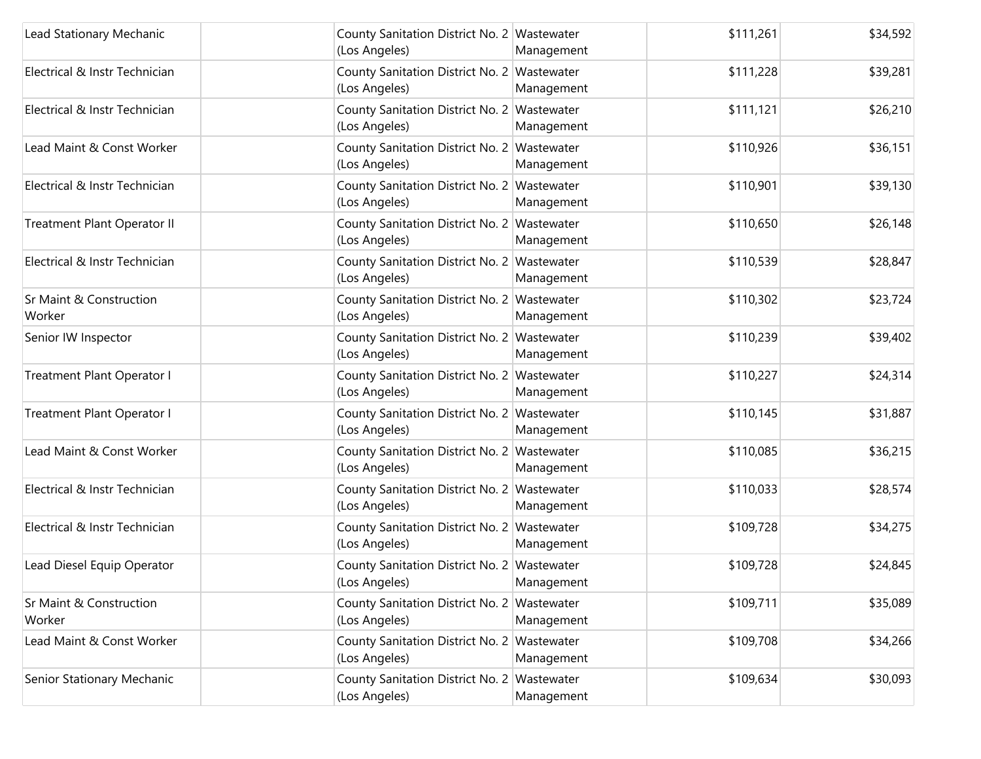| Lead Stationary Mechanic          | County Sanitation District No. 2 Wastewater<br>(Los Angeles) | Management | \$111,261 | \$34,592 |
|-----------------------------------|--------------------------------------------------------------|------------|-----------|----------|
| Electrical & Instr Technician     | County Sanitation District No. 2 Wastewater<br>(Los Angeles) | Management | \$111,228 | \$39,281 |
| Electrical & Instr Technician     | County Sanitation District No. 2 Wastewater<br>(Los Angeles) | Management | \$111,121 | \$26,210 |
| Lead Maint & Const Worker         | County Sanitation District No. 2 Wastewater<br>(Los Angeles) | Management | \$110,926 | \$36,151 |
| Electrical & Instr Technician     | County Sanitation District No. 2 Wastewater<br>(Los Angeles) | Management | \$110,901 | \$39,130 |
| Treatment Plant Operator II       | County Sanitation District No. 2 Wastewater<br>(Los Angeles) | Management | \$110,650 | \$26,148 |
| Electrical & Instr Technician     | County Sanitation District No. 2 Wastewater<br>(Los Angeles) | Management | \$110,539 | \$28,847 |
| Sr Maint & Construction<br>Worker | County Sanitation District No. 2 Wastewater<br>(Los Angeles) | Management | \$110,302 | \$23,724 |
| Senior IW Inspector               | County Sanitation District No. 2 Wastewater<br>(Los Angeles) | Management | \$110,239 | \$39,402 |
| Treatment Plant Operator I        | County Sanitation District No. 2 Wastewater<br>(Los Angeles) | Management | \$110,227 | \$24,314 |
| Treatment Plant Operator I        | County Sanitation District No. 2 Wastewater<br>(Los Angeles) | Management | \$110,145 | \$31,887 |
| Lead Maint & Const Worker         | County Sanitation District No. 2 Wastewater<br>(Los Angeles) | Management | \$110,085 | \$36,215 |
| Electrical & Instr Technician     | County Sanitation District No. 2 Wastewater<br>(Los Angeles) | Management | \$110,033 | \$28,574 |
| Electrical & Instr Technician     | County Sanitation District No. 2 Wastewater<br>(Los Angeles) | Management | \$109,728 | \$34,275 |
| Lead Diesel Equip Operator        | County Sanitation District No. 2 Wastewater<br>(Los Angeles) | Management | \$109,728 | \$24,845 |
| Sr Maint & Construction<br>Worker | County Sanitation District No. 2 Wastewater<br>(Los Angeles) | Management | \$109,711 | \$35,089 |
| Lead Maint & Const Worker         | County Sanitation District No. 2 Wastewater<br>(Los Angeles) | Management | \$109,708 | \$34,266 |
| Senior Stationary Mechanic        | County Sanitation District No. 2 Wastewater<br>(Los Angeles) | Management | \$109,634 | \$30,093 |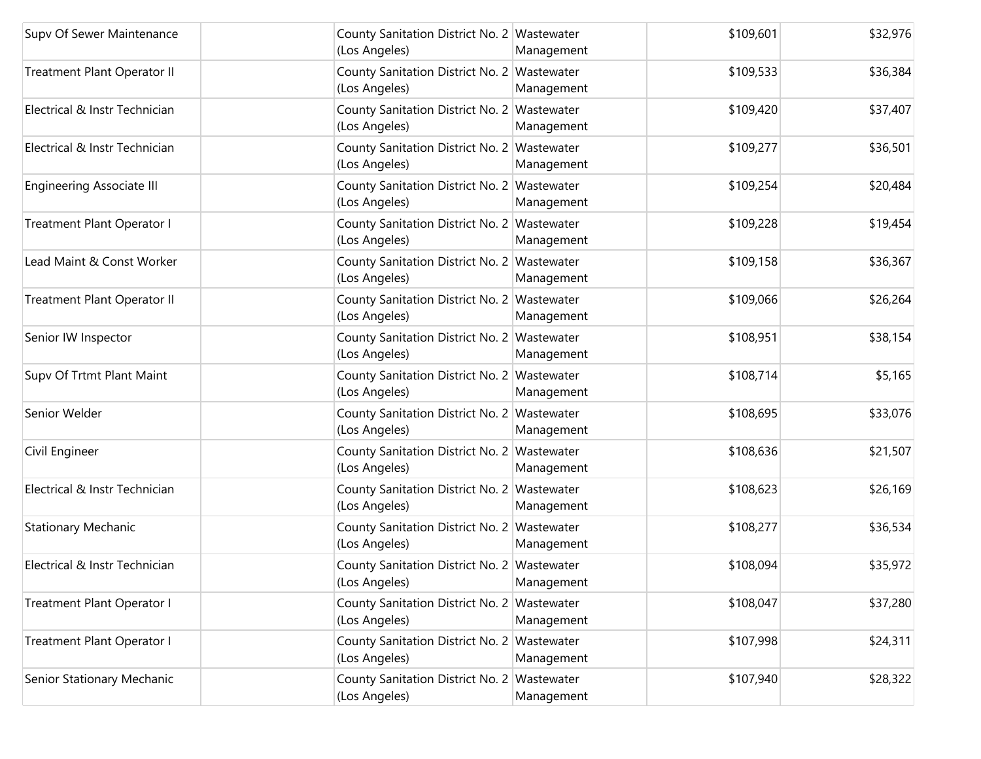| Supv Of Sewer Maintenance        | County Sanitation District No. 2 Wastewater<br>(Los Angeles) | Management | \$109,601 | \$32,976 |
|----------------------------------|--------------------------------------------------------------|------------|-----------|----------|
| Treatment Plant Operator II      | County Sanitation District No. 2 Wastewater<br>(Los Angeles) | Management | \$109,533 | \$36,384 |
| Electrical & Instr Technician    | County Sanitation District No. 2 Wastewater<br>(Los Angeles) | Management | \$109,420 | \$37,407 |
| Electrical & Instr Technician    | County Sanitation District No. 2 Wastewater<br>(Los Angeles) | Management | \$109,277 | \$36,501 |
| <b>Engineering Associate III</b> | County Sanitation District No. 2 Wastewater<br>(Los Angeles) | Management | \$109,254 | \$20,484 |
| Treatment Plant Operator I       | County Sanitation District No. 2 Wastewater<br>(Los Angeles) | Management | \$109,228 | \$19,454 |
| Lead Maint & Const Worker        | County Sanitation District No. 2 Wastewater<br>(Los Angeles) | Management | \$109,158 | \$36,367 |
| Treatment Plant Operator II      | County Sanitation District No. 2 Wastewater<br>(Los Angeles) | Management | \$109,066 | \$26,264 |
| Senior IW Inspector              | County Sanitation District No. 2 Wastewater<br>(Los Angeles) | Management | \$108,951 | \$38,154 |
| Supv Of Trtmt Plant Maint        | County Sanitation District No. 2 Wastewater<br>(Los Angeles) | Management | \$108,714 | \$5,165  |
| Senior Welder                    | County Sanitation District No. 2 Wastewater<br>(Los Angeles) | Management | \$108,695 | \$33,076 |
| Civil Engineer                   | County Sanitation District No. 2 Wastewater<br>(Los Angeles) | Management | \$108,636 | \$21,507 |
| Electrical & Instr Technician    | County Sanitation District No. 2 Wastewater<br>(Los Angeles) | Management | \$108,623 | \$26,169 |
| <b>Stationary Mechanic</b>       | County Sanitation District No. 2 Wastewater<br>(Los Angeles) | Management | \$108,277 | \$36,534 |
| Electrical & Instr Technician    | County Sanitation District No. 2 Wastewater<br>(Los Angeles) | Management | \$108,094 | \$35,972 |
| Treatment Plant Operator I       | County Sanitation District No. 2 Wastewater<br>(Los Angeles) | Management | \$108,047 | \$37,280 |
| Treatment Plant Operator I       | County Sanitation District No. 2 Wastewater<br>(Los Angeles) | Management | \$107,998 | \$24,311 |
| Senior Stationary Mechanic       | County Sanitation District No. 2 Wastewater<br>(Los Angeles) | Management | \$107,940 | \$28,322 |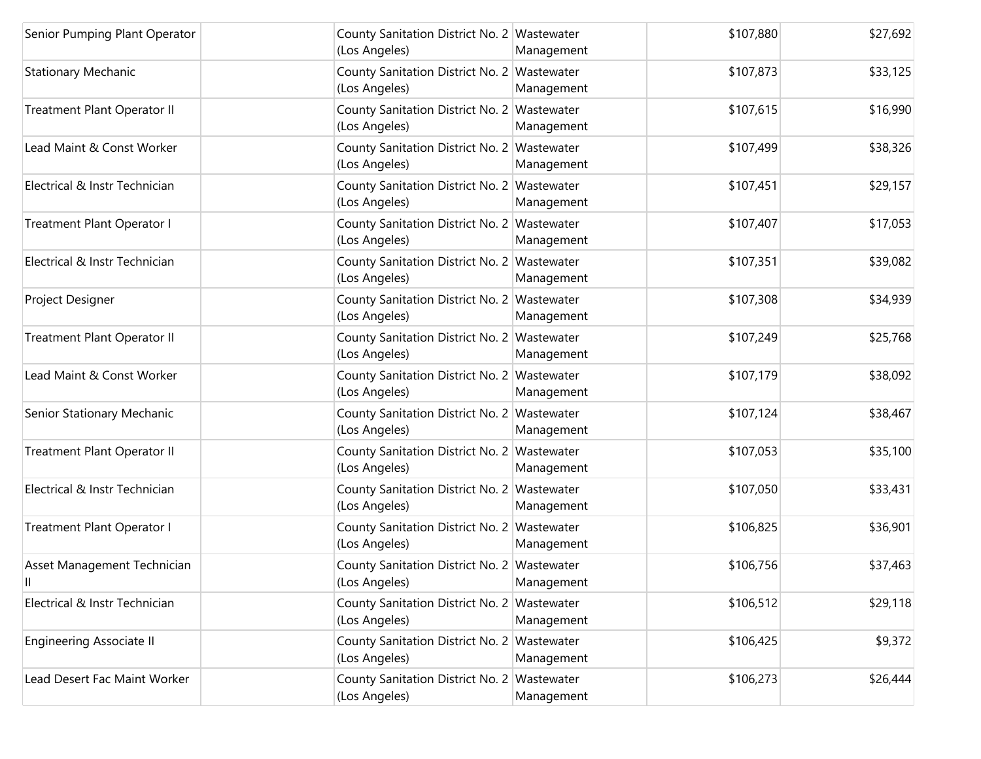| Senior Pumping Plant Operator     | County Sanitation District No. 2 Wastewater<br>(Los Angeles) | Management | \$107,880 | \$27,692 |
|-----------------------------------|--------------------------------------------------------------|------------|-----------|----------|
| <b>Stationary Mechanic</b>        | County Sanitation District No. 2 Wastewater<br>(Los Angeles) | Management | \$107,873 | \$33,125 |
| Treatment Plant Operator II       | County Sanitation District No. 2 Wastewater<br>(Los Angeles) | Management | \$107,615 | \$16,990 |
| Lead Maint & Const Worker         | County Sanitation District No. 2 Wastewater<br>(Los Angeles) | Management | \$107,499 | \$38,326 |
| Electrical & Instr Technician     | County Sanitation District No. 2 Wastewater<br>(Los Angeles) | Management | \$107,451 | \$29,157 |
| Treatment Plant Operator I        | County Sanitation District No. 2 Wastewater<br>(Los Angeles) | Management | \$107,407 | \$17,053 |
| Electrical & Instr Technician     | County Sanitation District No. 2 Wastewater<br>(Los Angeles) | Management | \$107,351 | \$39,082 |
| Project Designer                  | County Sanitation District No. 2 Wastewater<br>(Los Angeles) | Management | \$107,308 | \$34,939 |
| Treatment Plant Operator II       | County Sanitation District No. 2 Wastewater<br>(Los Angeles) | Management | \$107,249 | \$25,768 |
| Lead Maint & Const Worker         | County Sanitation District No. 2 Wastewater<br>(Los Angeles) | Management | \$107,179 | \$38,092 |
| Senior Stationary Mechanic        | County Sanitation District No. 2 Wastewater<br>(Los Angeles) | Management | \$107,124 | \$38,467 |
| Treatment Plant Operator II       | County Sanitation District No. 2 Wastewater<br>(Los Angeles) | Management | \$107,053 | \$35,100 |
| Electrical & Instr Technician     | County Sanitation District No. 2 Wastewater<br>(Los Angeles) | Management | \$107,050 | \$33,431 |
| Treatment Plant Operator I        | County Sanitation District No. 2 Wastewater<br>(Los Angeles) | Management | \$106,825 | \$36,901 |
| Asset Management Technician<br>Ш. | County Sanitation District No. 2 Wastewater<br>(Los Angeles) | Management | \$106,756 | \$37,463 |
| Electrical & Instr Technician     | County Sanitation District No. 2 Wastewater<br>(Los Angeles) | Management | \$106,512 | \$29,118 |
| <b>Engineering Associate II</b>   | County Sanitation District No. 2 Wastewater<br>(Los Angeles) | Management | \$106,425 | \$9,372  |
| Lead Desert Fac Maint Worker      | County Sanitation District No. 2 Wastewater<br>(Los Angeles) | Management | \$106,273 | \$26,444 |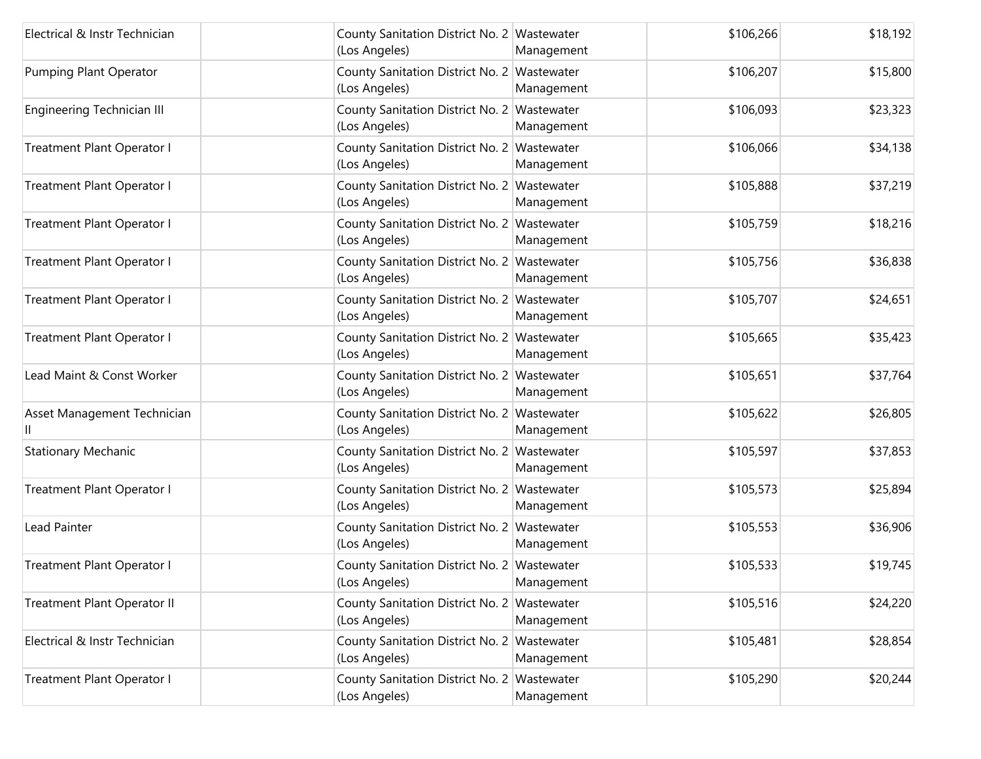| Electrical & Instr Technician     | County Sanitation District No. 2 Wastewater<br>(Los Angeles) | Management | \$106,266 | \$18,192 |
|-----------------------------------|--------------------------------------------------------------|------------|-----------|----------|
| <b>Pumping Plant Operator</b>     | County Sanitation District No. 2 Wastewater<br>(Los Angeles) | Management | \$106,207 | \$15,800 |
| <b>Engineering Technician III</b> | County Sanitation District No. 2 Wastewater<br>(Los Angeles) | Management | \$106,093 | \$23,323 |
| Treatment Plant Operator I        | County Sanitation District No. 2 Wastewater<br>(Los Angeles) | Management | \$106,066 | \$34,138 |
| Treatment Plant Operator I        | County Sanitation District No. 2 Wastewater<br>(Los Angeles) | Management | \$105,888 | \$37,219 |
| Treatment Plant Operator I        | County Sanitation District No. 2 Wastewater<br>(Los Angeles) | Management | \$105,759 | \$18,216 |
| Treatment Plant Operator I        | County Sanitation District No. 2 Wastewater<br>(Los Angeles) | Management | \$105,756 | \$36,838 |
| Treatment Plant Operator I        | County Sanitation District No. 2 Wastewater<br>(Los Angeles) | Management | \$105,707 | \$24,651 |
| Treatment Plant Operator I        | County Sanitation District No. 2 Wastewater<br>(Los Angeles) | Management | \$105,665 | \$35,423 |
| Lead Maint & Const Worker         | County Sanitation District No. 2 Wastewater<br>(Los Angeles) | Management | \$105,651 | \$37,764 |
| Asset Management Technician       | County Sanitation District No. 2 Wastewater<br>(Los Angeles) | Management | \$105,622 | \$26,805 |
| <b>Stationary Mechanic</b>        | County Sanitation District No. 2 Wastewater<br>(Los Angeles) | Management | \$105,597 | \$37,853 |
| Treatment Plant Operator I        | County Sanitation District No. 2 Wastewater<br>(Los Angeles) | Management | \$105,573 | \$25,894 |
| <b>Lead Painter</b>               | County Sanitation District No. 2 Wastewater<br>(Los Angeles) | Management | \$105,553 | \$36,906 |
| Treatment Plant Operator I        | County Sanitation District No. 2 Wastewater<br>(Los Angeles) | Management | \$105,533 | \$19,745 |
| Treatment Plant Operator II       | County Sanitation District No. 2 Wastewater<br>(Los Angeles) | Management | \$105,516 | \$24,220 |
| Electrical & Instr Technician     | County Sanitation District No. 2 Wastewater<br>(Los Angeles) | Management | \$105,481 | \$28,854 |
| Treatment Plant Operator I        | County Sanitation District No. 2 Wastewater<br>(Los Angeles) | Management | \$105,290 | \$20,244 |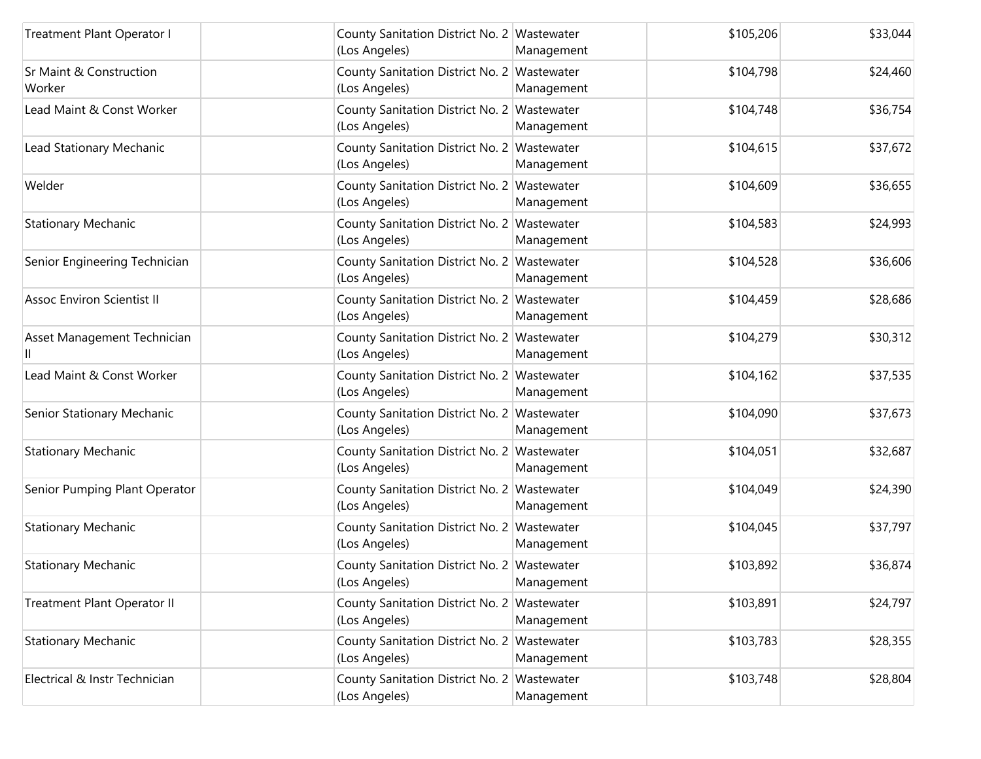| Treatment Plant Operator I                   | County Sanitation District No. 2 Wastewater<br>(Los Angeles) | Management | \$105,206 | \$33,044 |
|----------------------------------------------|--------------------------------------------------------------|------------|-----------|----------|
| <b>Sr Maint &amp; Construction</b><br>Worker | County Sanitation District No. 2 Wastewater<br>(Los Angeles) | Management | \$104,798 | \$24,460 |
| Lead Maint & Const Worker                    | County Sanitation District No. 2 Wastewater<br>(Los Angeles) | Management | \$104,748 | \$36,754 |
| Lead Stationary Mechanic                     | County Sanitation District No. 2 Wastewater<br>(Los Angeles) | Management | \$104,615 | \$37,672 |
| Welder                                       | County Sanitation District No. 2 Wastewater<br>(Los Angeles) | Management | \$104,609 | \$36,655 |
| <b>Stationary Mechanic</b>                   | County Sanitation District No. 2 Wastewater<br>(Los Angeles) | Management | \$104,583 | \$24,993 |
| Senior Engineering Technician                | County Sanitation District No. 2 Wastewater<br>(Los Angeles) | Management | \$104,528 | \$36,606 |
| <b>Assoc Environ Scientist II</b>            | County Sanitation District No. 2 Wastewater<br>(Los Angeles) | Management | \$104,459 | \$28,686 |
| Asset Management Technician                  | County Sanitation District No. 2 Wastewater<br>(Los Angeles) | Management | \$104,279 | \$30,312 |
| Lead Maint & Const Worker                    | County Sanitation District No. 2 Wastewater<br>(Los Angeles) | Management | \$104,162 | \$37,535 |
| Senior Stationary Mechanic                   | County Sanitation District No. 2 Wastewater<br>(Los Angeles) | Management | \$104,090 | \$37,673 |
| <b>Stationary Mechanic</b>                   | County Sanitation District No. 2 Wastewater<br>(Los Angeles) | Management | \$104,051 | \$32,687 |
| Senior Pumping Plant Operator                | County Sanitation District No. 2 Wastewater<br>(Los Angeles) | Management | \$104,049 | \$24,390 |
| <b>Stationary Mechanic</b>                   | County Sanitation District No. 2 Wastewater<br>(Los Angeles) | Management | \$104,045 | \$37,797 |
| <b>Stationary Mechanic</b>                   | County Sanitation District No. 2 Wastewater<br>(Los Angeles) | Management | \$103,892 | \$36,874 |
| Treatment Plant Operator II                  | County Sanitation District No. 2 Wastewater<br>(Los Angeles) | Management | \$103,891 | \$24,797 |
| <b>Stationary Mechanic</b>                   | County Sanitation District No. 2 Wastewater<br>(Los Angeles) | Management | \$103,783 | \$28,355 |
| Electrical & Instr Technician                | County Sanitation District No. 2 Wastewater<br>(Los Angeles) | Management | \$103,748 | \$28,804 |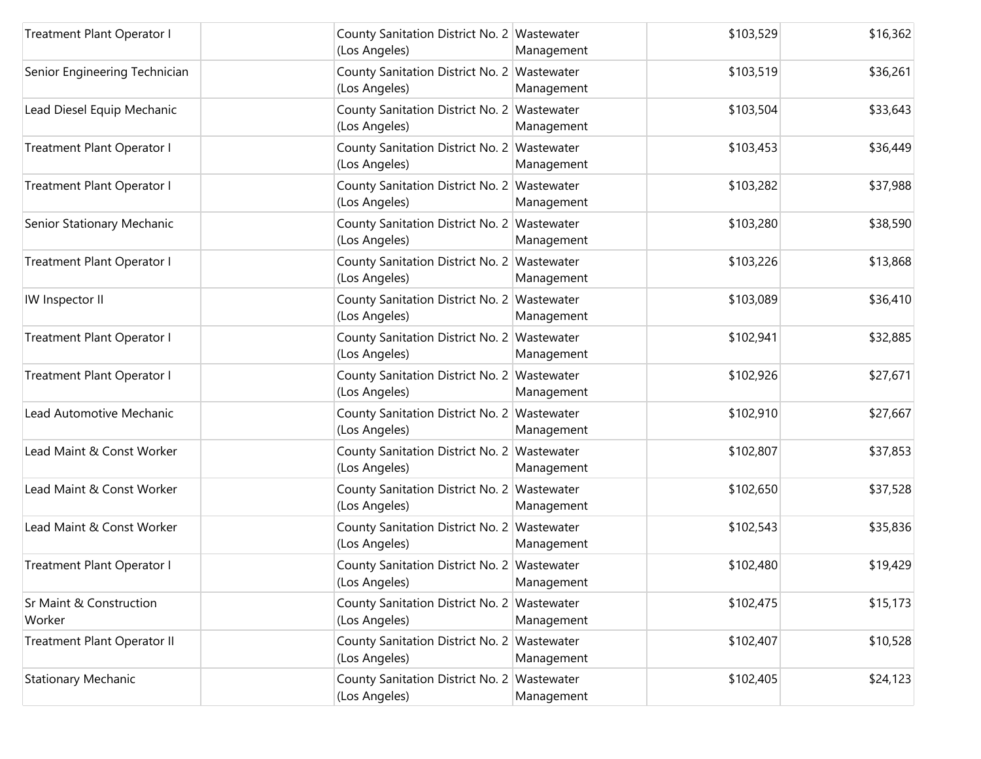| Treatment Plant Operator I        | County Sanitation District No. 2 Wastewater<br>(Los Angeles) | Management | \$103,529 | \$16,362 |
|-----------------------------------|--------------------------------------------------------------|------------|-----------|----------|
| Senior Engineering Technician     | County Sanitation District No. 2 Wastewater<br>(Los Angeles) | Management | \$103,519 | \$36,261 |
| Lead Diesel Equip Mechanic        | County Sanitation District No. 2 Wastewater<br>(Los Angeles) | Management | \$103,504 | \$33,643 |
| Treatment Plant Operator I        | County Sanitation District No. 2 Wastewater<br>(Los Angeles) | Management | \$103,453 | \$36,449 |
| Treatment Plant Operator I        | County Sanitation District No. 2 Wastewater<br>(Los Angeles) | Management | \$103,282 | \$37,988 |
| Senior Stationary Mechanic        | County Sanitation District No. 2 Wastewater<br>(Los Angeles) | Management | \$103,280 | \$38,590 |
| Treatment Plant Operator I        | County Sanitation District No. 2 Wastewater<br>(Los Angeles) | Management | \$103,226 | \$13,868 |
| IW Inspector II                   | County Sanitation District No. 2 Wastewater<br>(Los Angeles) | Management | \$103,089 | \$36,410 |
| Treatment Plant Operator I        | County Sanitation District No. 2 Wastewater<br>(Los Angeles) | Management | \$102,941 | \$32,885 |
| Treatment Plant Operator I        | County Sanitation District No. 2 Wastewater<br>(Los Angeles) | Management | \$102,926 | \$27,671 |
| Lead Automotive Mechanic          | County Sanitation District No. 2 Wastewater<br>(Los Angeles) | Management | \$102,910 | \$27,667 |
| Lead Maint & Const Worker         | County Sanitation District No. 2 Wastewater<br>(Los Angeles) | Management | \$102,807 | \$37,853 |
| Lead Maint & Const Worker         | County Sanitation District No. 2 Wastewater<br>(Los Angeles) | Management | \$102,650 | \$37,528 |
| Lead Maint & Const Worker         | County Sanitation District No. 2 Wastewater<br>(Los Angeles) | Management | \$102,543 | \$35,836 |
| Treatment Plant Operator I        | County Sanitation District No. 2 Wastewater<br>(Los Angeles) | Management | \$102,480 | \$19,429 |
| Sr Maint & Construction<br>Worker | County Sanitation District No. 2 Wastewater<br>(Los Angeles) | Management | \$102,475 | \$15,173 |
| Treatment Plant Operator II       | County Sanitation District No. 2 Wastewater<br>(Los Angeles) | Management | \$102,407 | \$10,528 |
| <b>Stationary Mechanic</b>        | County Sanitation District No. 2 Wastewater<br>(Los Angeles) | Management | \$102,405 | \$24,123 |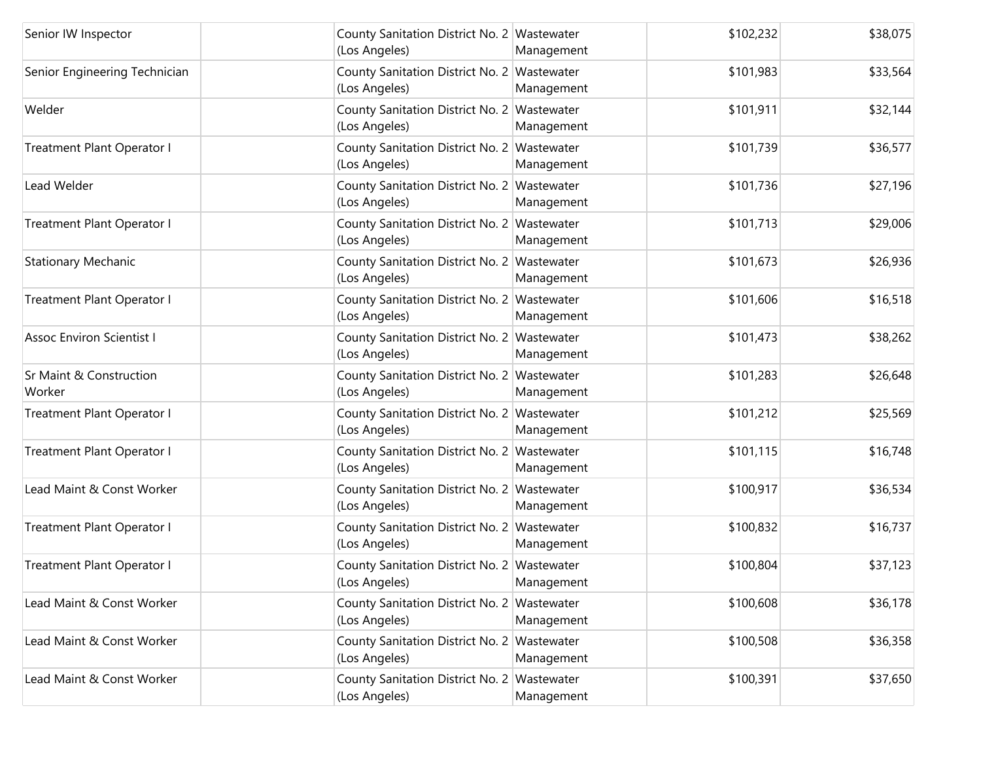| Senior IW Inspector                          | County Sanitation District No. 2 Wastewater<br>(Los Angeles) | Management | \$102,232 | \$38,075 |
|----------------------------------------------|--------------------------------------------------------------|------------|-----------|----------|
| Senior Engineering Technician                | County Sanitation District No. 2 Wastewater<br>(Los Angeles) | Management | \$101,983 | \$33,564 |
| Welder                                       | County Sanitation District No. 2 Wastewater<br>(Los Angeles) | Management | \$101,911 | \$32,144 |
| Treatment Plant Operator I                   | County Sanitation District No. 2 Wastewater<br>(Los Angeles) | Management | \$101,739 | \$36,577 |
| Lead Welder                                  | County Sanitation District No. 2 Wastewater<br>(Los Angeles) | Management | \$101,736 | \$27,196 |
| Treatment Plant Operator I                   | County Sanitation District No. 2 Wastewater<br>(Los Angeles) | Management | \$101,713 | \$29,006 |
| <b>Stationary Mechanic</b>                   | County Sanitation District No. 2 Wastewater<br>(Los Angeles) | Management | \$101,673 | \$26,936 |
| Treatment Plant Operator I                   | County Sanitation District No. 2 Wastewater<br>(Los Angeles) | Management | \$101,606 | \$16,518 |
| <b>Assoc Environ Scientist I</b>             | County Sanitation District No. 2 Wastewater<br>(Los Angeles) | Management | \$101,473 | \$38,262 |
| <b>Sr Maint &amp; Construction</b><br>Worker | County Sanitation District No. 2 Wastewater<br>(Los Angeles) | Management | \$101,283 | \$26,648 |
| Treatment Plant Operator I                   | County Sanitation District No. 2 Wastewater<br>(Los Angeles) | Management | \$101,212 | \$25,569 |
| Treatment Plant Operator I                   | County Sanitation District No. 2 Wastewater<br>(Los Angeles) | Management | \$101,115 | \$16,748 |
| Lead Maint & Const Worker                    | County Sanitation District No. 2 Wastewater<br>(Los Angeles) | Management | \$100,917 | \$36,534 |
| Treatment Plant Operator I                   | County Sanitation District No. 2 Wastewater<br>(Los Angeles) | Management | \$100,832 | \$16,737 |
| Treatment Plant Operator I                   | County Sanitation District No. 2 Wastewater<br>(Los Angeles) | Management | \$100,804 | \$37,123 |
| Lead Maint & Const Worker                    | County Sanitation District No. 2 Wastewater<br>(Los Angeles) | Management | \$100,608 | \$36,178 |
| Lead Maint & Const Worker                    | County Sanitation District No. 2 Wastewater<br>(Los Angeles) | Management | \$100,508 | \$36,358 |
| Lead Maint & Const Worker                    | County Sanitation District No. 2 Wastewater<br>(Los Angeles) | Management | \$100,391 | \$37,650 |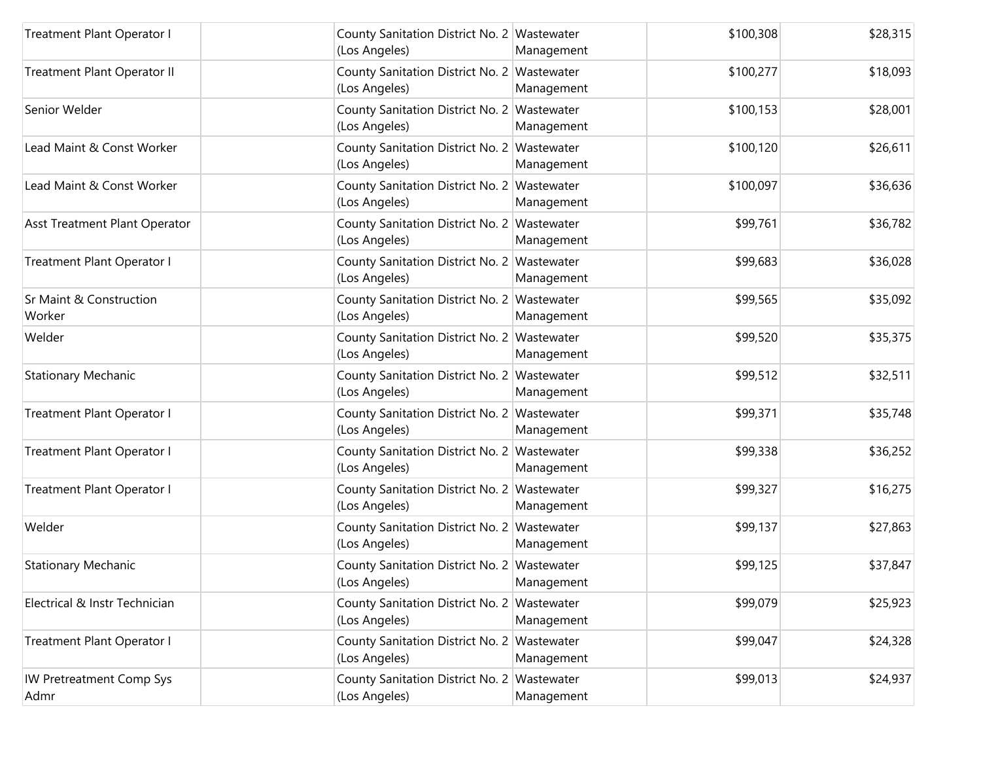| <b>Treatment Plant Operator I</b>       | County Sanitation District No. 2 Wastewater<br>(Los Angeles) | Management | \$100,308 | \$28,315 |
|-----------------------------------------|--------------------------------------------------------------|------------|-----------|----------|
| Treatment Plant Operator II             | County Sanitation District No. 2 Wastewater<br>(Los Angeles) | Management | \$100,277 | \$18,093 |
| Senior Welder                           | County Sanitation District No. 2 Wastewater<br>(Los Angeles) | Management | \$100,153 | \$28,001 |
| Lead Maint & Const Worker               | County Sanitation District No. 2 Wastewater<br>(Los Angeles) | Management | \$100,120 | \$26,611 |
| Lead Maint & Const Worker               | County Sanitation District No. 2 Wastewater<br>(Los Angeles) | Management | \$100,097 | \$36,636 |
| Asst Treatment Plant Operator           | County Sanitation District No. 2 Wastewater<br>(Los Angeles) | Management | \$99,761  | \$36,782 |
| Treatment Plant Operator I              | County Sanitation District No. 2 Wastewater<br>(Los Angeles) | Management | \$99,683  | \$36,028 |
| Sr Maint & Construction<br>Worker       | County Sanitation District No. 2 Wastewater<br>(Los Angeles) | Management | \$99,565  | \$35,092 |
| Welder                                  | County Sanitation District No. 2 Wastewater<br>(Los Angeles) | Management | \$99,520  | \$35,375 |
| <b>Stationary Mechanic</b>              | County Sanitation District No. 2 Wastewater<br>(Los Angeles) | Management | \$99,512  | \$32,511 |
| Treatment Plant Operator I              | County Sanitation District No. 2 Wastewater<br>(Los Angeles) | Management | \$99,371  | \$35,748 |
| Treatment Plant Operator I              | County Sanitation District No. 2 Wastewater<br>(Los Angeles) | Management | \$99,338  | \$36,252 |
| Treatment Plant Operator I              | County Sanitation District No. 2 Wastewater<br>(Los Angeles) | Management | \$99,327  | \$16,275 |
| Welder                                  | County Sanitation District No. 2 Wastewater<br>(Los Angeles) | Management | \$99,137  | \$27,863 |
| <b>Stationary Mechanic</b>              | County Sanitation District No. 2 Wastewater<br>(Los Angeles) | Management | \$99,125  | \$37,847 |
| Electrical & Instr Technician           | County Sanitation District No. 2 Wastewater<br>(Los Angeles) | Management | \$99,079  | \$25,923 |
| Treatment Plant Operator I              | County Sanitation District No. 2 Wastewater<br>(Los Angeles) | Management | \$99,047  | \$24,328 |
| <b>IW Pretreatment Comp Sys</b><br>Admr | County Sanitation District No. 2 Wastewater<br>(Los Angeles) | Management | \$99,013  | \$24,937 |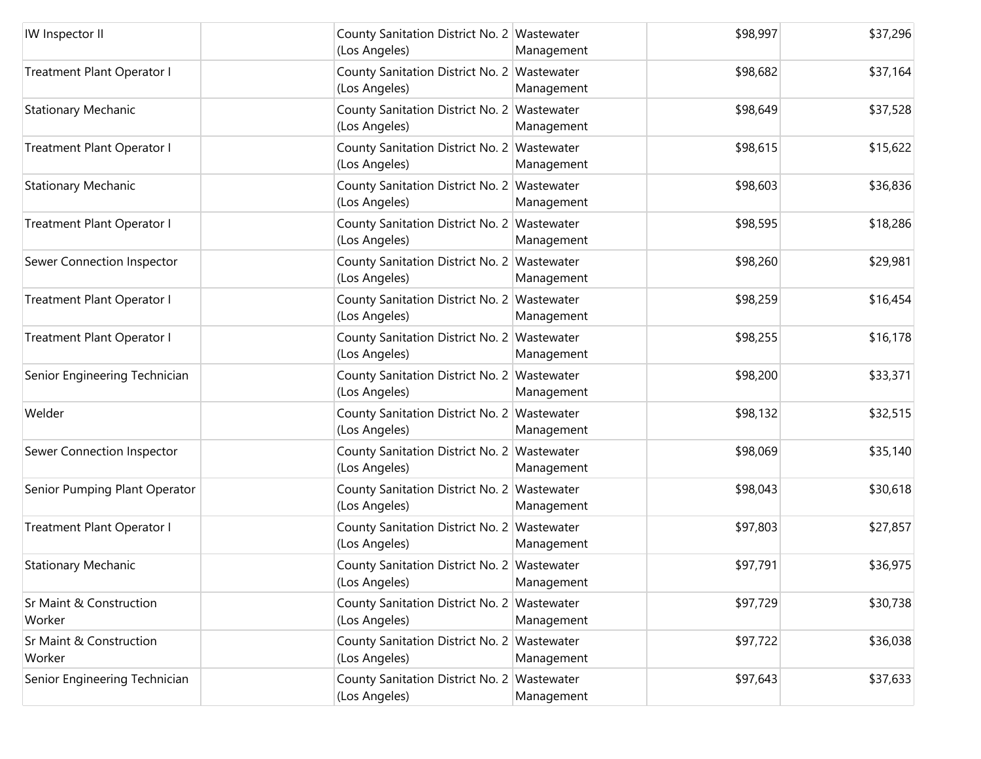| IW Inspector II                   | County Sanitation District No. 2 Wastewater<br>(Los Angeles) | Management | \$98,997 | \$37,296 |
|-----------------------------------|--------------------------------------------------------------|------------|----------|----------|
| Treatment Plant Operator I        | County Sanitation District No. 2 Wastewater<br>(Los Angeles) | Management | \$98,682 | \$37,164 |
| <b>Stationary Mechanic</b>        | County Sanitation District No. 2 Wastewater<br>(Los Angeles) | Management | \$98,649 | \$37,528 |
| Treatment Plant Operator I        | County Sanitation District No. 2 Wastewater<br>(Los Angeles) | Management | \$98,615 | \$15,622 |
| <b>Stationary Mechanic</b>        | County Sanitation District No. 2 Wastewater<br>(Los Angeles) | Management | \$98,603 | \$36,836 |
| Treatment Plant Operator I        | County Sanitation District No. 2 Wastewater<br>(Los Angeles) | Management | \$98,595 | \$18,286 |
| Sewer Connection Inspector        | County Sanitation District No. 2 Wastewater<br>(Los Angeles) | Management | \$98,260 | \$29,981 |
| Treatment Plant Operator I        | County Sanitation District No. 2 Wastewater<br>(Los Angeles) | Management | \$98,259 | \$16,454 |
| Treatment Plant Operator I        | County Sanitation District No. 2 Wastewater<br>(Los Angeles) | Management | \$98,255 | \$16,178 |
| Senior Engineering Technician     | County Sanitation District No. 2 Wastewater<br>(Los Angeles) | Management | \$98,200 | \$33,371 |
| Welder                            | County Sanitation District No. 2 Wastewater<br>(Los Angeles) | Management | \$98,132 | \$32,515 |
| Sewer Connection Inspector        | County Sanitation District No. 2 Wastewater<br>(Los Angeles) | Management | \$98,069 | \$35,140 |
| Senior Pumping Plant Operator     | County Sanitation District No. 2 Wastewater<br>(Los Angeles) | Management | \$98,043 | \$30,618 |
| Treatment Plant Operator I        | County Sanitation District No. 2 Wastewater<br>(Los Angeles) | Management | \$97,803 | \$27,857 |
| <b>Stationary Mechanic</b>        | County Sanitation District No. 2 Wastewater<br>(Los Angeles) | Management | \$97,791 | \$36,975 |
| Sr Maint & Construction<br>Worker | County Sanitation District No. 2 Wastewater<br>(Los Angeles) | Management | \$97,729 | \$30,738 |
| Sr Maint & Construction<br>Worker | County Sanitation District No. 2 Wastewater<br>(Los Angeles) | Management | \$97,722 | \$36,038 |
| Senior Engineering Technician     | County Sanitation District No. 2 Wastewater<br>(Los Angeles) | Management | \$97,643 | \$37,633 |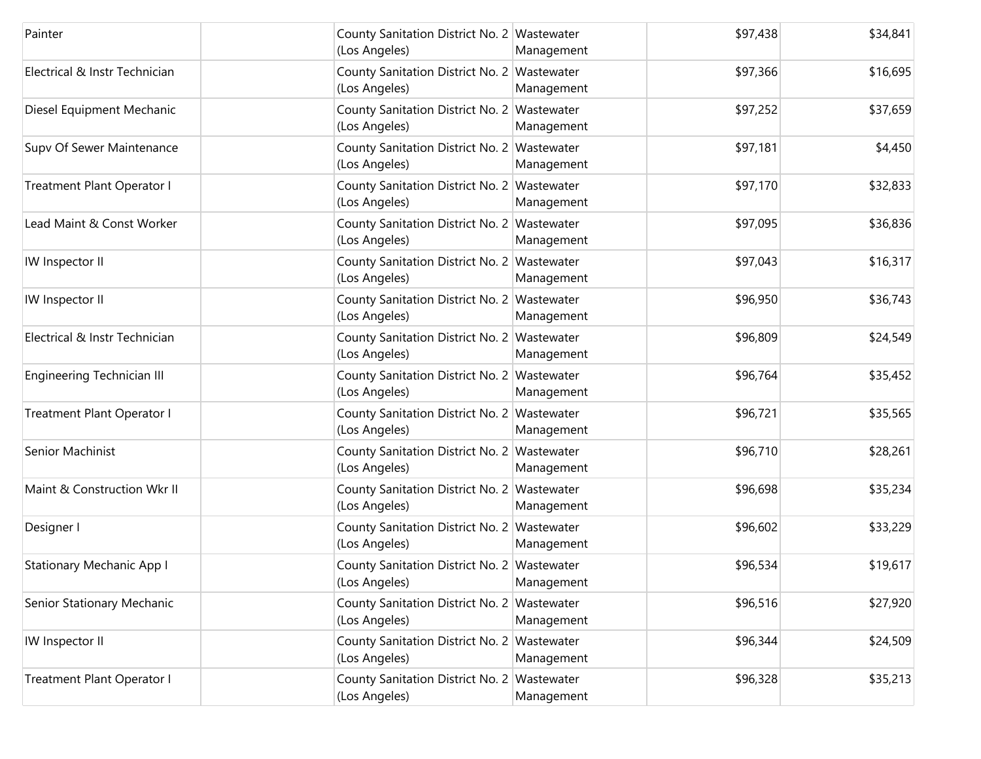| Painter                          | County Sanitation District No. 2 Wastewater<br>(Los Angeles) | Management               | \$97,438 | \$34,841 |
|----------------------------------|--------------------------------------------------------------|--------------------------|----------|----------|
| Electrical & Instr Technician    | County Sanitation District No. 2 Wastewater<br>(Los Angeles) | Management               | \$97,366 | \$16,695 |
| Diesel Equipment Mechanic        | County Sanitation District No. 2 Wastewater<br>(Los Angeles) | Management               | \$97,252 | \$37,659 |
| Supv Of Sewer Maintenance        | County Sanitation District No. 2 Wastewater<br>(Los Angeles) | Management               | \$97,181 | \$4,450  |
| Treatment Plant Operator I       | County Sanitation District No. 2 Wastewater<br>(Los Angeles) | Management               | \$97,170 | \$32,833 |
| Lead Maint & Const Worker        | County Sanitation District No. 2 Wastewater<br>(Los Angeles) | Management               | \$97,095 | \$36,836 |
| IW Inspector II                  | County Sanitation District No. 2 Wastewater<br>(Los Angeles) | Management               | \$97,043 | \$16,317 |
| IW Inspector II                  | County Sanitation District No. 2 Wastewater<br>(Los Angeles) | Management               | \$96,950 | \$36,743 |
| Electrical & Instr Technician    | County Sanitation District No. 2 Wastewater<br>(Los Angeles) | Management               | \$96,809 | \$24,549 |
| Engineering Technician III       | County Sanitation District No. 2 Wastewater<br>(Los Angeles) | Management               | \$96,764 | \$35,452 |
| Treatment Plant Operator I       | County Sanitation District No. 2 Wastewater<br>(Los Angeles) | Management               | \$96,721 | \$35,565 |
| Senior Machinist                 | County Sanitation District No. 2 Wastewater<br>(Los Angeles) | Management               | \$96,710 | \$28,261 |
| Maint & Construction Wkr II      | County Sanitation District No. 2 Wastewater<br>(Los Angeles) | Management               | \$96,698 | \$35,234 |
| Designer I                       | County Sanitation District No. 2 Wastewater<br>(Los Angeles) | Management               | \$96,602 | \$33,229 |
| <b>Stationary Mechanic App I</b> | County Sanitation District No. 2 Wastewater<br>(Los Angeles) | Management               | \$96,534 | \$19,617 |
| Senior Stationary Mechanic       | County Sanitation District No. 2<br>(Los Angeles)            | Wastewater<br>Management | \$96,516 | \$27,920 |
| IW Inspector II                  | County Sanitation District No. 2 Wastewater<br>(Los Angeles) | Management               | \$96,344 | \$24,509 |
| Treatment Plant Operator I       | County Sanitation District No. 2 Wastewater<br>(Los Angeles) | Management               | \$96,328 | \$35,213 |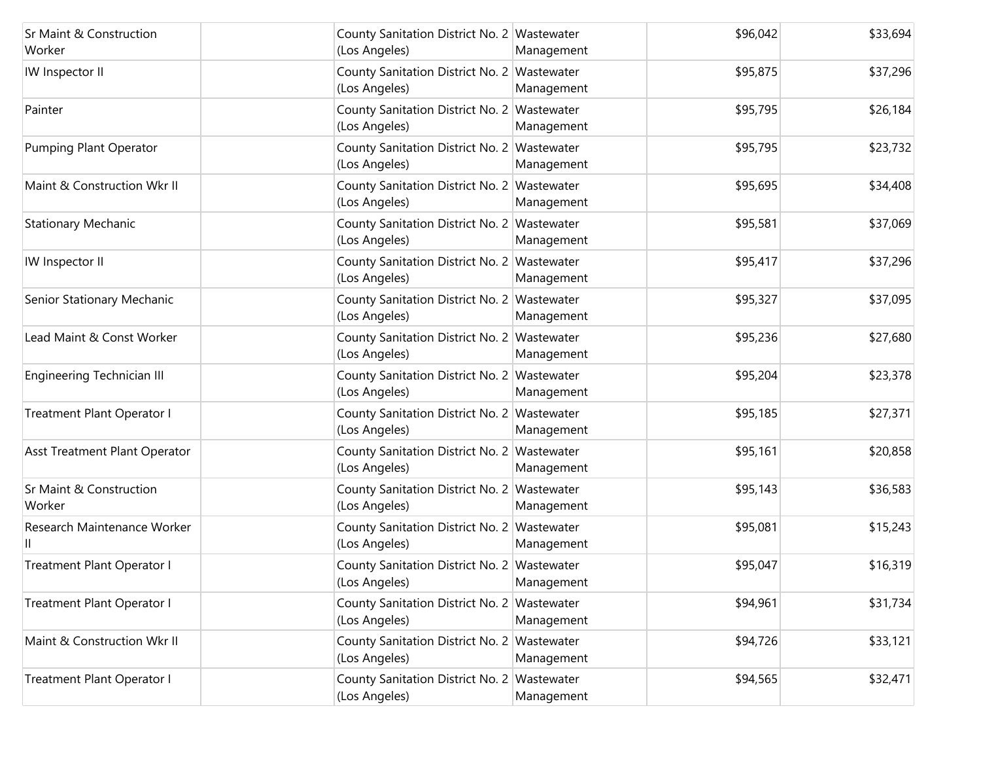| Sr Maint & Construction           | County Sanitation District No. 2 Wastewater                  |            | \$96,042 | \$33,694 |
|-----------------------------------|--------------------------------------------------------------|------------|----------|----------|
| Worker                            | (Los Angeles)                                                | Management |          |          |
| IW Inspector II                   | County Sanitation District No. 2 Wastewater<br>(Los Angeles) | Management | \$95,875 | \$37,296 |
| Painter                           | County Sanitation District No. 2 Wastewater<br>(Los Angeles) | Management | \$95,795 | \$26,184 |
| Pumping Plant Operator            | County Sanitation District No. 2 Wastewater<br>(Los Angeles) | Management | \$95,795 | \$23,732 |
| Maint & Construction Wkr II       | County Sanitation District No. 2 Wastewater<br>(Los Angeles) | Management | \$95,695 | \$34,408 |
| <b>Stationary Mechanic</b>        | County Sanitation District No. 2 Wastewater<br>(Los Angeles) | Management | \$95,581 | \$37,069 |
| IW Inspector II                   | County Sanitation District No. 2 Wastewater<br>(Los Angeles) | Management | \$95,417 | \$37,296 |
| Senior Stationary Mechanic        | County Sanitation District No. 2 Wastewater<br>(Los Angeles) | Management | \$95,327 | \$37,095 |
| Lead Maint & Const Worker         | County Sanitation District No. 2 Wastewater<br>(Los Angeles) | Management | \$95,236 | \$27,680 |
| Engineering Technician III        | County Sanitation District No. 2 Wastewater<br>(Los Angeles) | Management | \$95,204 | \$23,378 |
| Treatment Plant Operator I        | County Sanitation District No. 2 Wastewater<br>(Los Angeles) | Management | \$95,185 | \$27,371 |
| Asst Treatment Plant Operator     | County Sanitation District No. 2 Wastewater<br>(Los Angeles) | Management | \$95,161 | \$20,858 |
| Sr Maint & Construction<br>Worker | County Sanitation District No. 2 Wastewater<br>(Los Angeles) | Management | \$95,143 | \$36,583 |
| Research Maintenance Worker       | County Sanitation District No. 2 Wastewater<br>(Los Angeles) | Management | \$95,081 | \$15,243 |
| Treatment Plant Operator I        | County Sanitation District No. 2 Wastewater<br>(Los Angeles) | Management | \$95,047 | \$16,319 |
| Treatment Plant Operator I        | County Sanitation District No. 2 Wastewater<br>(Los Angeles) | Management | \$94,961 | \$31,734 |
| Maint & Construction Wkr II       | County Sanitation District No. 2 Wastewater<br>(Los Angeles) | Management | \$94,726 | \$33,121 |
| Treatment Plant Operator I        | County Sanitation District No. 2 Wastewater<br>(Los Angeles) | Management | \$94,565 | \$32,471 |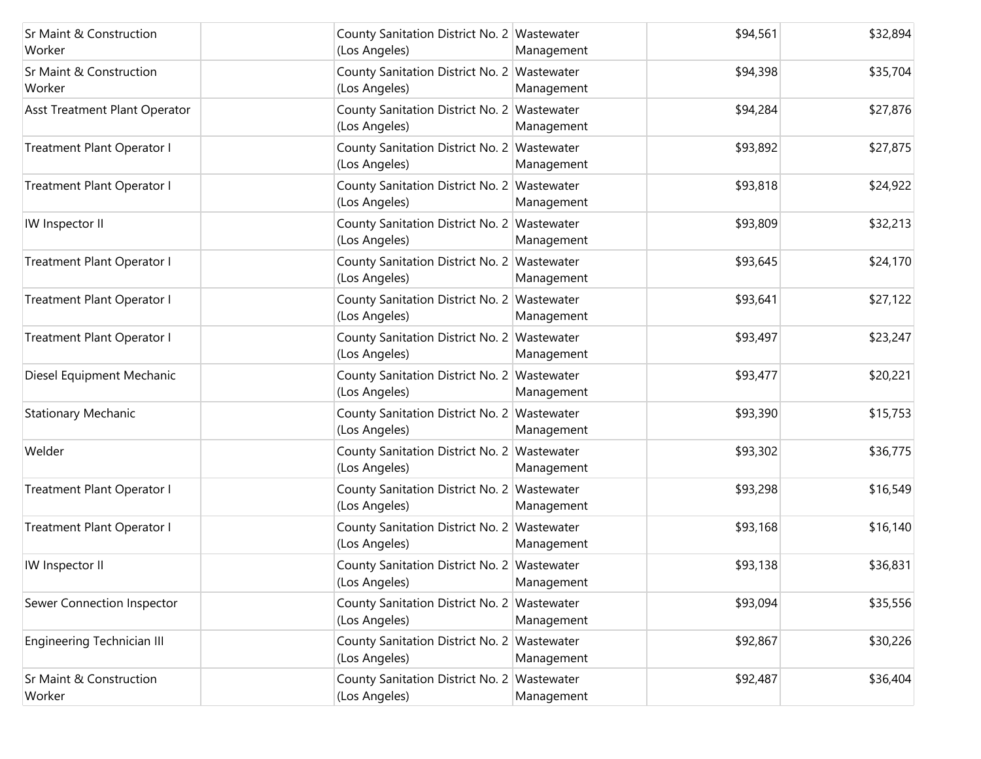| <b>Sr Maint &amp; Construction</b><br>Worker | County Sanitation District No. 2 Wastewater<br>(Los Angeles) | Management | \$94,561 | \$32,894 |
|----------------------------------------------|--------------------------------------------------------------|------------|----------|----------|
| <b>Sr Maint &amp; Construction</b><br>Worker | County Sanitation District No. 2 Wastewater<br>(Los Angeles) | Management | \$94,398 | \$35,704 |
| Asst Treatment Plant Operator                | County Sanitation District No. 2 Wastewater<br>(Los Angeles) | Management | \$94,284 | \$27,876 |
| Treatment Plant Operator I                   | County Sanitation District No. 2 Wastewater<br>(Los Angeles) | Management | \$93,892 | \$27,875 |
| Treatment Plant Operator I                   | County Sanitation District No. 2 Wastewater<br>(Los Angeles) | Management | \$93,818 | \$24,922 |
| IW Inspector II                              | County Sanitation District No. 2 Wastewater<br>(Los Angeles) | Management | \$93,809 | \$32,213 |
| Treatment Plant Operator I                   | County Sanitation District No. 2 Wastewater<br>(Los Angeles) | Management | \$93,645 | \$24,170 |
| Treatment Plant Operator I                   | County Sanitation District No. 2 Wastewater<br>(Los Angeles) | Management | \$93,641 | \$27,122 |
| Treatment Plant Operator I                   | County Sanitation District No. 2 Wastewater<br>(Los Angeles) | Management | \$93,497 | \$23,247 |
| Diesel Equipment Mechanic                    | County Sanitation District No. 2 Wastewater<br>(Los Angeles) | Management | \$93,477 | \$20,221 |
| <b>Stationary Mechanic</b>                   | County Sanitation District No. 2 Wastewater<br>(Los Angeles) | Management | \$93,390 | \$15,753 |
| Welder                                       | County Sanitation District No. 2 Wastewater<br>(Los Angeles) | Management | \$93,302 | \$36,775 |
| Treatment Plant Operator I                   | County Sanitation District No. 2 Wastewater<br>(Los Angeles) | Management | \$93,298 | \$16,549 |
| Treatment Plant Operator I                   | County Sanitation District No. 2 Wastewater<br>(Los Angeles) | Management | \$93,168 | \$16,140 |
| IW Inspector II                              | County Sanitation District No. 2 Wastewater<br>(Los Angeles) | Management | \$93,138 | \$36,831 |
| Sewer Connection Inspector                   | County Sanitation District No. 2 Wastewater<br>(Los Angeles) | Management | \$93,094 | \$35,556 |
| Engineering Technician III                   | County Sanitation District No. 2 Wastewater<br>(Los Angeles) | Management | \$92,867 | \$30,226 |
| Sr Maint & Construction<br>Worker            | County Sanitation District No. 2 Wastewater<br>(Los Angeles) | Management | \$92,487 | \$36,404 |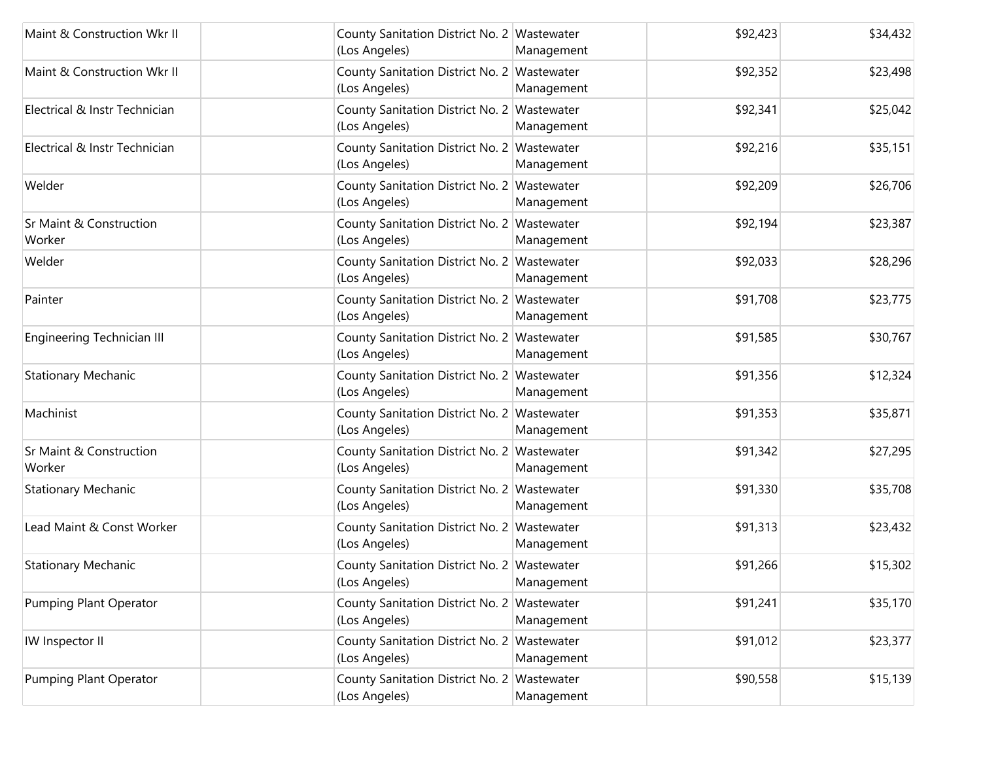| Maint & Construction Wkr II       | County Sanitation District No. 2 Wastewater<br>(Los Angeles) | Management | \$92,423 | \$34,432 |
|-----------------------------------|--------------------------------------------------------------|------------|----------|----------|
| Maint & Construction Wkr II       | County Sanitation District No. 2 Wastewater<br>(Los Angeles) | Management | \$92,352 | \$23,498 |
| Electrical & Instr Technician     | County Sanitation District No. 2 Wastewater<br>(Los Angeles) | Management | \$92,341 | \$25,042 |
| Electrical & Instr Technician     | County Sanitation District No. 2 Wastewater<br>(Los Angeles) | Management | \$92,216 | \$35,151 |
| Welder                            | County Sanitation District No. 2 Wastewater<br>(Los Angeles) | Management | \$92,209 | \$26,706 |
| Sr Maint & Construction<br>Worker | County Sanitation District No. 2 Wastewater<br>(Los Angeles) | Management | \$92,194 | \$23,387 |
| Welder                            | County Sanitation District No. 2 Wastewater<br>(Los Angeles) | Management | \$92,033 | \$28,296 |
| Painter                           | County Sanitation District No. 2 Wastewater<br>(Los Angeles) | Management | \$91,708 | \$23,775 |
| Engineering Technician III        | County Sanitation District No. 2 Wastewater<br>(Los Angeles) | Management | \$91,585 | \$30,767 |
| <b>Stationary Mechanic</b>        | County Sanitation District No. 2 Wastewater<br>(Los Angeles) | Management | \$91,356 | \$12,324 |
| Machinist                         | County Sanitation District No. 2 Wastewater<br>(Los Angeles) | Management | \$91,353 | \$35,871 |
| Sr Maint & Construction<br>Worker | County Sanitation District No. 2 Wastewater<br>(Los Angeles) | Management | \$91,342 | \$27,295 |
| <b>Stationary Mechanic</b>        | County Sanitation District No. 2 Wastewater<br>(Los Angeles) | Management | \$91,330 | \$35,708 |
| Lead Maint & Const Worker         | County Sanitation District No. 2 Wastewater<br>(Los Angeles) | Management | \$91,313 | \$23,432 |
| <b>Stationary Mechanic</b>        | County Sanitation District No. 2 Wastewater<br>(Los Angeles) | Management | \$91,266 | \$15,302 |
| Pumping Plant Operator            | County Sanitation District No. 2 Wastewater<br>(Los Angeles) | Management | \$91,241 | \$35,170 |
| IW Inspector II                   | County Sanitation District No. 2 Wastewater<br>(Los Angeles) | Management | \$91,012 | \$23,377 |
| Pumping Plant Operator            | County Sanitation District No. 2 Wastewater<br>(Los Angeles) | Management | \$90,558 | \$15,139 |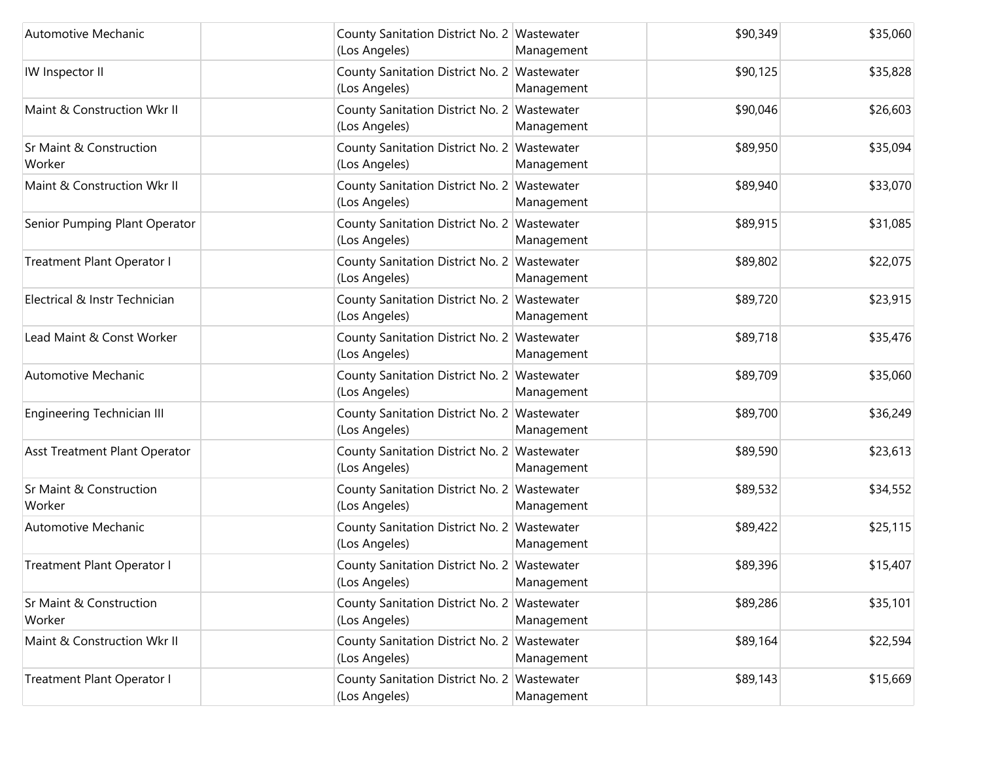| Automotive Mechanic                          | County Sanitation District No. 2 Wastewater<br>(Los Angeles) | Management | \$90,349 | \$35,060 |
|----------------------------------------------|--------------------------------------------------------------|------------|----------|----------|
| IW Inspector II                              | County Sanitation District No. 2 Wastewater<br>(Los Angeles) | Management | \$90,125 | \$35,828 |
| Maint & Construction Wkr II                  | County Sanitation District No. 2 Wastewater<br>(Los Angeles) | Management | \$90,046 | \$26,603 |
| <b>Sr Maint &amp; Construction</b><br>Worker | County Sanitation District No. 2 Wastewater<br>(Los Angeles) | Management | \$89,950 | \$35,094 |
| Maint & Construction Wkr II                  | County Sanitation District No. 2 Wastewater<br>(Los Angeles) | Management | \$89,940 | \$33,070 |
| Senior Pumping Plant Operator                | County Sanitation District No. 2 Wastewater<br>(Los Angeles) | Management | \$89,915 | \$31,085 |
| Treatment Plant Operator I                   | County Sanitation District No. 2 Wastewater<br>(Los Angeles) | Management | \$89,802 | \$22,075 |
| Electrical & Instr Technician                | County Sanitation District No. 2 Wastewater<br>(Los Angeles) | Management | \$89,720 | \$23,915 |
| Lead Maint & Const Worker                    | County Sanitation District No. 2 Wastewater<br>(Los Angeles) | Management | \$89,718 | \$35,476 |
| Automotive Mechanic                          | County Sanitation District No. 2 Wastewater<br>(Los Angeles) | Management | \$89,709 | \$35,060 |
| <b>Engineering Technician III</b>            | County Sanitation District No. 2 Wastewater<br>(Los Angeles) | Management | \$89,700 | \$36,249 |
| Asst Treatment Plant Operator                | County Sanitation District No. 2 Wastewater<br>(Los Angeles) | Management | \$89,590 | \$23,613 |
| <b>Sr Maint &amp; Construction</b><br>Worker | County Sanitation District No. 2 Wastewater<br>(Los Angeles) | Management | \$89,532 | \$34,552 |
| Automotive Mechanic                          | County Sanitation District No. 2 Wastewater<br>(Los Angeles) | Management | \$89,422 | \$25,115 |
| Treatment Plant Operator I                   | County Sanitation District No. 2 Wastewater<br>(Los Angeles) | Management | \$89,396 | \$15,407 |
| Sr Maint & Construction<br>Worker            | County Sanitation District No. 2 Wastewater<br>(Los Angeles) | Management | \$89,286 | \$35,101 |
| Maint & Construction Wkr II                  | County Sanitation District No. 2 Wastewater<br>(Los Angeles) | Management | \$89,164 | \$22,594 |
| Treatment Plant Operator I                   | County Sanitation District No. 2 Wastewater<br>(Los Angeles) | Management | \$89,143 | \$15,669 |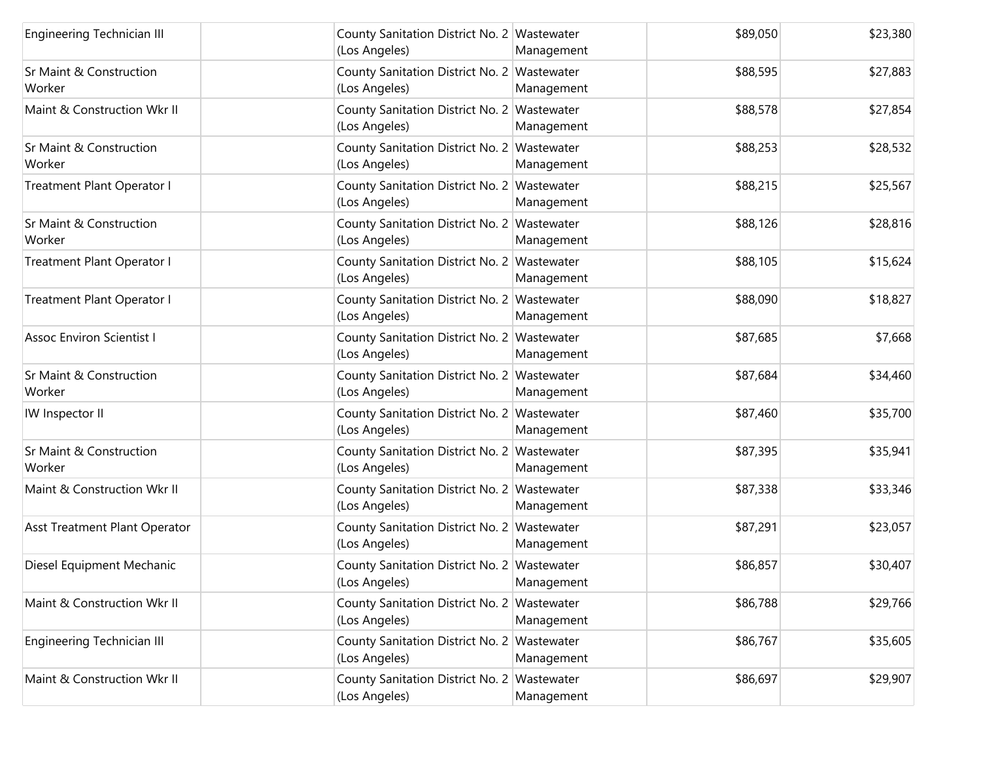| Engineering Technician III                   | County Sanitation District No. 2 Wastewater<br>(Los Angeles) | Management | \$89,050 | \$23,380 |
|----------------------------------------------|--------------------------------------------------------------|------------|----------|----------|
| <b>Sr Maint &amp; Construction</b><br>Worker | County Sanitation District No. 2 Wastewater<br>(Los Angeles) | Management | \$88,595 | \$27,883 |
| Maint & Construction Wkr II                  | County Sanitation District No. 2 Wastewater<br>(Los Angeles) | Management | \$88,578 | \$27,854 |
| <b>Sr Maint &amp; Construction</b><br>Worker | County Sanitation District No. 2 Wastewater<br>(Los Angeles) | Management | \$88,253 | \$28,532 |
| <b>Treatment Plant Operator I</b>            | County Sanitation District No. 2 Wastewater<br>(Los Angeles) | Management | \$88,215 | \$25,567 |
| <b>Sr Maint &amp; Construction</b><br>Worker | County Sanitation District No. 2 Wastewater<br>(Los Angeles) | Management | \$88,126 | \$28,816 |
| <b>Treatment Plant Operator I</b>            | County Sanitation District No. 2 Wastewater<br>(Los Angeles) | Management | \$88,105 | \$15,624 |
| Treatment Plant Operator I                   | County Sanitation District No. 2 Wastewater<br>(Los Angeles) | Management | \$88,090 | \$18,827 |
| <b>Assoc Environ Scientist I</b>             | County Sanitation District No. 2 Wastewater<br>(Los Angeles) | Management | \$87,685 | \$7,668  |
| <b>Sr Maint &amp; Construction</b><br>Worker | County Sanitation District No. 2 Wastewater<br>(Los Angeles) | Management | \$87,684 | \$34,460 |
| IW Inspector II                              | County Sanitation District No. 2 Wastewater<br>(Los Angeles) | Management | \$87,460 | \$35,700 |
| <b>Sr Maint &amp; Construction</b><br>Worker | County Sanitation District No. 2 Wastewater<br>(Los Angeles) | Management | \$87,395 | \$35,941 |
| Maint & Construction Wkr II                  | County Sanitation District No. 2 Wastewater<br>(Los Angeles) | Management | \$87,338 | \$33,346 |
| Asst Treatment Plant Operator                | County Sanitation District No. 2 Wastewater<br>(Los Angeles) | Management | \$87,291 | \$23,057 |
| Diesel Equipment Mechanic                    | County Sanitation District No. 2 Wastewater<br>(Los Angeles) | Management | \$86,857 | \$30,407 |
| Maint & Construction Wkr II                  | County Sanitation District No. 2 Wastewater<br>(Los Angeles) | Management | \$86,788 | \$29,766 |
| Engineering Technician III                   | County Sanitation District No. 2 Wastewater<br>(Los Angeles) | Management | \$86,767 | \$35,605 |
| Maint & Construction Wkr II                  | County Sanitation District No. 2 Wastewater<br>(Los Angeles) | Management | \$86,697 | \$29,907 |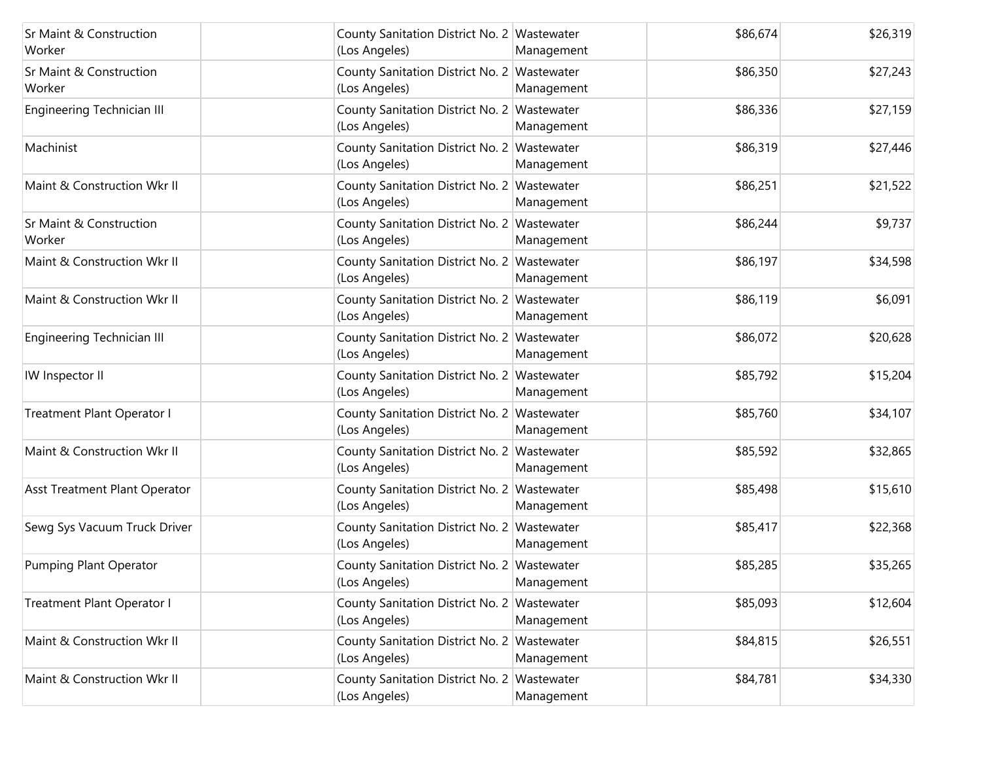| Sr Maint & Construction<br>Worker            | County Sanitation District No. 2 Wastewater<br>(Los Angeles) | Management | \$86,674 | \$26,319 |
|----------------------------------------------|--------------------------------------------------------------|------------|----------|----------|
| <b>Sr Maint &amp; Construction</b><br>Worker | County Sanitation District No. 2 Wastewater<br>(Los Angeles) | Management | \$86,350 | \$27,243 |
| Engineering Technician III                   | County Sanitation District No. 2 Wastewater<br>(Los Angeles) | Management | \$86,336 | \$27,159 |
| Machinist                                    | County Sanitation District No. 2 Wastewater<br>(Los Angeles) | Management | \$86,319 | \$27,446 |
| Maint & Construction Wkr II                  | County Sanitation District No. 2 Wastewater<br>(Los Angeles) | Management | \$86,251 | \$21,522 |
| Sr Maint & Construction<br>Worker            | County Sanitation District No. 2 Wastewater<br>(Los Angeles) | Management | \$86,244 | \$9,737  |
| Maint & Construction Wkr II                  | County Sanitation District No. 2 Wastewater<br>(Los Angeles) | Management | \$86,197 | \$34,598 |
| Maint & Construction Wkr II                  | County Sanitation District No. 2 Wastewater<br>(Los Angeles) | Management | \$86,119 | \$6,091  |
| Engineering Technician III                   | County Sanitation District No. 2 Wastewater<br>(Los Angeles) | Management | \$86,072 | \$20,628 |
| IW Inspector II                              | County Sanitation District No. 2 Wastewater<br>(Los Angeles) | Management | \$85,792 | \$15,204 |
| Treatment Plant Operator I                   | County Sanitation District No. 2 Wastewater<br>(Los Angeles) | Management | \$85,760 | \$34,107 |
| Maint & Construction Wkr II                  | County Sanitation District No. 2 Wastewater<br>(Los Angeles) | Management | \$85,592 | \$32,865 |
| Asst Treatment Plant Operator                | County Sanitation District No. 2 Wastewater<br>(Los Angeles) | Management | \$85,498 | \$15,610 |
| Sewg Sys Vacuum Truck Driver                 | County Sanitation District No. 2 Wastewater<br>(Los Angeles) | Management | \$85,417 | \$22,368 |
| Pumping Plant Operator                       | County Sanitation District No. 2 Wastewater<br>(Los Angeles) | Management | \$85,285 | \$35,265 |
| Treatment Plant Operator I                   | County Sanitation District No. 2 Wastewater<br>(Los Angeles) | Management | \$85,093 | \$12,604 |
| Maint & Construction Wkr II                  | County Sanitation District No. 2 Wastewater<br>(Los Angeles) | Management | \$84,815 | \$26,551 |
| Maint & Construction Wkr II                  | County Sanitation District No. 2 Wastewater<br>(Los Angeles) | Management | \$84,781 | \$34,330 |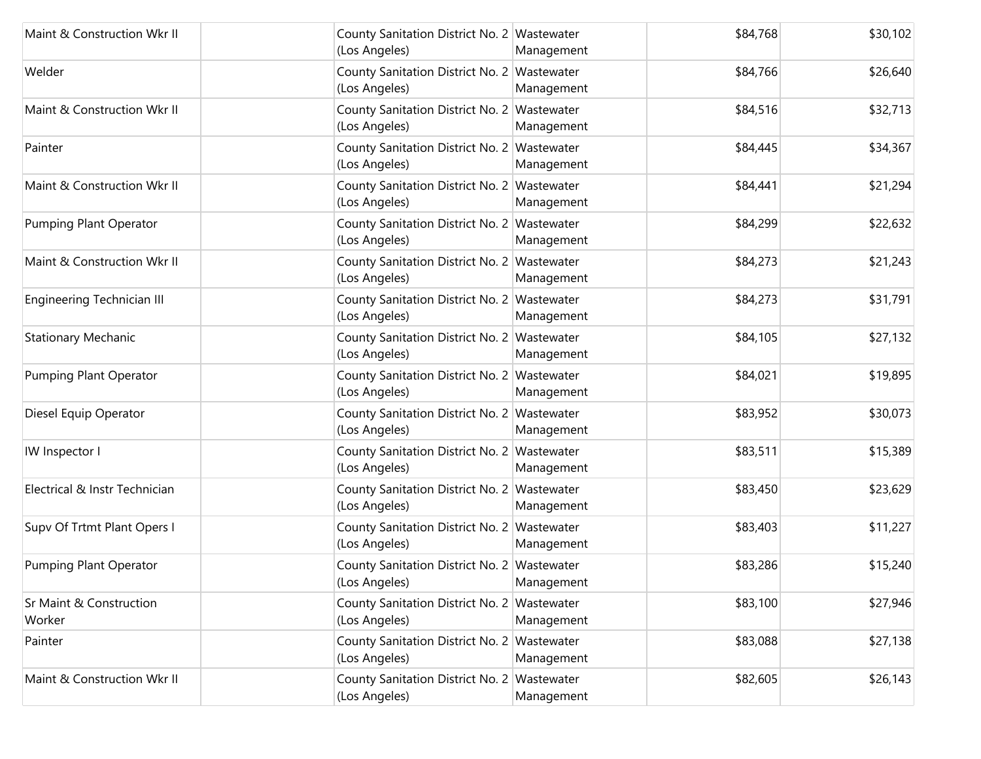| Maint & Construction Wkr II       | County Sanitation District No. 2 Wastewater<br>(Los Angeles) | Management | \$84,768 | \$30,102 |
|-----------------------------------|--------------------------------------------------------------|------------|----------|----------|
| Welder                            | County Sanitation District No. 2 Wastewater<br>(Los Angeles) | Management | \$84,766 | \$26,640 |
| Maint & Construction Wkr II       | County Sanitation District No. 2 Wastewater<br>(Los Angeles) | Management | \$84,516 | \$32,713 |
| Painter                           | County Sanitation District No. 2 Wastewater<br>(Los Angeles) | Management | \$84,445 | \$34,367 |
| Maint & Construction Wkr II       | County Sanitation District No. 2 Wastewater<br>(Los Angeles) | Management | \$84,441 | \$21,294 |
| Pumping Plant Operator            | County Sanitation District No. 2 Wastewater<br>(Los Angeles) | Management | \$84,299 | \$22,632 |
| Maint & Construction Wkr II       | County Sanitation District No. 2 Wastewater<br>(Los Angeles) | Management | \$84,273 | \$21,243 |
| Engineering Technician III        | County Sanitation District No. 2 Wastewater<br>(Los Angeles) | Management | \$84,273 | \$31,791 |
| <b>Stationary Mechanic</b>        | County Sanitation District No. 2 Wastewater<br>(Los Angeles) | Management | \$84,105 | \$27,132 |
| <b>Pumping Plant Operator</b>     | County Sanitation District No. 2 Wastewater<br>(Los Angeles) | Management | \$84,021 | \$19,895 |
| Diesel Equip Operator             | County Sanitation District No. 2 Wastewater<br>(Los Angeles) | Management | \$83,952 | \$30,073 |
| IW Inspector I                    | County Sanitation District No. 2 Wastewater<br>(Los Angeles) | Management | \$83,511 | \$15,389 |
| Electrical & Instr Technician     | County Sanitation District No. 2 Wastewater<br>(Los Angeles) | Management | \$83,450 | \$23,629 |
| Supv Of Trtmt Plant Opers I       | County Sanitation District No. 2 Wastewater<br>(Los Angeles) | Management | \$83,403 | \$11,227 |
| Pumping Plant Operator            | County Sanitation District No. 2 Wastewater<br>(Los Angeles) | Management | \$83,286 | \$15,240 |
| Sr Maint & Construction<br>Worker | County Sanitation District No. 2 Wastewater<br>(Los Angeles) | Management | \$83,100 | \$27,946 |
| Painter                           | County Sanitation District No. 2 Wastewater<br>(Los Angeles) | Management | \$83,088 | \$27,138 |
| Maint & Construction Wkr II       | County Sanitation District No. 2 Wastewater<br>(Los Angeles) | Management | \$82,605 | \$26,143 |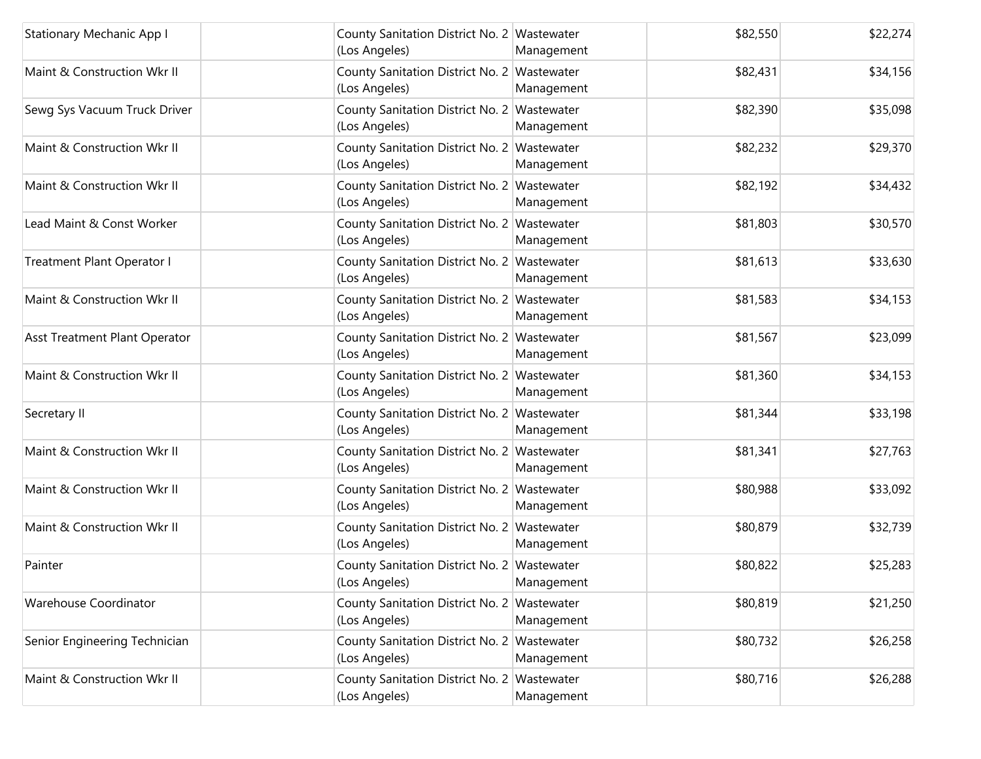| <b>Stationary Mechanic App I</b>  | County Sanitation District No. 2 Wastewater<br>(Los Angeles) | Management | \$82,550 | \$22,274 |
|-----------------------------------|--------------------------------------------------------------|------------|----------|----------|
| Maint & Construction Wkr II       | County Sanitation District No. 2 Wastewater<br>(Los Angeles) | Management | \$82,431 | \$34,156 |
| Sewg Sys Vacuum Truck Driver      | County Sanitation District No. 2 Wastewater<br>(Los Angeles) | Management | \$82,390 | \$35,098 |
| Maint & Construction Wkr II       | County Sanitation District No. 2 Wastewater<br>(Los Angeles) | Management | \$82,232 | \$29,370 |
| Maint & Construction Wkr II       | County Sanitation District No. 2 Wastewater<br>(Los Angeles) | Management | \$82,192 | \$34,432 |
| Lead Maint & Const Worker         | County Sanitation District No. 2 Wastewater<br>(Los Angeles) | Management | \$81,803 | \$30,570 |
| <b>Treatment Plant Operator I</b> | County Sanitation District No. 2 Wastewater<br>(Los Angeles) | Management | \$81,613 | \$33,630 |
| Maint & Construction Wkr II       | County Sanitation District No. 2 Wastewater<br>(Los Angeles) | Management | \$81,583 | \$34,153 |
| Asst Treatment Plant Operator     | County Sanitation District No. 2 Wastewater<br>(Los Angeles) | Management | \$81,567 | \$23,099 |
| Maint & Construction Wkr II       | County Sanitation District No. 2 Wastewater<br>(Los Angeles) | Management | \$81,360 | \$34,153 |
| Secretary II                      | County Sanitation District No. 2 Wastewater<br>(Los Angeles) | Management | \$81,344 | \$33,198 |
| Maint & Construction Wkr II       | County Sanitation District No. 2 Wastewater<br>(Los Angeles) | Management | \$81,341 | \$27,763 |
| Maint & Construction Wkr II       | County Sanitation District No. 2 Wastewater<br>(Los Angeles) | Management | \$80,988 | \$33,092 |
| Maint & Construction Wkr II       | County Sanitation District No. 2 Wastewater<br>(Los Angeles) | Management | \$80,879 | \$32,739 |
| Painter                           | County Sanitation District No. 2 Wastewater<br>(Los Angeles) | Management | \$80,822 | \$25,283 |
| Warehouse Coordinator             | County Sanitation District No. 2 Wastewater<br>(Los Angeles) | Management | \$80,819 | \$21,250 |
| Senior Engineering Technician     | County Sanitation District No. 2 Wastewater<br>(Los Angeles) | Management | \$80,732 | \$26,258 |
| Maint & Construction Wkr II       | County Sanitation District No. 2 Wastewater<br>(Los Angeles) | Management | \$80,716 | \$26,288 |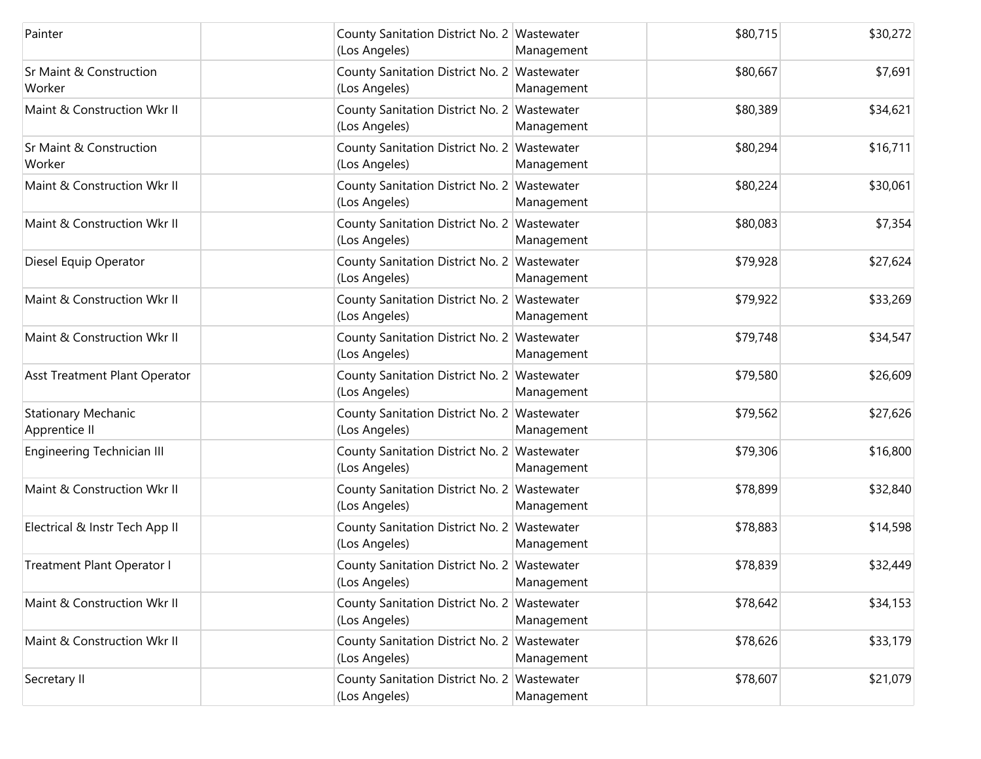| Painter                                      | County Sanitation District No. 2 Wastewater<br>(Los Angeles) | Management | \$80,715 | \$30,272 |
|----------------------------------------------|--------------------------------------------------------------|------------|----------|----------|
| <b>Sr Maint &amp; Construction</b><br>Worker | County Sanitation District No. 2 Wastewater<br>(Los Angeles) | Management | \$80,667 | \$7,691  |
| Maint & Construction Wkr II                  | County Sanitation District No. 2 Wastewater<br>(Los Angeles) | Management | \$80,389 | \$34,621 |
| Sr Maint & Construction<br>Worker            | County Sanitation District No. 2 Wastewater<br>(Los Angeles) | Management | \$80,294 | \$16,711 |
| Maint & Construction Wkr II                  | County Sanitation District No. 2 Wastewater<br>(Los Angeles) | Management | \$80,224 | \$30,061 |
| Maint & Construction Wkr II                  | County Sanitation District No. 2 Wastewater<br>(Los Angeles) | Management | \$80,083 | \$7,354  |
| Diesel Equip Operator                        | County Sanitation District No. 2 Wastewater<br>(Los Angeles) | Management | \$79,928 | \$27,624 |
| Maint & Construction Wkr II                  | County Sanitation District No. 2 Wastewater<br>(Los Angeles) | Management | \$79,922 | \$33,269 |
| Maint & Construction Wkr II                  | County Sanitation District No. 2 Wastewater<br>(Los Angeles) | Management | \$79,748 | \$34,547 |
| Asst Treatment Plant Operator                | County Sanitation District No. 2 Wastewater<br>(Los Angeles) | Management | \$79,580 | \$26,609 |
| <b>Stationary Mechanic</b><br>Apprentice II  | County Sanitation District No. 2 Wastewater<br>(Los Angeles) | Management | \$79,562 | \$27,626 |
| Engineering Technician III                   | County Sanitation District No. 2 Wastewater<br>(Los Angeles) | Management | \$79,306 | \$16,800 |
| Maint & Construction Wkr II                  | County Sanitation District No. 2 Wastewater<br>(Los Angeles) | Management | \$78,899 | \$32,840 |
| Electrical & Instr Tech App II               | County Sanitation District No. 2 Wastewater<br>(Los Angeles) | Management | \$78,883 | \$14,598 |
| Treatment Plant Operator I                   | County Sanitation District No. 2 Wastewater<br>(Los Angeles) | Management | \$78,839 | \$32,449 |
| Maint & Construction Wkr II                  | County Sanitation District No. 2 Wastewater<br>(Los Angeles) | Management | \$78,642 | \$34,153 |
| Maint & Construction Wkr II                  | County Sanitation District No. 2 Wastewater<br>(Los Angeles) | Management | \$78,626 | \$33,179 |
| Secretary II                                 | County Sanitation District No. 2 Wastewater<br>(Los Angeles) | Management | \$78,607 | \$21,079 |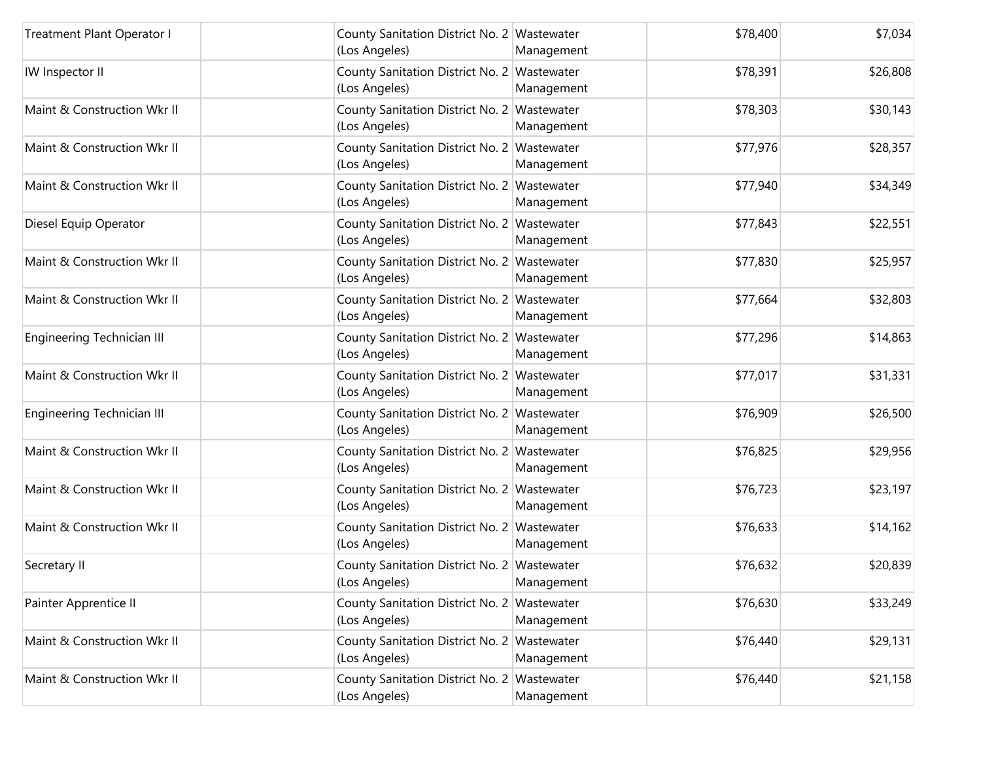| Treatment Plant Operator I        | County Sanitation District No. 2 Wastewater<br>(Los Angeles) | Management | \$78,400 | \$7,034  |
|-----------------------------------|--------------------------------------------------------------|------------|----------|----------|
| IW Inspector II                   | County Sanitation District No. 2 Wastewater<br>(Los Angeles) | Management | \$78,391 | \$26,808 |
| Maint & Construction Wkr II       | County Sanitation District No. 2 Wastewater<br>(Los Angeles) | Management | \$78,303 | \$30,143 |
| Maint & Construction Wkr II       | County Sanitation District No. 2 Wastewater<br>(Los Angeles) | Management | \$77,976 | \$28,357 |
| Maint & Construction Wkr II       | County Sanitation District No. 2 Wastewater<br>(Los Angeles) | Management | \$77,940 | \$34,349 |
| Diesel Equip Operator             | County Sanitation District No. 2 Wastewater<br>(Los Angeles) | Management | \$77,843 | \$22,551 |
| Maint & Construction Wkr II       | County Sanitation District No. 2 Wastewater<br>(Los Angeles) | Management | \$77,830 | \$25,957 |
| Maint & Construction Wkr II       | County Sanitation District No. 2 Wastewater<br>(Los Angeles) | Management | \$77,664 | \$32,803 |
| <b>Engineering Technician III</b> | County Sanitation District No. 2 Wastewater<br>(Los Angeles) | Management | \$77,296 | \$14,863 |
| Maint & Construction Wkr II       | County Sanitation District No. 2 Wastewater<br>(Los Angeles) | Management | \$77,017 | \$31,331 |
| <b>Engineering Technician III</b> | County Sanitation District No. 2 Wastewater<br>(Los Angeles) | Management | \$76,909 | \$26,500 |
| Maint & Construction Wkr II       | County Sanitation District No. 2 Wastewater<br>(Los Angeles) | Management | \$76,825 | \$29,956 |
| Maint & Construction Wkr II       | County Sanitation District No. 2 Wastewater<br>(Los Angeles) | Management | \$76,723 | \$23,197 |
| Maint & Construction Wkr II       | County Sanitation District No. 2 Wastewater<br>(Los Angeles) | Management | \$76,633 | \$14,162 |
| Secretary II                      | County Sanitation District No. 2 Wastewater<br>(Los Angeles) | Management | \$76,632 | \$20,839 |
| Painter Apprentice II             | County Sanitation District No. 2 Wastewater<br>(Los Angeles) | Management | \$76,630 | \$33,249 |
| Maint & Construction Wkr II       | County Sanitation District No. 2 Wastewater<br>(Los Angeles) | Management | \$76,440 | \$29,131 |
| Maint & Construction Wkr II       | County Sanitation District No. 2 Wastewater<br>(Los Angeles) | Management | \$76,440 | \$21,158 |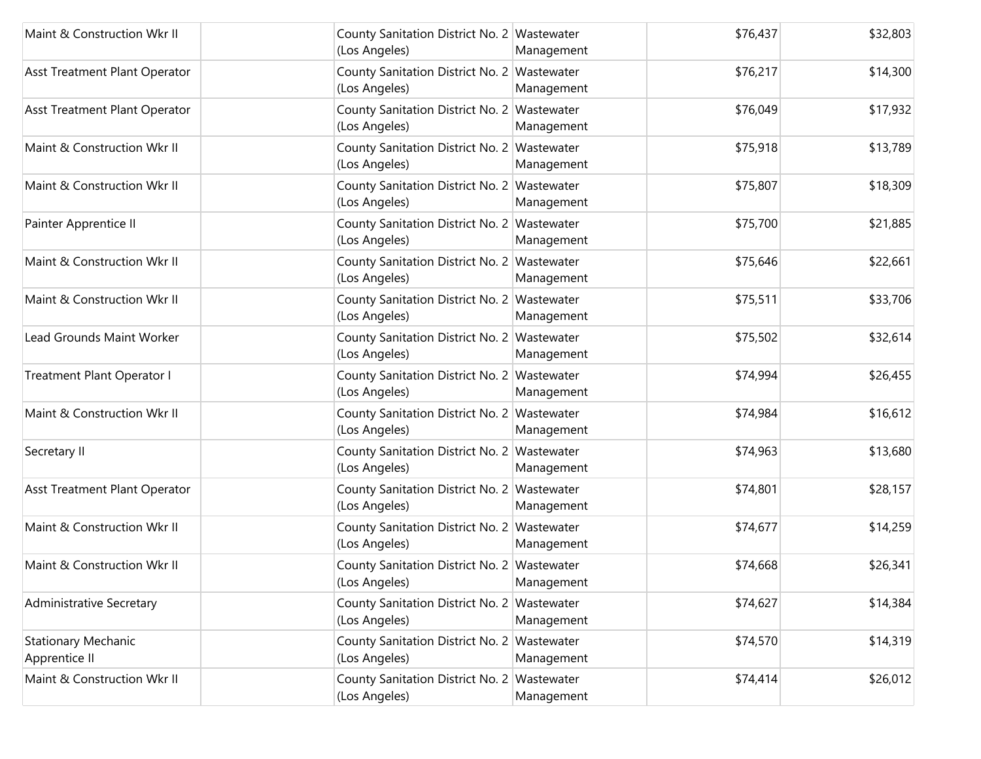| Maint & Construction Wkr II                 | County Sanitation District No. 2 Wastewater<br>(Los Angeles) | Management | \$76,437 | \$32,803 |
|---------------------------------------------|--------------------------------------------------------------|------------|----------|----------|
| Asst Treatment Plant Operator               | County Sanitation District No. 2 Wastewater<br>(Los Angeles) | Management | \$76,217 | \$14,300 |
| Asst Treatment Plant Operator               | County Sanitation District No. 2 Wastewater<br>(Los Angeles) | Management | \$76,049 | \$17,932 |
| Maint & Construction Wkr II                 | County Sanitation District No. 2 Wastewater<br>(Los Angeles) | Management | \$75,918 | \$13,789 |
| Maint & Construction Wkr II                 | County Sanitation District No. 2 Wastewater<br>(Los Angeles) | Management | \$75,807 | \$18,309 |
| Painter Apprentice II                       | County Sanitation District No. 2 Wastewater<br>(Los Angeles) | Management | \$75,700 | \$21,885 |
| Maint & Construction Wkr II                 | County Sanitation District No. 2 Wastewater<br>(Los Angeles) | Management | \$75,646 | \$22,661 |
| Maint & Construction Wkr II                 | County Sanitation District No. 2 Wastewater<br>(Los Angeles) | Management | \$75,511 | \$33,706 |
| Lead Grounds Maint Worker                   | County Sanitation District No. 2 Wastewater<br>(Los Angeles) | Management | \$75,502 | \$32,614 |
| Treatment Plant Operator I                  | County Sanitation District No. 2 Wastewater<br>(Los Angeles) | Management | \$74,994 | \$26,455 |
| Maint & Construction Wkr II                 | County Sanitation District No. 2 Wastewater<br>(Los Angeles) | Management | \$74,984 | \$16,612 |
| Secretary II                                | County Sanitation District No. 2 Wastewater<br>(Los Angeles) | Management | \$74,963 | \$13,680 |
| Asst Treatment Plant Operator               | County Sanitation District No. 2 Wastewater<br>(Los Angeles) | Management | \$74,801 | \$28,157 |
| Maint & Construction Wkr II                 | County Sanitation District No. 2 Wastewater<br>(Los Angeles) | Management | \$74,677 | \$14,259 |
| Maint & Construction Wkr II                 | County Sanitation District No. 2 Wastewater<br>(Los Angeles) | Management | \$74,668 | \$26,341 |
| <b>Administrative Secretary</b>             | County Sanitation District No. 2 Wastewater<br>(Los Angeles) | Management | \$74,627 | \$14,384 |
| <b>Stationary Mechanic</b><br>Apprentice II | County Sanitation District No. 2 Wastewater<br>(Los Angeles) | Management | \$74,570 | \$14,319 |
| Maint & Construction Wkr II                 | County Sanitation District No. 2 Wastewater<br>(Los Angeles) | Management | \$74,414 | \$26,012 |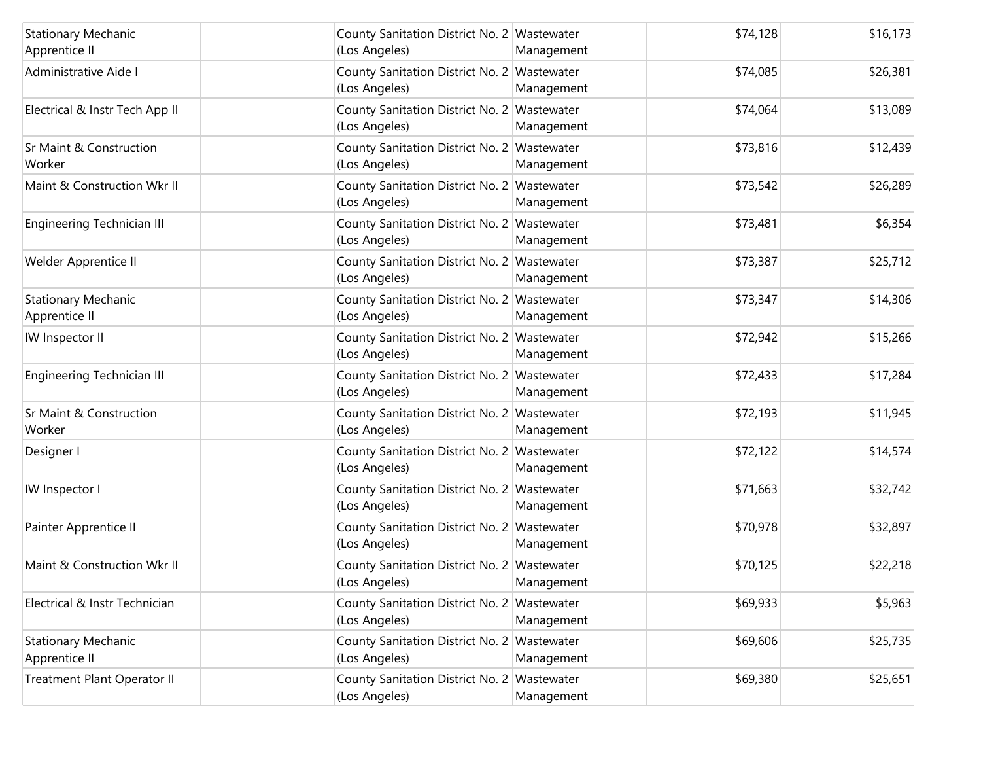| <b>Stationary Mechanic</b><br>Apprentice II | County Sanitation District No. 2 Wastewater<br>(Los Angeles) | Management | \$74,128 | \$16,173 |
|---------------------------------------------|--------------------------------------------------------------|------------|----------|----------|
| Administrative Aide I                       | County Sanitation District No. 2 Wastewater<br>(Los Angeles) | Management | \$74,085 | \$26,381 |
| Electrical & Instr Tech App II              | County Sanitation District No. 2 Wastewater<br>(Los Angeles) | Management | \$74,064 | \$13,089 |
| Sr Maint & Construction<br>Worker           | County Sanitation District No. 2 Wastewater<br>(Los Angeles) | Management | \$73,816 | \$12,439 |
| Maint & Construction Wkr II                 | County Sanitation District No. 2 Wastewater<br>(Los Angeles) | Management | \$73,542 | \$26,289 |
| Engineering Technician III                  | County Sanitation District No. 2 Wastewater<br>(Los Angeles) | Management | \$73,481 | \$6,354  |
| Welder Apprentice II                        | County Sanitation District No. 2 Wastewater<br>(Los Angeles) | Management | \$73,387 | \$25,712 |
| <b>Stationary Mechanic</b><br>Apprentice II | County Sanitation District No. 2 Wastewater<br>(Los Angeles) | Management | \$73,347 | \$14,306 |
| IW Inspector II                             | County Sanitation District No. 2 Wastewater<br>(Los Angeles) | Management | \$72,942 | \$15,266 |
| Engineering Technician III                  | County Sanitation District No. 2 Wastewater<br>(Los Angeles) | Management | \$72,433 | \$17,284 |
| Sr Maint & Construction<br>Worker           | County Sanitation District No. 2 Wastewater<br>(Los Angeles) | Management | \$72,193 | \$11,945 |
| Designer I                                  | County Sanitation District No. 2 Wastewater<br>(Los Angeles) | Management | \$72,122 | \$14,574 |
| IW Inspector I                              | County Sanitation District No. 2 Wastewater<br>(Los Angeles) | Management | \$71,663 | \$32,742 |
| Painter Apprentice II                       | County Sanitation District No. 2 Wastewater<br>(Los Angeles) | Management | \$70,978 | \$32,897 |
| Maint & Construction Wkr II                 | County Sanitation District No. 2 Wastewater<br>(Los Angeles) | Management | \$70,125 | \$22,218 |
| Electrical & Instr Technician               | County Sanitation District No. 2 Wastewater<br>(Los Angeles) | Management | \$69,933 | \$5,963  |
| <b>Stationary Mechanic</b><br>Apprentice II | County Sanitation District No. 2 Wastewater<br>(Los Angeles) | Management | \$69,606 | \$25,735 |
| <b>Treatment Plant Operator II</b>          | County Sanitation District No. 2 Wastewater<br>(Los Angeles) | Management | \$69,380 | \$25,651 |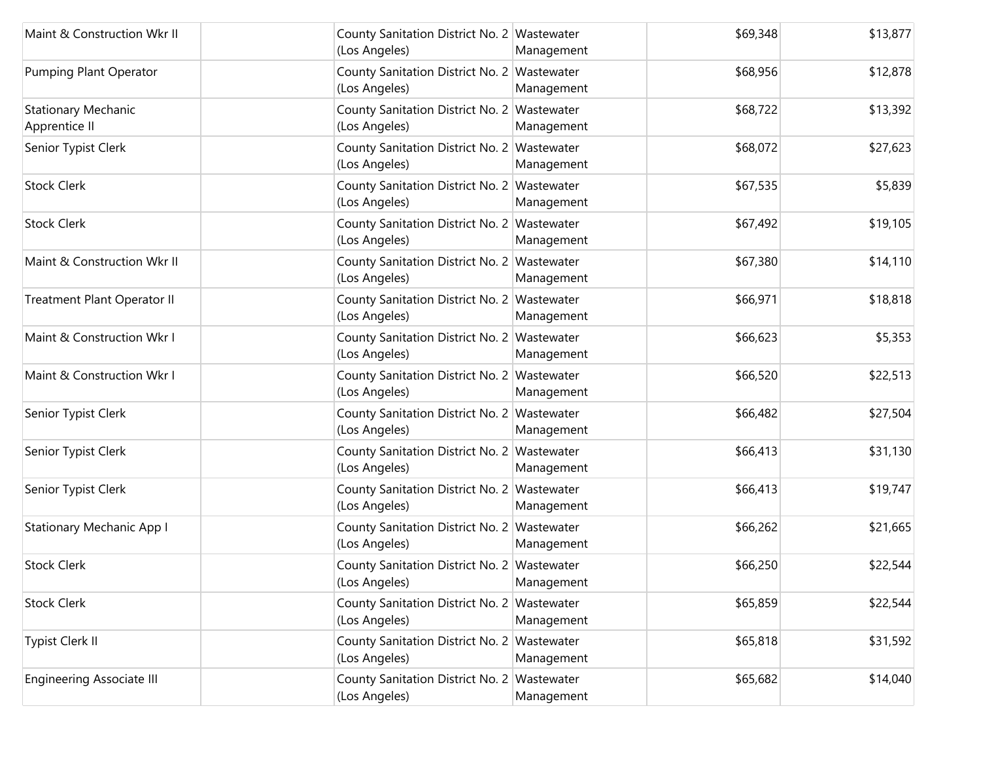| Maint & Construction Wkr II                 | County Sanitation District No. 2 Wastewater<br>(Los Angeles) | Management | \$69,348 | \$13,877 |
|---------------------------------------------|--------------------------------------------------------------|------------|----------|----------|
| Pumping Plant Operator                      | County Sanitation District No. 2 Wastewater<br>(Los Angeles) | Management | \$68,956 | \$12,878 |
| <b>Stationary Mechanic</b><br>Apprentice II | County Sanitation District No. 2 Wastewater<br>(Los Angeles) | Management | \$68,722 | \$13,392 |
| Senior Typist Clerk                         | County Sanitation District No. 2 Wastewater<br>(Los Angeles) | Management | \$68,072 | \$27,623 |
| <b>Stock Clerk</b>                          | County Sanitation District No. 2 Wastewater<br>(Los Angeles) | Management | \$67,535 | \$5,839  |
| <b>Stock Clerk</b>                          | County Sanitation District No. 2 Wastewater<br>(Los Angeles) | Management | \$67,492 | \$19,105 |
| Maint & Construction Wkr II                 | County Sanitation District No. 2 Wastewater<br>(Los Angeles) | Management | \$67,380 | \$14,110 |
| Treatment Plant Operator II                 | County Sanitation District No. 2 Wastewater<br>(Los Angeles) | Management | \$66,971 | \$18,818 |
| Maint & Construction Wkr I                  | County Sanitation District No. 2 Wastewater<br>(Los Angeles) | Management | \$66,623 | \$5,353  |
| Maint & Construction Wkr I                  | County Sanitation District No. 2 Wastewater<br>(Los Angeles) | Management | \$66,520 | \$22,513 |
| Senior Typist Clerk                         | County Sanitation District No. 2 Wastewater<br>(Los Angeles) | Management | \$66,482 | \$27,504 |
| Senior Typist Clerk                         | County Sanitation District No. 2 Wastewater<br>(Los Angeles) | Management | \$66,413 | \$31,130 |
| Senior Typist Clerk                         | County Sanitation District No. 2 Wastewater<br>(Los Angeles) | Management | \$66,413 | \$19,747 |
| <b>Stationary Mechanic App I</b>            | County Sanitation District No. 2 Wastewater<br>(Los Angeles) | Management | \$66,262 | \$21,665 |
| <b>Stock Clerk</b>                          | County Sanitation District No. 2 Wastewater<br>(Los Angeles) | Management | \$66,250 | \$22,544 |
| <b>Stock Clerk</b>                          | County Sanitation District No. 2 Wastewater<br>(Los Angeles) | Management | \$65,859 | \$22,544 |
| Typist Clerk II                             | County Sanitation District No. 2 Wastewater<br>(Los Angeles) | Management | \$65,818 | \$31,592 |
| <b>Engineering Associate III</b>            | County Sanitation District No. 2 Wastewater<br>(Los Angeles) | Management | \$65,682 | \$14,040 |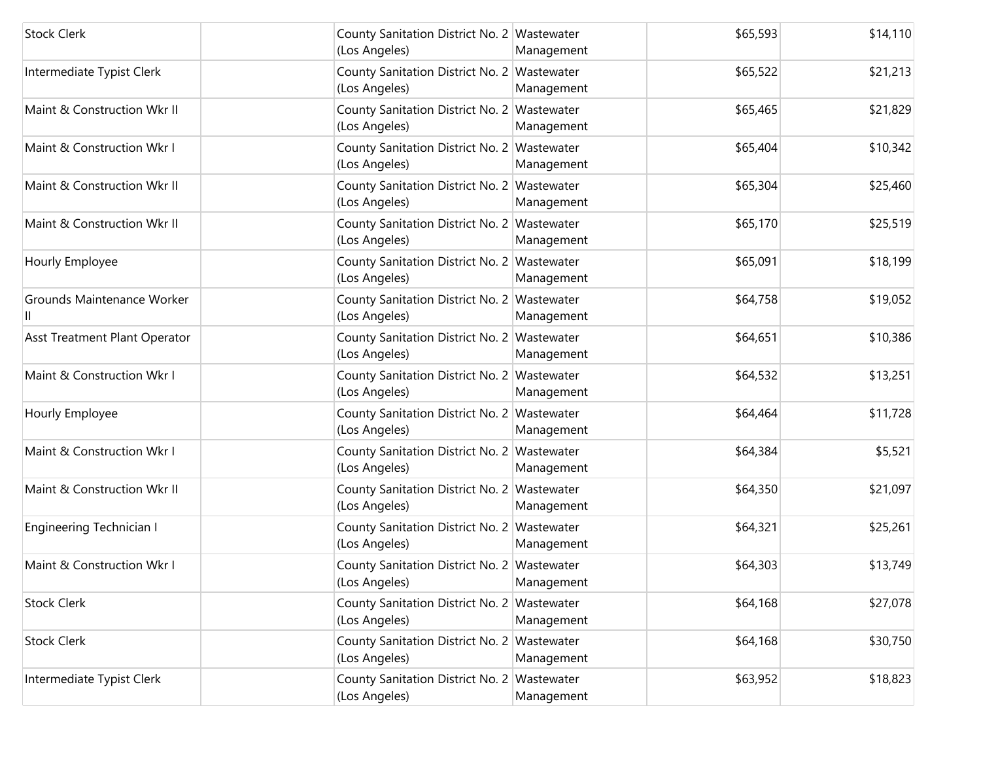| <b>Stock Clerk</b>              | County Sanitation District No. 2 Wastewater<br>(Los Angeles) | Management | \$65,593 | \$14,110 |
|---------------------------------|--------------------------------------------------------------|------------|----------|----------|
| Intermediate Typist Clerk       | County Sanitation District No. 2 Wastewater<br>(Los Angeles) | Management | \$65,522 | \$21,213 |
| Maint & Construction Wkr II     | County Sanitation District No. 2 Wastewater<br>(Los Angeles) | Management | \$65,465 | \$21,829 |
| Maint & Construction Wkr I      | County Sanitation District No. 2 Wastewater<br>(Los Angeles) | Management | \$65,404 | \$10,342 |
| Maint & Construction Wkr II     | County Sanitation District No. 2 Wastewater<br>(Los Angeles) | Management | \$65,304 | \$25,460 |
| Maint & Construction Wkr II     | County Sanitation District No. 2 Wastewater<br>(Los Angeles) | Management | \$65,170 | \$25,519 |
| Hourly Employee                 | County Sanitation District No. 2 Wastewater<br>(Los Angeles) | Management | \$65,091 | \$18,199 |
| Grounds Maintenance Worker      | County Sanitation District No. 2 Wastewater<br>(Los Angeles) | Management | \$64,758 | \$19,052 |
| Asst Treatment Plant Operator   | County Sanitation District No. 2 Wastewater<br>(Los Angeles) | Management | \$64,651 | \$10,386 |
| Maint & Construction Wkr I      | County Sanitation District No. 2 Wastewater<br>(Los Angeles) | Management | \$64,532 | \$13,251 |
| Hourly Employee                 | County Sanitation District No. 2 Wastewater<br>(Los Angeles) | Management | \$64,464 | \$11,728 |
| Maint & Construction Wkr I      | County Sanitation District No. 2 Wastewater<br>(Los Angeles) | Management | \$64,384 | \$5,521  |
| Maint & Construction Wkr II     | County Sanitation District No. 2 Wastewater<br>(Los Angeles) | Management | \$64,350 | \$21,097 |
| <b>Engineering Technician I</b> | County Sanitation District No. 2 Wastewater<br>(Los Angeles) | Management | \$64,321 | \$25,261 |
| Maint & Construction Wkr I      | County Sanitation District No. 2 Wastewater<br>(Los Angeles) | Management | \$64,303 | \$13,749 |
| <b>Stock Clerk</b>              | County Sanitation District No. 2 Wastewater<br>(Los Angeles) | Management | \$64,168 | \$27,078 |
| <b>Stock Clerk</b>              | County Sanitation District No. 2 Wastewater<br>(Los Angeles) | Management | \$64,168 | \$30,750 |
| Intermediate Typist Clerk       | County Sanitation District No. 2 Wastewater<br>(Los Angeles) | Management | \$63,952 | \$18,823 |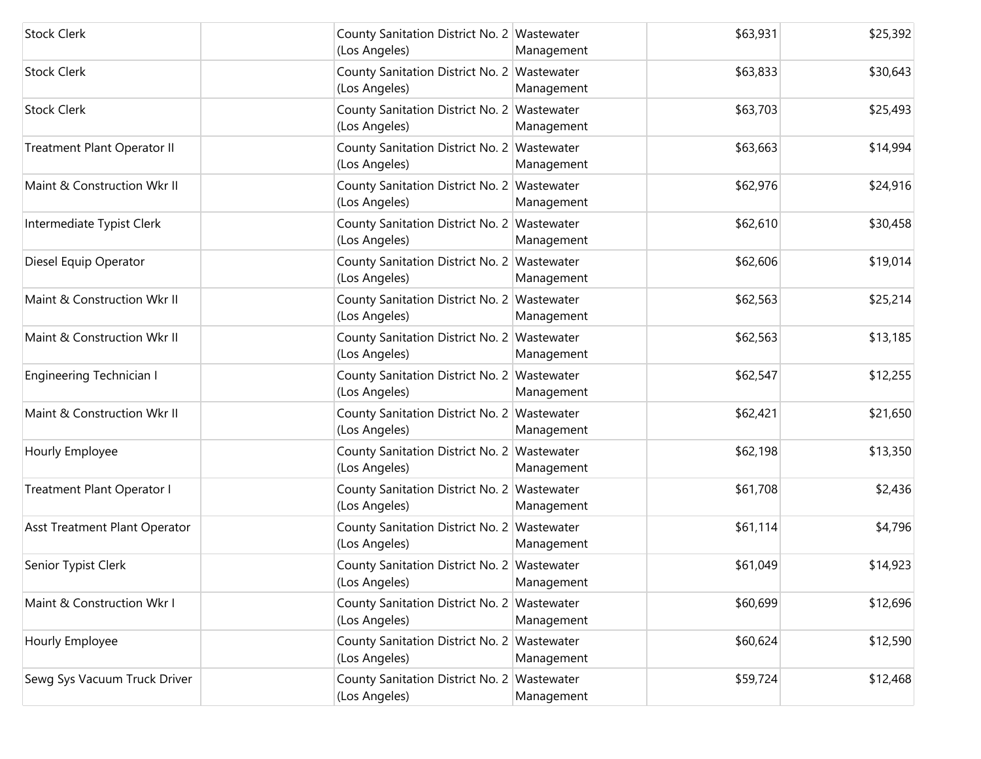| <b>Stock Clerk</b>            | County Sanitation District No. 2 Wastewater<br>(Los Angeles) | Management | \$63,931 | \$25,392 |
|-------------------------------|--------------------------------------------------------------|------------|----------|----------|
| <b>Stock Clerk</b>            | County Sanitation District No. 2 Wastewater<br>(Los Angeles) | Management | \$63,833 | \$30,643 |
| <b>Stock Clerk</b>            | County Sanitation District No. 2 Wastewater<br>(Los Angeles) | Management | \$63,703 | \$25,493 |
| Treatment Plant Operator II   | County Sanitation District No. 2 Wastewater<br>(Los Angeles) | Management | \$63,663 | \$14,994 |
| Maint & Construction Wkr II   | County Sanitation District No. 2 Wastewater<br>(Los Angeles) | Management | \$62,976 | \$24,916 |
| Intermediate Typist Clerk     | County Sanitation District No. 2 Wastewater<br>(Los Angeles) | Management | \$62,610 | \$30,458 |
| Diesel Equip Operator         | County Sanitation District No. 2 Wastewater<br>(Los Angeles) | Management | \$62,606 | \$19,014 |
| Maint & Construction Wkr II   | County Sanitation District No. 2 Wastewater<br>(Los Angeles) | Management | \$62,563 | \$25,214 |
| Maint & Construction Wkr II   | County Sanitation District No. 2 Wastewater<br>(Los Angeles) | Management | \$62,563 | \$13,185 |
| Engineering Technician I      | County Sanitation District No. 2 Wastewater<br>(Los Angeles) | Management | \$62,547 | \$12,255 |
| Maint & Construction Wkr II   | County Sanitation District No. 2 Wastewater<br>(Los Angeles) | Management | \$62,421 | \$21,650 |
| Hourly Employee               | County Sanitation District No. 2 Wastewater<br>(Los Angeles) | Management | \$62,198 | \$13,350 |
| Treatment Plant Operator I    | County Sanitation District No. 2 Wastewater<br>(Los Angeles) | Management | \$61,708 | \$2,436  |
| Asst Treatment Plant Operator | County Sanitation District No. 2 Wastewater<br>(Los Angeles) | Management | \$61,114 | \$4,796  |
| Senior Typist Clerk           | County Sanitation District No. 2 Wastewater<br>(Los Angeles) | Management | \$61,049 | \$14,923 |
| Maint & Construction Wkr I    | County Sanitation District No. 2 Wastewater<br>(Los Angeles) | Management | \$60,699 | \$12,696 |
| Hourly Employee               | County Sanitation District No. 2 Wastewater<br>(Los Angeles) | Management | \$60,624 | \$12,590 |
| Sewg Sys Vacuum Truck Driver  | County Sanitation District No. 2 Wastewater<br>(Los Angeles) | Management | \$59,724 | \$12,468 |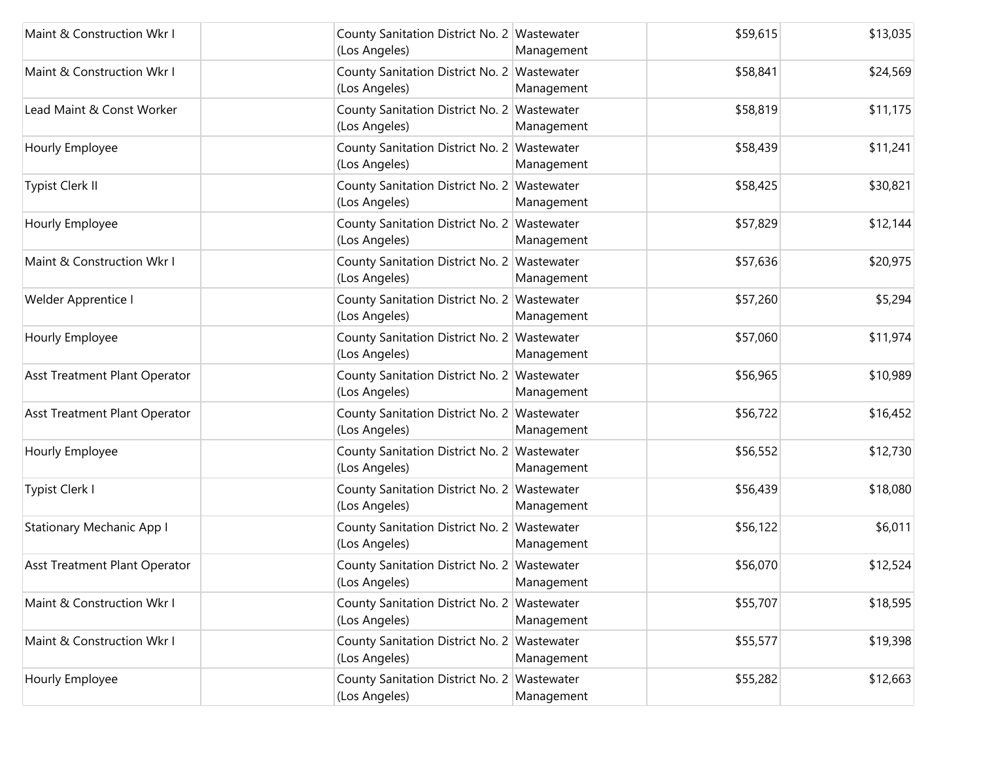| Maint & Construction Wkr I       | County Sanitation District No. 2 Wastewater<br>(Los Angeles) | Management | \$59,615 | \$13,035 |
|----------------------------------|--------------------------------------------------------------|------------|----------|----------|
| Maint & Construction Wkr I       | County Sanitation District No. 2 Wastewater<br>(Los Angeles) | Management | \$58,841 | \$24,569 |
| Lead Maint & Const Worker        | County Sanitation District No. 2 Wastewater<br>(Los Angeles) | Management | \$58,819 | \$11,175 |
| Hourly Employee                  | County Sanitation District No. 2 Wastewater<br>(Los Angeles) | Management | \$58,439 | \$11,241 |
| Typist Clerk II                  | County Sanitation District No. 2 Wastewater<br>(Los Angeles) | Management | \$58,425 | \$30,821 |
| Hourly Employee                  | County Sanitation District No. 2 Wastewater<br>(Los Angeles) | Management | \$57,829 | \$12,144 |
| Maint & Construction Wkr I       | County Sanitation District No. 2 Wastewater<br>(Los Angeles) | Management | \$57,636 | \$20,975 |
| Welder Apprentice I              | County Sanitation District No. 2 Wastewater<br>(Los Angeles) | Management | \$57,260 | \$5,294  |
| Hourly Employee                  | County Sanitation District No. 2 Wastewater<br>(Los Angeles) | Management | \$57,060 | \$11,974 |
| Asst Treatment Plant Operator    | County Sanitation District No. 2 Wastewater<br>(Los Angeles) | Management | \$56,965 | \$10,989 |
| Asst Treatment Plant Operator    | County Sanitation District No. 2 Wastewater<br>(Los Angeles) | Management | \$56,722 | \$16,452 |
| Hourly Employee                  | County Sanitation District No. 2 Wastewater<br>(Los Angeles) | Management | \$56,552 | \$12,730 |
| Typist Clerk I                   | County Sanitation District No. 2 Wastewater<br>(Los Angeles) | Management | \$56,439 | \$18,080 |
| <b>Stationary Mechanic App I</b> | County Sanitation District No. 2 Wastewater<br>(Los Angeles) | Management | \$56,122 | \$6,011  |
| Asst Treatment Plant Operator    | County Sanitation District No. 2 Wastewater<br>(Los Angeles) | Management | \$56,070 | \$12,524 |
| Maint & Construction Wkr I       | County Sanitation District No. 2 Wastewater<br>(Los Angeles) | Management | \$55,707 | \$18,595 |
| Maint & Construction Wkr I       | County Sanitation District No. 2 Wastewater<br>(Los Angeles) | Management | \$55,577 | \$19,398 |
| Hourly Employee                  | County Sanitation District No. 2 Wastewater<br>(Los Angeles) | Management | \$55,282 | \$12,663 |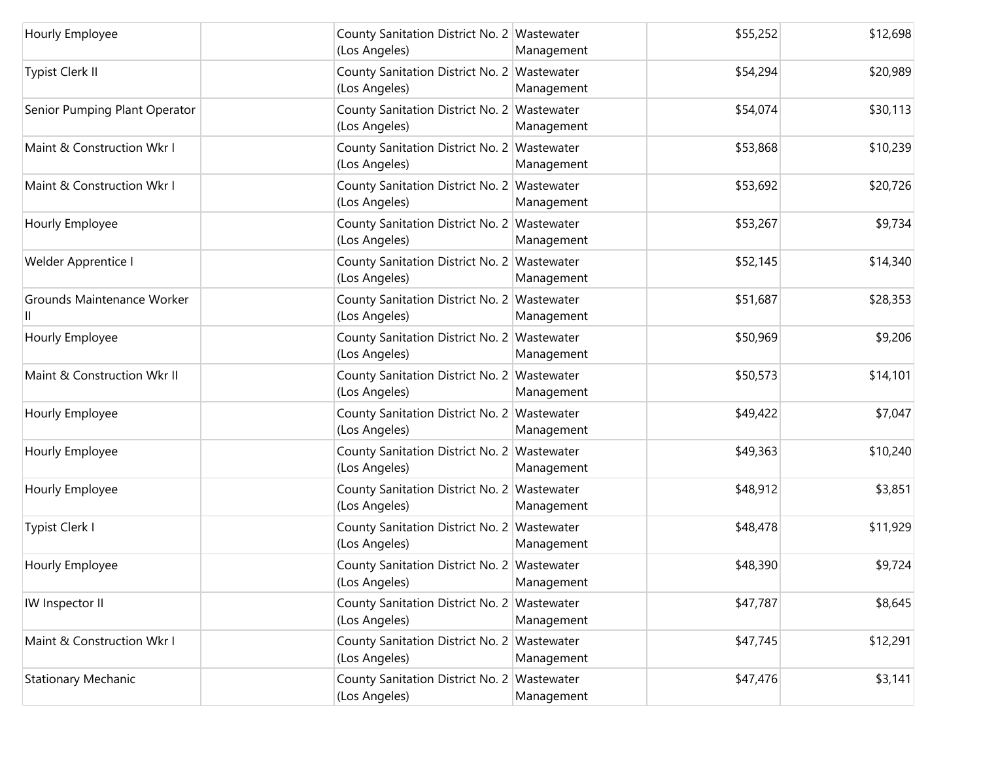| Hourly Employee               | County Sanitation District No. 2 Wastewater<br>(Los Angeles) | Management | \$55,252 | \$12,698 |
|-------------------------------|--------------------------------------------------------------|------------|----------|----------|
| Typist Clerk II               | County Sanitation District No. 2 Wastewater<br>(Los Angeles) | Management | \$54,294 | \$20,989 |
| Senior Pumping Plant Operator | County Sanitation District No. 2 Wastewater<br>(Los Angeles) | Management | \$54,074 | \$30,113 |
| Maint & Construction Wkr I    | County Sanitation District No. 2 Wastewater<br>(Los Angeles) | Management | \$53,868 | \$10,239 |
| Maint & Construction Wkr I    | County Sanitation District No. 2 Wastewater<br>(Los Angeles) | Management | \$53,692 | \$20,726 |
| Hourly Employee               | County Sanitation District No. 2 Wastewater<br>(Los Angeles) | Management | \$53,267 | \$9,734  |
| Welder Apprentice I           | County Sanitation District No. 2 Wastewater<br>(Los Angeles) | Management | \$52,145 | \$14,340 |
| Grounds Maintenance Worker    | County Sanitation District No. 2 Wastewater<br>(Los Angeles) | Management | \$51,687 | \$28,353 |
| Hourly Employee               | County Sanitation District No. 2 Wastewater<br>(Los Angeles) | Management | \$50,969 | \$9,206  |
| Maint & Construction Wkr II   | County Sanitation District No. 2 Wastewater<br>(Los Angeles) | Management | \$50,573 | \$14,101 |
| Hourly Employee               | County Sanitation District No. 2 Wastewater<br>(Los Angeles) | Management | \$49,422 | \$7,047  |
| Hourly Employee               | County Sanitation District No. 2 Wastewater<br>(Los Angeles) | Management | \$49,363 | \$10,240 |
| Hourly Employee               | County Sanitation District No. 2 Wastewater<br>(Los Angeles) | Management | \$48,912 | \$3,851  |
| Typist Clerk I                | County Sanitation District No. 2 Wastewater<br>(Los Angeles) | Management | \$48,478 | \$11,929 |
| Hourly Employee               | County Sanitation District No. 2 Wastewater<br>(Los Angeles) | Management | \$48,390 | \$9,724  |
| IW Inspector II               | County Sanitation District No. 2 Wastewater<br>(Los Angeles) | Management | \$47,787 | \$8,645  |
| Maint & Construction Wkr I    | County Sanitation District No. 2 Wastewater<br>(Los Angeles) | Management | \$47,745 | \$12,291 |
| <b>Stationary Mechanic</b>    | County Sanitation District No. 2 Wastewater<br>(Los Angeles) | Management | \$47,476 | \$3,141  |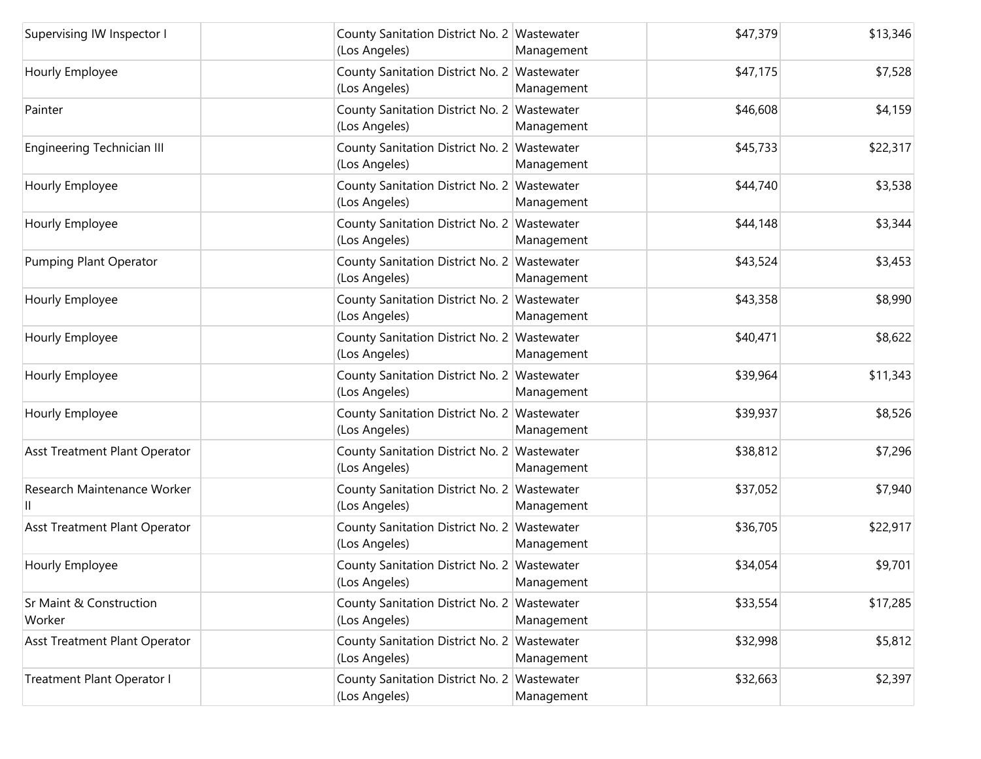| Supervising IW Inspector I        | County Sanitation District No. 2 Wastewater<br>(Los Angeles) | Management | \$47,379 | \$13,346 |
|-----------------------------------|--------------------------------------------------------------|------------|----------|----------|
| Hourly Employee                   | County Sanitation District No. 2 Wastewater<br>(Los Angeles) | Management | \$47,175 | \$7,528  |
| Painter                           | County Sanitation District No. 2 Wastewater<br>(Los Angeles) | Management | \$46,608 | \$4,159  |
| <b>Engineering Technician III</b> | County Sanitation District No. 2 Wastewater<br>(Los Angeles) | Management | \$45,733 | \$22,317 |
| Hourly Employee                   | County Sanitation District No. 2 Wastewater<br>(Los Angeles) | Management | \$44,740 | \$3,538  |
| Hourly Employee                   | County Sanitation District No. 2 Wastewater<br>(Los Angeles) | Management | \$44,148 | \$3,344  |
| Pumping Plant Operator            | County Sanitation District No. 2 Wastewater<br>(Los Angeles) | Management | \$43,524 | \$3,453  |
| Hourly Employee                   | County Sanitation District No. 2 Wastewater<br>(Los Angeles) | Management | \$43,358 | \$8,990  |
| Hourly Employee                   | County Sanitation District No. 2 Wastewater<br>(Los Angeles) | Management | \$40,471 | \$8,622  |
| Hourly Employee                   | County Sanitation District No. 2 Wastewater<br>(Los Angeles) | Management | \$39,964 | \$11,343 |
| Hourly Employee                   | County Sanitation District No. 2 Wastewater<br>(Los Angeles) | Management | \$39,937 | \$8,526  |
| Asst Treatment Plant Operator     | County Sanitation District No. 2 Wastewater<br>(Los Angeles) | Management | \$38,812 | \$7,296  |
| Research Maintenance Worker       | County Sanitation District No. 2 Wastewater<br>(Los Angeles) | Management | \$37,052 | \$7,940  |
| Asst Treatment Plant Operator     | County Sanitation District No. 2 Wastewater<br>(Los Angeles) | Management | \$36,705 | \$22,917 |
| Hourly Employee                   | County Sanitation District No. 2 Wastewater<br>(Los Angeles) | Management | \$34,054 | \$9,701  |
| Sr Maint & Construction<br>Worker | County Sanitation District No. 2 Wastewater<br>(Los Angeles) | Management | \$33,554 | \$17,285 |
| Asst Treatment Plant Operator     | County Sanitation District No. 2 Wastewater<br>(Los Angeles) | Management | \$32,998 | \$5,812  |
| Treatment Plant Operator I        | County Sanitation District No. 2 Wastewater<br>(Los Angeles) | Management | \$32,663 | \$2,397  |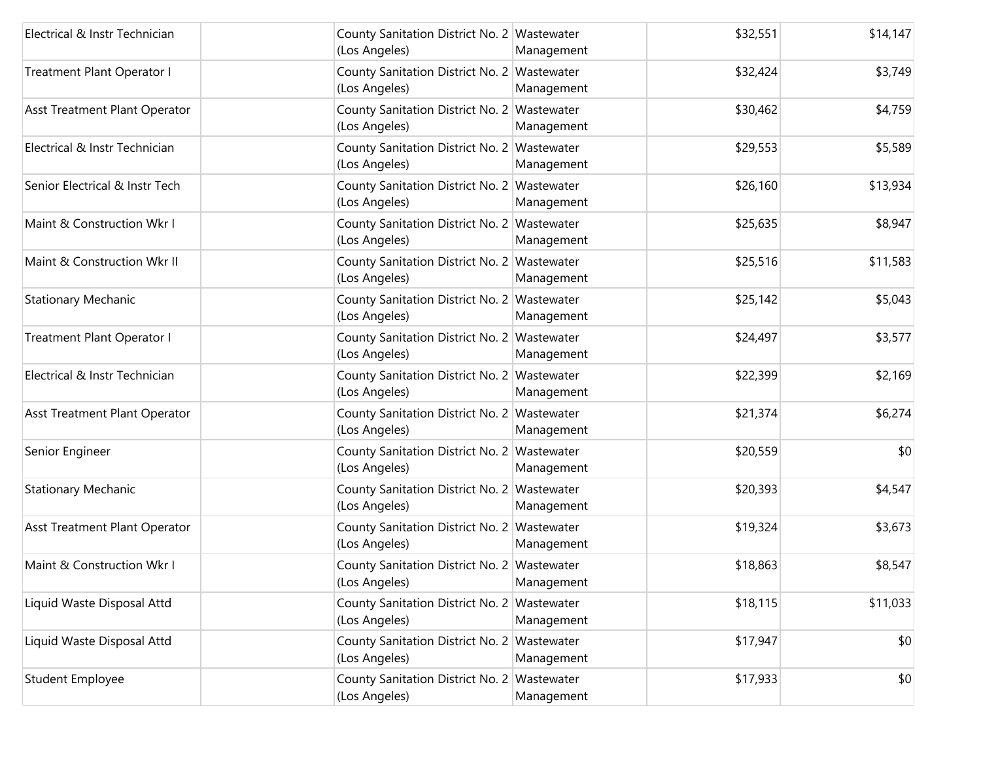| Electrical & Instr Technician  | County Sanitation District No. 2 Wastewater<br>(Los Angeles) | Management | \$32,551 | \$14,147 |
|--------------------------------|--------------------------------------------------------------|------------|----------|----------|
| Treatment Plant Operator I     | County Sanitation District No. 2 Wastewater<br>(Los Angeles) | Management | \$32,424 | \$3,749  |
| Asst Treatment Plant Operator  | County Sanitation District No. 2 Wastewater<br>(Los Angeles) | Management | \$30,462 | \$4,759  |
| Electrical & Instr Technician  | County Sanitation District No. 2 Wastewater<br>(Los Angeles) | Management | \$29,553 | \$5,589  |
| Senior Electrical & Instr Tech | County Sanitation District No. 2 Wastewater<br>(Los Angeles) | Management | \$26,160 | \$13,934 |
| Maint & Construction Wkr I     | County Sanitation District No. 2 Wastewater<br>(Los Angeles) | Management | \$25,635 | \$8,947  |
| Maint & Construction Wkr II    | County Sanitation District No. 2 Wastewater<br>(Los Angeles) | Management | \$25,516 | \$11,583 |
| <b>Stationary Mechanic</b>     | County Sanitation District No. 2 Wastewater<br>(Los Angeles) | Management | \$25,142 | \$5,043  |
| Treatment Plant Operator I     | County Sanitation District No. 2 Wastewater<br>(Los Angeles) | Management | \$24,497 | \$3,577  |
| Electrical & Instr Technician  | County Sanitation District No. 2 Wastewater<br>(Los Angeles) | Management | \$22,399 | \$2,169  |
| Asst Treatment Plant Operator  | County Sanitation District No. 2 Wastewater<br>(Los Angeles) | Management | \$21,374 | \$6,274  |
| Senior Engineer                | County Sanitation District No. 2 Wastewater<br>(Los Angeles) | Management | \$20,559 | \$0      |
| <b>Stationary Mechanic</b>     | County Sanitation District No. 2 Wastewater<br>(Los Angeles) | Management | \$20,393 | \$4,547  |
| Asst Treatment Plant Operator  | County Sanitation District No. 2 Wastewater<br>(Los Angeles) | Management | \$19,324 | \$3,673  |
| Maint & Construction Wkr I     | County Sanitation District No. 2 Wastewater<br>(Los Angeles) | Management | \$18,863 | \$8,547  |
| Liquid Waste Disposal Attd     | County Sanitation District No. 2 Wastewater<br>(Los Angeles) | Management | \$18,115 | \$11,033 |
| Liquid Waste Disposal Attd     | County Sanitation District No. 2 Wastewater<br>(Los Angeles) | Management | \$17,947 | \$0      |
| <b>Student Employee</b>        | County Sanitation District No. 2 Wastewater<br>(Los Angeles) | Management | \$17,933 | \$0      |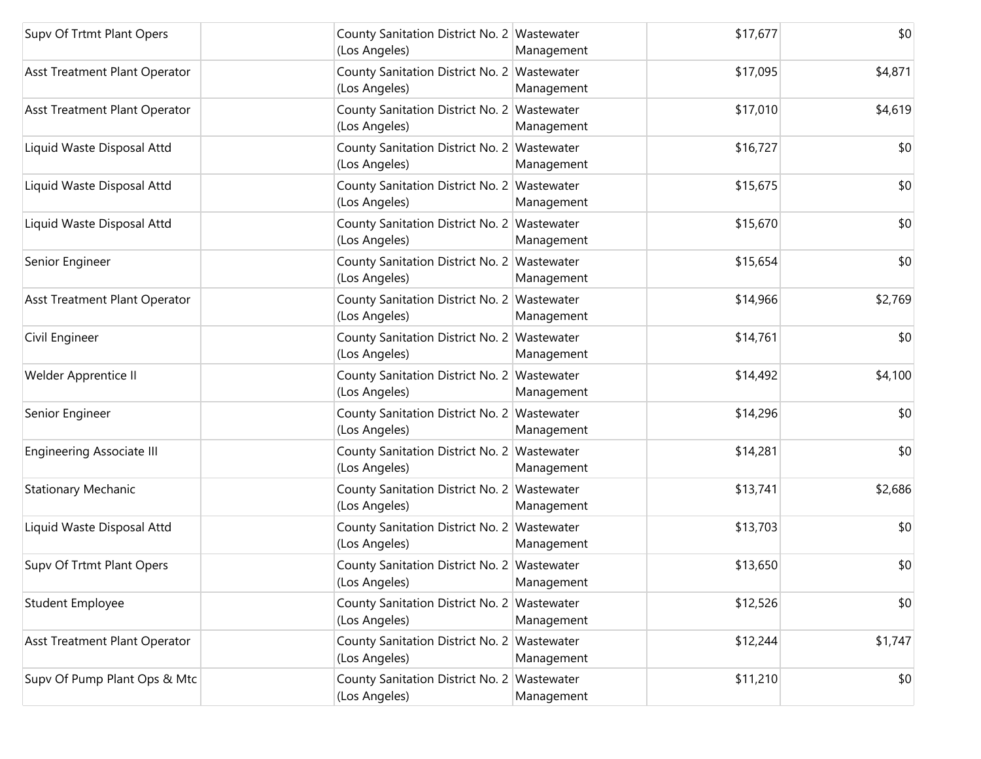| Supv Of Trtmt Plant Opers        | County Sanitation District No. 2 Wastewater<br>(Los Angeles) | \$17,677<br>Management | \$0     |
|----------------------------------|--------------------------------------------------------------|------------------------|---------|
| Asst Treatment Plant Operator    | County Sanitation District No. 2 Wastewater<br>(Los Angeles) | \$17,095<br>Management | \$4,871 |
| Asst Treatment Plant Operator    | County Sanitation District No. 2 Wastewater<br>(Los Angeles) | \$17,010<br>Management | \$4,619 |
| Liquid Waste Disposal Attd       | County Sanitation District No. 2 Wastewater<br>(Los Angeles) | \$16,727<br>Management | \$0     |
| Liquid Waste Disposal Attd       | County Sanitation District No. 2 Wastewater<br>(Los Angeles) | \$15,675<br>Management | \$0     |
| Liquid Waste Disposal Attd       | County Sanitation District No. 2 Wastewater<br>(Los Angeles) | \$15,670<br>Management | \$0     |
| Senior Engineer                  | County Sanitation District No. 2 Wastewater<br>(Los Angeles) | \$15,654<br>Management | \$0     |
| Asst Treatment Plant Operator    | County Sanitation District No. 2 Wastewater<br>(Los Angeles) | \$14,966<br>Management | \$2,769 |
| Civil Engineer                   | County Sanitation District No. 2 Wastewater<br>(Los Angeles) | \$14,761<br>Management | \$0     |
| Welder Apprentice II             | County Sanitation District No. 2 Wastewater<br>(Los Angeles) | \$14,492<br>Management | \$4,100 |
| Senior Engineer                  | County Sanitation District No. 2 Wastewater<br>(Los Angeles) | \$14,296<br>Management | \$0     |
| <b>Engineering Associate III</b> | County Sanitation District No. 2 Wastewater<br>(Los Angeles) | \$14,281<br>Management | \$0     |
| Stationary Mechanic              | County Sanitation District No. 2 Wastewater<br>(Los Angeles) | \$13,741<br>Management | \$2,686 |
| Liquid Waste Disposal Attd       | County Sanitation District No. 2 Wastewater<br>(Los Angeles) | \$13,703<br>Management | \$0     |
| Supv Of Trtmt Plant Opers        | County Sanitation District No. 2 Wastewater<br>(Los Angeles) | \$13,650<br>Management | \$0     |
| <b>Student Employee</b>          | County Sanitation District No. 2 Wastewater<br>(Los Angeles) | \$12,526<br>Management | \$0     |
| Asst Treatment Plant Operator    | County Sanitation District No. 2 Wastewater<br>(Los Angeles) | \$12,244<br>Management | \$1,747 |
| Supv Of Pump Plant Ops & Mtc     | County Sanitation District No. 2 Wastewater<br>(Los Angeles) | \$11,210<br>Management | \$0     |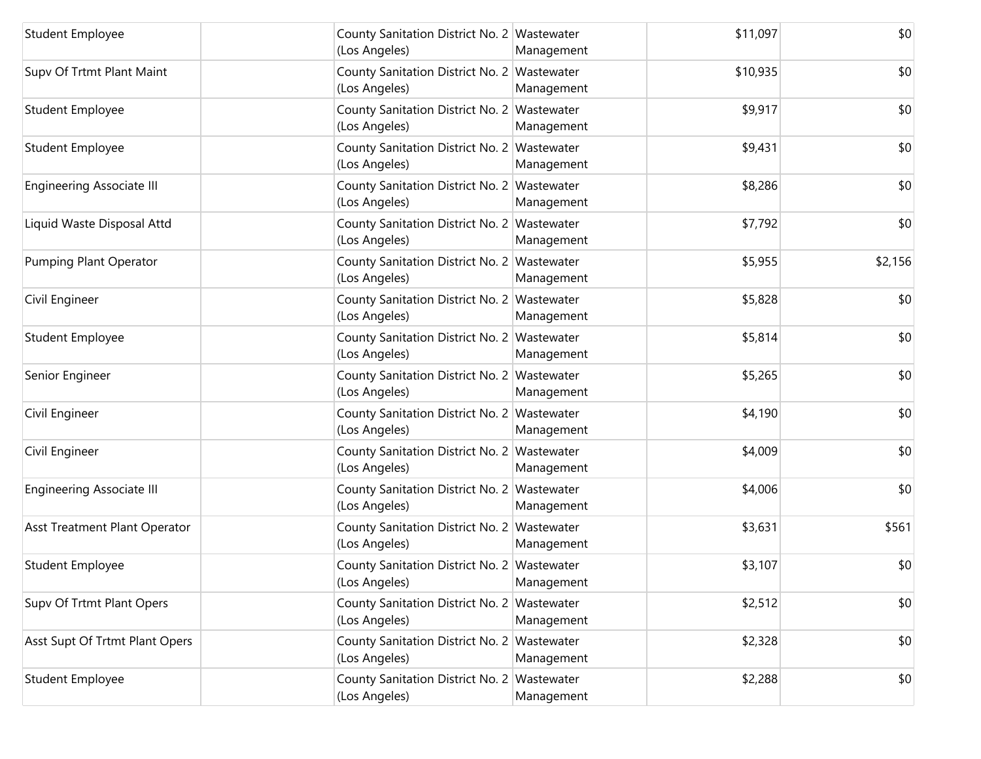| <b>Student Employee</b>          | County Sanitation District No. 2 Wastewater<br>(Los Angeles) | Management | \$11,097 | \$0     |
|----------------------------------|--------------------------------------------------------------|------------|----------|---------|
| Supv Of Trtmt Plant Maint        | County Sanitation District No. 2 Wastewater<br>(Los Angeles) | Management | \$10,935 | \$0     |
| <b>Student Employee</b>          | County Sanitation District No. 2 Wastewater<br>(Los Angeles) | Management | \$9,917  | \$0     |
| Student Employee                 | County Sanitation District No. 2 Wastewater<br>(Los Angeles) | Management | \$9,431  | \$0     |
| <b>Engineering Associate III</b> | County Sanitation District No. 2 Wastewater<br>(Los Angeles) | Management | \$8,286  | \$0     |
| Liquid Waste Disposal Attd       | County Sanitation District No. 2 Wastewater<br>(Los Angeles) | Management | \$7,792  | \$0     |
| Pumping Plant Operator           | County Sanitation District No. 2 Wastewater<br>(Los Angeles) | Management | \$5,955  | \$2,156 |
| Civil Engineer                   | County Sanitation District No. 2 Wastewater<br>(Los Angeles) | Management | \$5,828  | \$0     |
| Student Employee                 | County Sanitation District No. 2 Wastewater<br>(Los Angeles) | Management | \$5,814  | \$0     |
| Senior Engineer                  | County Sanitation District No. 2 Wastewater<br>(Los Angeles) | Management | \$5,265  | \$0     |
| Civil Engineer                   | County Sanitation District No. 2 Wastewater<br>(Los Angeles) | Management | \$4,190  | \$0     |
| Civil Engineer                   | County Sanitation District No. 2 Wastewater<br>(Los Angeles) | Management | \$4,009  | \$0     |
| <b>Engineering Associate III</b> | County Sanitation District No. 2 Wastewater<br>(Los Angeles) | Management | \$4,006  | \$0     |
| Asst Treatment Plant Operator    | County Sanitation District No. 2 Wastewater<br>(Los Angeles) | Management | \$3,631  | \$561   |
| Student Employee                 | County Sanitation District No. 2 Wastewater<br>(Los Angeles) | Management | \$3,107  | \$0     |
| Supv Of Trtmt Plant Opers        | County Sanitation District No. 2 Wastewater<br>(Los Angeles) | Management | \$2,512  | \$0     |
| Asst Supt Of Trtmt Plant Opers   | County Sanitation District No. 2 Wastewater<br>(Los Angeles) | Management | \$2,328  | \$0     |
| <b>Student Employee</b>          | County Sanitation District No. 2 Wastewater<br>(Los Angeles) | Management | \$2,288  | \$0     |